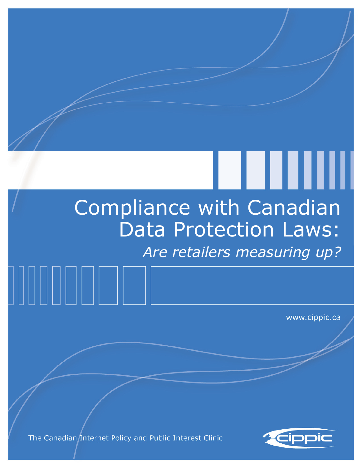# Compliance with Canadian Data Protection Laws: *Are retailers measuring up?*

www.cippic.ca

LIII

The Canadian Internet Policy and Public Interest Clinic

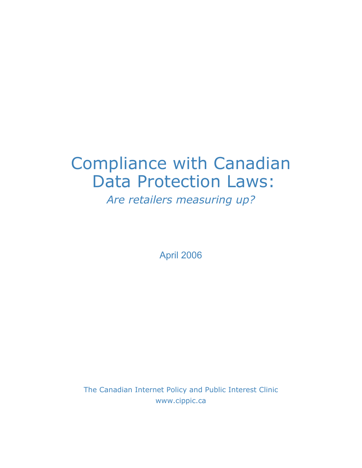## Compliance with Canadian Data Protection Laws:

*Are retailers measuring up?* 

April 2006

The Canadian Internet Policy and Public Interest Clinic www.cippic.ca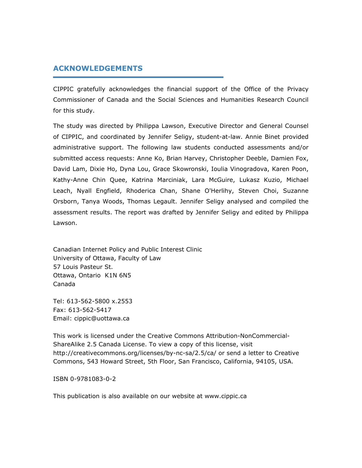#### **ACKNOWLEDGEMENTS**

CIPPIC gratefully acknowledges the financial support of the Office of the Privacy Commissioner of Canada and the Social Sciences and Humanities Research Council for this study.

The study was directed by Philippa Lawson, Executive Director and General Counsel of CIPPIC, and coordinated by Jennifer Seligy, student-at-law. Annie Binet provided administrative support. The following law students conducted assessments and/or submitted access requests: Anne Ko, Brian Harvey, Christopher Deeble, Damien Fox, David Lam, Dixie Ho, Dyna Lou, Grace Skowronski, Ioulia Vinogradova, Karen Poon, Kathy-Anne Chin Quee, Katrina Marciniak, Lara McGuire, Lukasz Kuzio, Michael Leach, Nyall Engfield, Rhoderica Chan, Shane O'Herlihy, Steven Choi, Suzanne Orsborn, Tanya Woods, Thomas Legault. Jennifer Seligy analysed and compiled the assessment results. The report was drafted by Jennifer Seligy and edited by Philippa Lawson.

Canadian Internet Policy and Public Interest Clinic University of Ottawa, Faculty of Law 57 Louis Pasteur St. Ottawa, Ontario K1N 6N5 Canada

Tel: 613-562-5800 x.2553 Fax: 613-562-5417 Email: cippic@uottawa.ca

This work is licensed under the Creative Commons Attribution-NonCommercial-ShareAlike 2.5 Canada License. To view a copy of this license, visit http://creativecommons.org/licenses/by-nc-sa/2.5/ca/ or send a letter to Creative Commons, 543 Howard Street, 5th Floor, San Francisco, California, 94105, USA.

ISBN 0-9781083-0-2

This publication is also available on our website at www.cippic.ca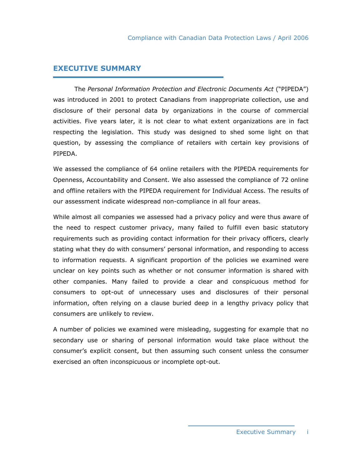#### **EXECUTIVE SUMMARY**

 The *Personal Information Protection and Electronic Documents Act* ("PIPEDA") was introduced in 2001 to protect Canadians from inappropriate collection, use and disclosure of their personal data by organizations in the course of commercial activities. Five years later, it is not clear to what extent organizations are in fact respecting the legislation. This study was designed to shed some light on that question, by assessing the compliance of retailers with certain key provisions of PIPEDA.

We assessed the compliance of 64 online retailers with the PIPEDA requirements for Openness, Accountability and Consent. We also assessed the compliance of 72 online and offline retailers with the PIPEDA requirement for Individual Access. The results of our assessment indicate widespread non-compliance in all four areas.

While almost all companies we assessed had a privacy policy and were thus aware of the need to respect customer privacy, many failed to fulfill even basic statutory requirements such as providing contact information for their privacy officers, clearly stating what they do with consumers' personal information, and responding to access to information requests. A significant proportion of the policies we examined were unclear on key points such as whether or not consumer information is shared with other companies. Many failed to provide a clear and conspicuous method for consumers to opt-out of unnecessary uses and disclosures of their personal information, often relying on a clause buried deep in a lengthy privacy policy that consumers are unlikely to review.

A number of policies we examined were misleading, suggesting for example that no secondary use or sharing of personal information would take place without the consumer's explicit consent, but then assuming such consent unless the consumer exercised an often inconspicuous or incomplete opt-out.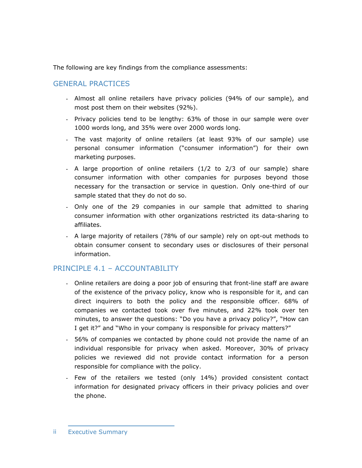The following are key findings from the compliance assessments:

## GENERAL PRACTICES

- Almost all online retailers have privacy policies (94% of our sample), and most post them on their websites (92%).
- Privacy policies tend to be lengthy: 63% of those in our sample were over 1000 words long, and 35% were over 2000 words long.
- The vast majority of online retailers (at least 93% of our sample) use personal consumer information ("consumer information") for their own marketing purposes.
- A large proportion of online retailers (1/2 to 2/3 of our sample) share consumer information with other companies for purposes beyond those necessary for the transaction or service in question. Only one-third of our sample stated that they do not do so.
- Only one of the 29 companies in our sample that admitted to sharing consumer information with other organizations restricted its data-sharing to affiliates.
- A large majority of retailers (78% of our sample) rely on opt-out methods to obtain consumer consent to secondary uses or disclosures of their personal information.

## PRINCIPLE 4.1 – ACCOUNTABILITY

- Online retailers are doing a poor job of ensuring that front-line staff are aware of the existence of the privacy policy, know who is responsible for it, and can direct inquirers to both the policy and the responsible officer. 68% of companies we contacted took over five minutes, and 22% took over ten minutes, to answer the questions: "Do you have a privacy policy?", "How can I get it?" and "Who in your company is responsible for privacy matters?"
- 56% of companies we contacted by phone could not provide the name of an individual responsible for privacy when asked. Moreover, 30% of privacy policies we reviewed did not provide contact information for a person responsible for compliance with the policy.
- Few of the retailers we tested (only 14%) provided consistent contact information for designated privacy officers in their privacy policies and over the phone.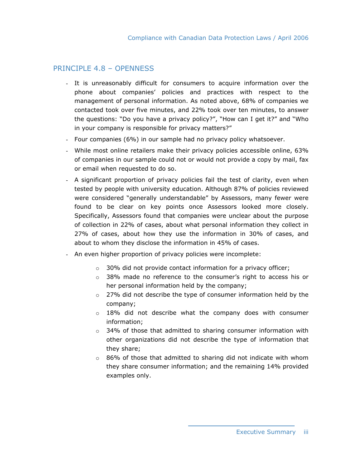## PRINCIPLE 4.8 – OPENNESS

- It is unreasonably difficult for consumers to acquire information over the phone about companies' policies and practices with respect to the management of personal information. As noted above, 68% of companies we contacted took over five minutes, and 22% took over ten minutes, to answer the questions: "Do you have a privacy policy?", "How can I get it?" and "Who in your company is responsible for privacy matters?"
- Four companies (6%) in our sample had no privacy policy whatsoever.
- While most online retailers make their privacy policies accessible online, 63% of companies in our sample could not or would not provide a copy by mail, fax or email when requested to do so.
- A significant proportion of privacy policies fail the test of clarity, even when tested by people with university education. Although 87% of policies reviewed were considered "generally understandable" by Assessors, many fewer were found to be clear on key points once Assessors looked more closely. Specifically, Assessors found that companies were unclear about the purpose of collection in 22% of cases, about what personal information they collect in 27% of cases, about how they use the information in 30% of cases, and about to whom they disclose the information in 45% of cases.
- An even higher proportion of privacy policies were incomplete:
	- o 30% did not provide contact information for a privacy officer;
	- $\circ$  38% made no reference to the consumer's right to access his or her personal information held by the company;
	- o 27% did not describe the type of consumer information held by the company;
	- $\circ$  18% did not describe what the company does with consumer information;
	- $\circ$  34% of those that admitted to sharing consumer information with other organizations did not describe the type of information that they share;
	- o 86% of those that admitted to sharing did not indicate with whom they share consumer information; and the remaining 14% provided examples only.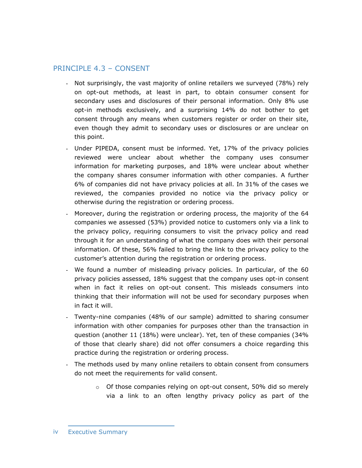## PRINCIPLE 4.3 – CONSENT

- Not surprisingly, the vast majority of online retailers we surveyed (78%) rely on opt-out methods, at least in part, to obtain consumer consent for secondary uses and disclosures of their personal information. Only 8% use opt-in methods exclusively, and a surprising 14% do not bother to get consent through any means when customers register or order on their site, even though they admit to secondary uses or disclosures or are unclear on this point.
- Under PIPEDA, consent must be informed. Yet, 17% of the privacy policies reviewed were unclear about whether the company uses consumer information for marketing purposes, and 18% were unclear about whether the company shares consumer information with other companies. A further 6% of companies did not have privacy policies at all. In 31% of the cases we reviewed, the companies provided no notice via the privacy policy or otherwise during the registration or ordering process.
- Moreover, during the registration or ordering process, the majority of the 64 companies we assessed (53%) provided notice to customers only via a link to the privacy policy, requiring consumers to visit the privacy policy and read through it for an understanding of what the company does with their personal information. Of these, 56% failed to bring the link to the privacy policy to the customer's attention during the registration or ordering process.
- We found a number of misleading privacy policies. In particular, of the 60 privacy policies assessed, 18% suggest that the company uses opt-in consent when in fact it relies on opt-out consent. This misleads consumers into thinking that their information will not be used for secondary purposes when in fact it will.
- Twenty-nine companies (48% of our sample) admitted to sharing consumer information with other companies for purposes other than the transaction in question (another 11 (18%) were unclear). Yet, ten of these companies (34% of those that clearly share) did not offer consumers a choice regarding this practice during the registration or ordering process.
- The methods used by many online retailers to obtain consent from consumers do not meet the requirements for valid consent.
	- o Of those companies relying on opt-out consent, 50% did so merely via a link to an often lengthy privacy policy as part of the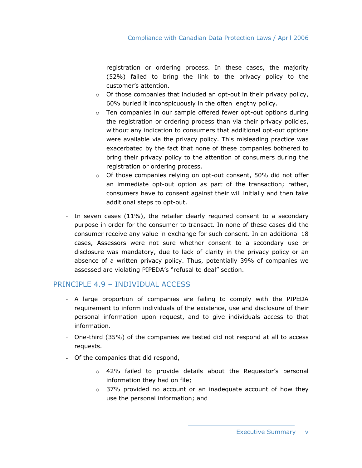registration or ordering process. In these cases, the majority (52%) failed to bring the link to the privacy policy to the customer's attention.

- o Of those companies that included an opt-out in their privacy policy, 60% buried it inconspicuously in the often lengthy policy.
- $\circ$  Ten companies in our sample offered fewer opt-out options during the registration or ordering process than via their privacy policies, without any indication to consumers that additional opt-out options were available via the privacy policy. This misleading practice was exacerbated by the fact that none of these companies bothered to bring their privacy policy to the attention of consumers during the registration or ordering process.
- o Of those companies relying on opt-out consent, 50% did not offer an immediate opt-out option as part of the transaction; rather, consumers have to consent against their will initially and then take additional steps to opt-out.
- In seven cases (11%), the retailer clearly required consent to a secondary purpose in order for the consumer to transact. In none of these cases did the consumer receive any value in exchange for such consent. In an additional 18 cases, Assessors were not sure whether consent to a secondary use or disclosure was mandatory, due to lack of clarity in the privacy policy or an absence of a written privacy policy. Thus, potentially 39% of companies we assessed are violating PIPEDA's "refusal to deal" section.

#### PRINCIPLE 4.9 – INDIVIDUAL ACCESS

- A large proportion of companies are failing to comply with the PIPEDA requirement to inform individuals of the existence, use and disclosure of their personal information upon request, and to give individuals access to that information.
- One-third (35%) of the companies we tested did not respond at all to access requests.
- Of the companies that did respond,
	- $\circ$  42% failed to provide details about the Requestor's personal information they had on file;
	- $\circ$  37% provided no account or an inadequate account of how they use the personal information; and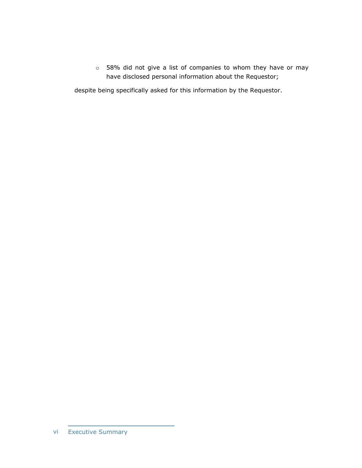o 58% did not give a list of companies to whom they have or may have disclosed personal information about the Requestor;

despite being specifically asked for this information by the Requestor.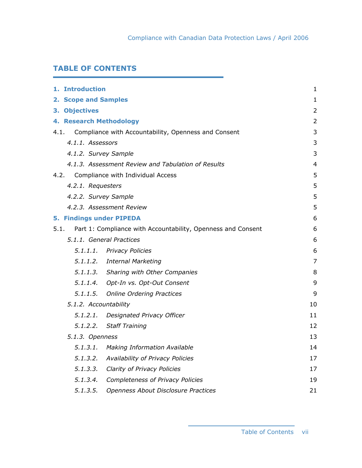## **TABLE OF CONTENTS**

| 1. Introduction       |                                                                   | $\mathbf{1}$   |
|-----------------------|-------------------------------------------------------------------|----------------|
|                       |                                                                   |                |
| 2. Scope and Samples  |                                                                   | 1              |
| 3. Objectives         |                                                                   | $\overline{2}$ |
|                       | 4. Research Methodology                                           | 2              |
|                       | 4.1. Compliance with Accountability, Openness and Consent         | 3              |
| 4.1.1. Assessors      |                                                                   | 3              |
| 4.1.2. Survey Sample  |                                                                   | 3              |
|                       | 4.1.3. Assessment Review and Tabulation of Results                | 4              |
|                       | 4.2. Compliance with Individual Access                            | 5              |
| 4.2.1. Requesters     |                                                                   | 5              |
| 4.2.2. Survey Sample  |                                                                   | 5              |
|                       | 4.2.3. Assessment Review                                          | 5              |
|                       | <b>5. Findings under PIPEDA</b>                                   | 6              |
|                       | 5.1. Part 1: Compliance with Accountability, Openness and Consent | 6              |
|                       | 5.1.1. General Practices                                          | 6              |
|                       | 5.1.1.1. Privacy Policies                                         | 6              |
|                       | 5.1.1.2. Internal Marketing                                       | $\overline{7}$ |
|                       | 5.1.1.3. Sharing with Other Companies                             | 8              |
|                       | 5.1.1.4. Opt-In vs. Opt-Out Consent                               | 9              |
|                       | 5.1.1.5. Online Ordering Practices                                | 9              |
| 5.1.2. Accountability |                                                                   | 10             |
| 5.1.2.1.              | Designated Privacy Officer                                        | 11             |
| 5.1.2.2.              | <b>Staff Training</b>                                             | 12             |
| 5.1.3. Openness       |                                                                   | 13             |
|                       | 5.1.3.1. Making Information Available                             | 14             |
| 5.1.3.2.              | Availability of Privacy Policies                                  | 17             |
| 5.1.3.3.              | Clarity of Privacy Policies                                       | 17             |
| 5.1.3.4.              | <b>Completeness of Privacy Policies</b>                           | 19             |
| 5.1.3.5.              | Openness About Disclosure Practices                               | 21             |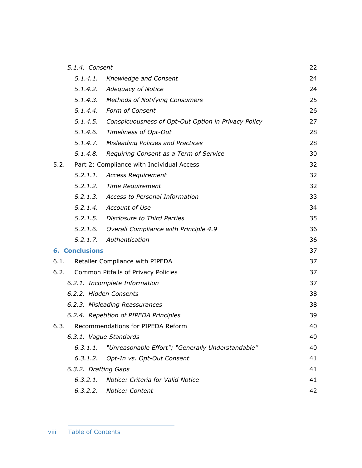|          |                                                   | 22                                                                                                                                                                                                                                                                                                                                                                                                                                                                                                                                                                                                                                                                                                                                                                                                                                                                                                                                                                                     |
|----------|---------------------------------------------------|----------------------------------------------------------------------------------------------------------------------------------------------------------------------------------------------------------------------------------------------------------------------------------------------------------------------------------------------------------------------------------------------------------------------------------------------------------------------------------------------------------------------------------------------------------------------------------------------------------------------------------------------------------------------------------------------------------------------------------------------------------------------------------------------------------------------------------------------------------------------------------------------------------------------------------------------------------------------------------------|
| 5.1.4.1. |                                                   | 24                                                                                                                                                                                                                                                                                                                                                                                                                                                                                                                                                                                                                                                                                                                                                                                                                                                                                                                                                                                     |
| 5.1.4.2. |                                                   | 24                                                                                                                                                                                                                                                                                                                                                                                                                                                                                                                                                                                                                                                                                                                                                                                                                                                                                                                                                                                     |
|          |                                                   | 25                                                                                                                                                                                                                                                                                                                                                                                                                                                                                                                                                                                                                                                                                                                                                                                                                                                                                                                                                                                     |
|          |                                                   | 26                                                                                                                                                                                                                                                                                                                                                                                                                                                                                                                                                                                                                                                                                                                                                                                                                                                                                                                                                                                     |
|          |                                                   | 27                                                                                                                                                                                                                                                                                                                                                                                                                                                                                                                                                                                                                                                                                                                                                                                                                                                                                                                                                                                     |
|          |                                                   | 28                                                                                                                                                                                                                                                                                                                                                                                                                                                                                                                                                                                                                                                                                                                                                                                                                                                                                                                                                                                     |
|          |                                                   | 28                                                                                                                                                                                                                                                                                                                                                                                                                                                                                                                                                                                                                                                                                                                                                                                                                                                                                                                                                                                     |
|          |                                                   | 30                                                                                                                                                                                                                                                                                                                                                                                                                                                                                                                                                                                                                                                                                                                                                                                                                                                                                                                                                                                     |
| 5.2.     |                                                   | 32                                                                                                                                                                                                                                                                                                                                                                                                                                                                                                                                                                                                                                                                                                                                                                                                                                                                                                                                                                                     |
|          |                                                   | 32                                                                                                                                                                                                                                                                                                                                                                                                                                                                                                                                                                                                                                                                                                                                                                                                                                                                                                                                                                                     |
|          |                                                   | 32                                                                                                                                                                                                                                                                                                                                                                                                                                                                                                                                                                                                                                                                                                                                                                                                                                                                                                                                                                                     |
|          |                                                   | 33                                                                                                                                                                                                                                                                                                                                                                                                                                                                                                                                                                                                                                                                                                                                                                                                                                                                                                                                                                                     |
|          |                                                   | 34                                                                                                                                                                                                                                                                                                                                                                                                                                                                                                                                                                                                                                                                                                                                                                                                                                                                                                                                                                                     |
|          |                                                   | 35                                                                                                                                                                                                                                                                                                                                                                                                                                                                                                                                                                                                                                                                                                                                                                                                                                                                                                                                                                                     |
| 5.2.1.6. |                                                   | 36                                                                                                                                                                                                                                                                                                                                                                                                                                                                                                                                                                                                                                                                                                                                                                                                                                                                                                                                                                                     |
| 5.2.1.7. |                                                   | 36                                                                                                                                                                                                                                                                                                                                                                                                                                                                                                                                                                                                                                                                                                                                                                                                                                                                                                                                                                                     |
|          |                                                   | 37                                                                                                                                                                                                                                                                                                                                                                                                                                                                                                                                                                                                                                                                                                                                                                                                                                                                                                                                                                                     |
|          |                                                   | 37                                                                                                                                                                                                                                                                                                                                                                                                                                                                                                                                                                                                                                                                                                                                                                                                                                                                                                                                                                                     |
|          |                                                   | 37                                                                                                                                                                                                                                                                                                                                                                                                                                                                                                                                                                                                                                                                                                                                                                                                                                                                                                                                                                                     |
|          |                                                   | 37                                                                                                                                                                                                                                                                                                                                                                                                                                                                                                                                                                                                                                                                                                                                                                                                                                                                                                                                                                                     |
|          |                                                   | 38                                                                                                                                                                                                                                                                                                                                                                                                                                                                                                                                                                                                                                                                                                                                                                                                                                                                                                                                                                                     |
|          |                                                   | 38                                                                                                                                                                                                                                                                                                                                                                                                                                                                                                                                                                                                                                                                                                                                                                                                                                                                                                                                                                                     |
|          |                                                   | 39                                                                                                                                                                                                                                                                                                                                                                                                                                                                                                                                                                                                                                                                                                                                                                                                                                                                                                                                                                                     |
| 6.3.     |                                                   | 40                                                                                                                                                                                                                                                                                                                                                                                                                                                                                                                                                                                                                                                                                                                                                                                                                                                                                                                                                                                     |
|          |                                                   | 40                                                                                                                                                                                                                                                                                                                                                                                                                                                                                                                                                                                                                                                                                                                                                                                                                                                                                                                                                                                     |
| 6.3.1.1. | "Unreasonable Effort"; "Generally Understandable" | 40                                                                                                                                                                                                                                                                                                                                                                                                                                                                                                                                                                                                                                                                                                                                                                                                                                                                                                                                                                                     |
| 6.3.1.2. | Opt-In vs. Opt-Out Consent                        | 41                                                                                                                                                                                                                                                                                                                                                                                                                                                                                                                                                                                                                                                                                                                                                                                                                                                                                                                                                                                     |
|          |                                                   | 41                                                                                                                                                                                                                                                                                                                                                                                                                                                                                                                                                                                                                                                                                                                                                                                                                                                                                                                                                                                     |
| 6.3.2.1. | Notice: Criteria for Valid Notice                 | 41                                                                                                                                                                                                                                                                                                                                                                                                                                                                                                                                                                                                                                                                                                                                                                                                                                                                                                                                                                                     |
|          |                                                   | 42                                                                                                                                                                                                                                                                                                                                                                                                                                                                                                                                                                                                                                                                                                                                                                                                                                                                                                                                                                                     |
|          |                                                   | 5.1.4. Consent<br>Knowledge and Consent<br>Adequacy of Notice<br>5.1.4.3. Methods of Notifying Consumers<br>5.1.4.4. Form of Consent<br>5.1.4.5. Conspicuousness of Opt-Out Option in Privacy Policy<br>5.1.4.6. Timeliness of Opt-Out<br>5.1.4.7. Misleading Policies and Practices<br>5.1.4.8. Requiring Consent as a Term of Service<br>Part 2: Compliance with Individual Access<br>5.2.1.1. Access Requirement<br>5.2.1.2. Time Requirement<br>5.2.1.3. Access to Personal Information<br>5.2.1.4. Account of Use<br>5.2.1.5. Disclosure to Third Parties<br>Overall Compliance with Principle 4.9<br>Authentication<br><b>6. Conclusions</b><br>Retailer Compliance with PIPEDA<br>Common Pitfalls of Privacy Policies<br>6.2.1. Incomplete Information<br>6.2.2. Hidden Consents<br>6.2.3. Misleading Reassurances<br>6.2.4. Repetition of PIPEDA Principles<br>Recommendations for PIPEDA Reform<br>6.3.1. Vague Standards<br>6.3.2. Drafting Gaps<br>6.3.2.2. Notice: Content |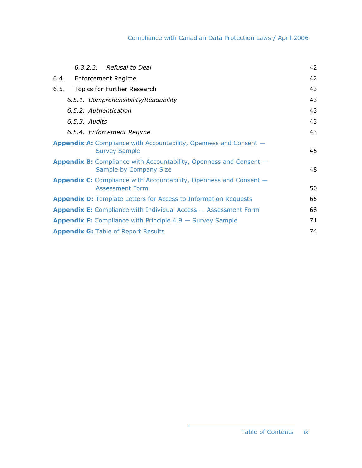## Compliance with Canadian Data Protection Laws / April 2006

| 6.3.2.3. Refusal to Deal                                                                                   | 42 |
|------------------------------------------------------------------------------------------------------------|----|
| <b>Enforcement Regime</b><br>6.4.                                                                          | 42 |
| Topics for Further Research<br>6.5.                                                                        | 43 |
| 6.5.1. Comprehensibility/Readability                                                                       | 43 |
| 6.5.2. Authentication                                                                                      | 43 |
| 6.5.3. Audits                                                                                              | 43 |
| 6.5.4. Enforcement Regime                                                                                  | 43 |
| <b>Appendix A:</b> Compliance with Accountability, Openness and Consent –<br><b>Survey Sample</b>          | 45 |
| <b>Appendix B:</b> Compliance with Accountability, Openness and Consent -<br><b>Sample by Company Size</b> | 48 |
| <b>Appendix C:</b> Compliance with Accountability, Openness and Consent –<br><b>Assessment Form</b>        | 50 |
| <b>Appendix D:</b> Template Letters for Access to Information Requests                                     | 65 |
| <b>Appendix E:</b> Compliance with Individual Access – Assessment Form                                     | 68 |
| <b>Appendix F:</b> Compliance with Principle $4.9 -$ Survey Sample                                         | 71 |
| <b>Appendix G: Table of Report Results</b>                                                                 | 74 |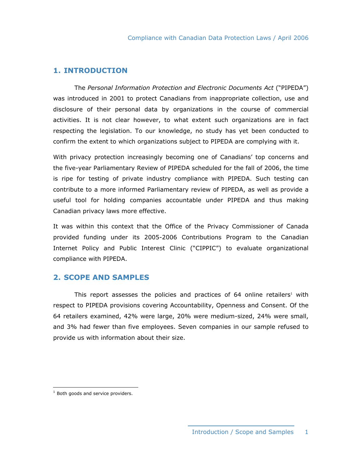#### **1. INTRODUCTION**

 The *Personal Information Protection and Electronic Documents Act* ("PIPEDA") was introduced in 2001 to protect Canadians from inappropriate collection, use and disclosure of their personal data by organizations in the course of commercial activities. It is not clear however, to what extent such organizations are in fact respecting the legislation. To our knowledge, no study has yet been conducted to confirm the extent to which organizations subject to PIPEDA are complying with it.

With privacy protection increasingly becoming one of Canadians' top concerns and the five-year Parliamentary Review of PIPEDA scheduled for the fall of 2006, the time is ripe for testing of private industry compliance with PIPEDA. Such testing can contribute to a more informed Parliamentary review of PIPEDA, as well as provide a useful tool for holding companies accountable under PIPEDA and thus making Canadian privacy laws more effective.

It was within this context that the Office of the Privacy Commissioner of Canada provided funding under its 2005-2006 Contributions Program to the Canadian Internet Policy and Public Interest Clinic ("CIPPIC") to evaluate organizational compliance with PIPEDA.

#### **2. SCOPE AND SAMPLES**

This report assesses the policies and practices of  $64$  online retailers<sup>1</sup> with respect to PIPEDA provisions covering Accountability, Openness and Consent. Of the 64 retailers examined, 42% were large, 20% were medium-sized, 24% were small, and 3% had fewer than five employees. Seven companies in our sample refused to provide us with information about their size.

 $\overline{a}$ 

 $1$  Both goods and service providers.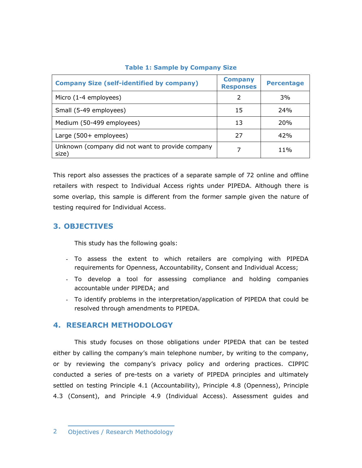| <b>Company Size (self-identified by company)</b>          | <b>Company</b><br><b>Responses</b> | <b>Percentage</b> |
|-----------------------------------------------------------|------------------------------------|-------------------|
| Micro (1-4 employees)                                     | 2                                  | 3%                |
| Small (5-49 employees)                                    | 15                                 | 24%               |
| Medium (50-499 employees)                                 | 13                                 | <b>20%</b>        |
| Large (500+ employees)                                    | 27                                 | 42%               |
| Unknown (company did not want to provide company<br>size) |                                    | $11\%$            |

#### **Table 1: Sample by Company Size**

This report also assesses the practices of a separate sample of 72 online and offline retailers with respect to Individual Access rights under PIPEDA. Although there is some overlap, this sample is different from the former sample given the nature of testing required for Individual Access.

### **3. OBJECTIVES**

This study has the following goals:

- To assess the extent to which retailers are complying with PIPEDA requirements for Openness, Accountability, Consent and Individual Access;
- To develop a tool for assessing compliance and holding companies accountable under PIPEDA; and
- To identify problems in the interpretation/application of PIPEDA that could be resolved through amendments to PIPEDA.

#### **4. RESEARCH METHODOLOGY**

 This study focuses on those obligations under PIPEDA that can be tested either by calling the company's main telephone number, by writing to the company, or by reviewing the company's privacy policy and ordering practices. CIPPIC conducted a series of pre-tests on a variety of PIPEDA principles and ultimately settled on testing Principle 4.1 (Accountability), Principle 4.8 (Openness), Principle 4.3 (Consent), and Principle 4.9 (Individual Access). Assessment guides and

<sup>2</sup> Objectives / Research Methodology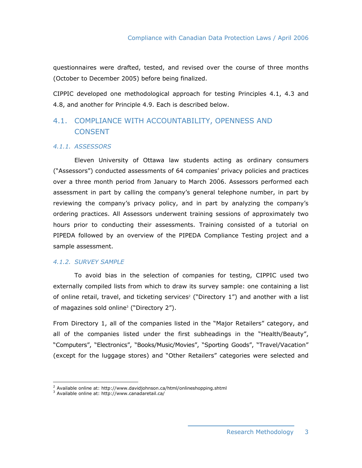questionnaires were drafted, tested, and revised over the course of three months (October to December 2005) before being finalized.

CIPPIC developed one methodological approach for testing Principles 4.1, 4.3 and 4.8, and another for Principle 4.9. Each is described below.

## 4.1. COMPLIANCE WITH ACCOUNTABILITY, OPENNESS AND **CONSENT**

#### *4.1.1. ASSESSORS*

 Eleven University of Ottawa law students acting as ordinary consumers ("Assessors") conducted assessments of 64 companies' privacy policies and practices over a three month period from January to March 2006. Assessors performed each assessment in part by calling the company's general telephone number, in part by reviewing the company's privacy policy, and in part by analyzing the company's ordering practices. All Assessors underwent training sessions of approximately two hours prior to conducting their assessments. Training consisted of a tutorial on PIPEDA followed by an overview of the PIPEDA Compliance Testing project and a sample assessment.

#### *4.1.2. SURVEY SAMPLE*

 To avoid bias in the selection of companies for testing, CIPPIC used two externally compiled lists from which to draw its survey sample: one containing a list of online retail, travel, and ticketing services<sup>2</sup> ("Directory  $1"$ ) and another with a list of magazines sold online<sup>3</sup> ("Directory 2").

From Directory 1, all of the companies listed in the "Major Retailers" category, and all of the companies listed under the first subheadings in the "Health/Beauty", "Computers", "Electronics", "Books/Music/Movies", "Sporting Goods", "Travel/Vacation" (except for the luggage stores) and "Other Retailers" categories were selected and

 $\overline{a}$ <sup>2</sup> Available online at: http://www.davidjohnson.ca/html/onlineshopping.shtml

<sup>3</sup> Available online at: http://www.canadaretail.ca/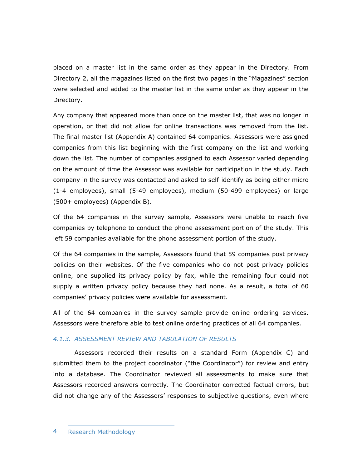placed on a master list in the same order as they appear in the Directory. From Directory 2, all the magazines listed on the first two pages in the "Magazines" section were selected and added to the master list in the same order as they appear in the Directory.

Any company that appeared more than once on the master list, that was no longer in operation, or that did not allow for online transactions was removed from the list. The final master list (Appendix A) contained 64 companies. Assessors were assigned companies from this list beginning with the first company on the list and working down the list. The number of companies assigned to each Assessor varied depending on the amount of time the Assessor was available for participation in the study. Each company in the survey was contacted and asked to self-identify as being either micro (1-4 employees), small (5-49 employees), medium (50-499 employees) or large (500+ employees) (Appendix B).

Of the 64 companies in the survey sample, Assessors were unable to reach five companies by telephone to conduct the phone assessment portion of the study. This left 59 companies available for the phone assessment portion of the study.

Of the 64 companies in the sample, Assessors found that 59 companies post privacy policies on their websites. Of the five companies who do not post privacy policies online, one supplied its privacy policy by fax, while the remaining four could not supply a written privacy policy because they had none. As a result, a total of 60 companies' privacy policies were available for assessment.

All of the 64 companies in the survey sample provide online ordering services. Assessors were therefore able to test online ordering practices of all 64 companies.

#### *4.1.3. ASSESSMENT REVIEW AND TABULATION OF RESULTS*

 Assessors recorded their results on a standard Form (Appendix C) and submitted them to the project coordinator ("the Coordinator") for review and entry into a database. The Coordinator reviewed all assessments to make sure that Assessors recorded answers correctly. The Coordinator corrected factual errors, but did not change any of the Assessors' responses to subjective questions, even where

<sup>4</sup> Research Methodology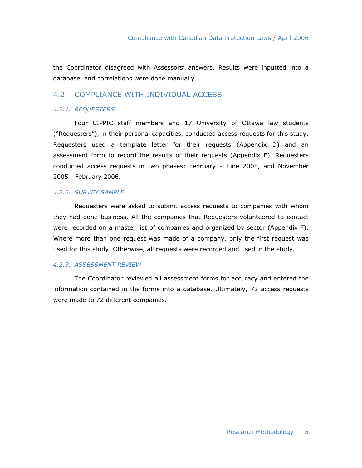the Coordinator disagreed with Assessors' answers. Results were inputted into a database, and correlations were done manually.

#### 4.2. COMPLIANCE WITH INDIVIDUAL ACCESS

#### *4.2.1. REQUESTERS*

 Four CIPPIC staff members and 17 University of Ottawa law students ("Requesters"), in their personal capacities, conducted access requests for this study. Requesters used a template letter for their requests (Appendix D) and an assessment form to record the results of their requests (Appendix E). Requesters conducted access requests in two phases: February - June 2005, and November 2005 - February 2006.

#### *4.2.2. SURVEY SAMPLE*

 Requesters were asked to submit access requests to companies with whom they had done business. All the companies that Requesters volunteered to contact were recorded on a master list of companies and organized by sector (Appendix F). Where more than one request was made of a company, only the first request was used for this study. Otherwise, all requests were recorded and used in the study.

#### *4.2.3. ASSESSMENT REVIEW*

 The Coordinator reviewed all assessment forms for accuracy and entered the information contained in the forms into a database. Ultimately, 72 access requests were made to 72 different companies.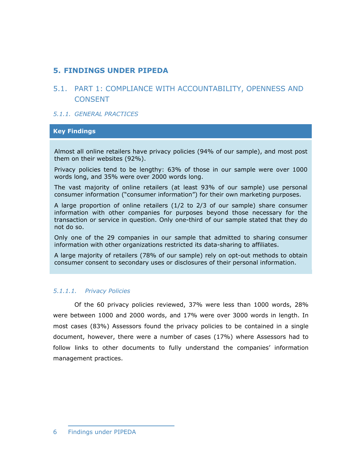## **5. FINDINGS UNDER PIPEDA**

## 5.1. PART 1: COMPLIANCE WITH ACCOUNTABILITY, OPENNESS AND **CONSENT**

#### *5.1.1. GENERAL PRACTICES*

#### **Key Findings**

Almost all online retailers have privacy policies (94% of our sample), and most post them on their websites (92%).

Privacy policies tend to be lengthy: 63% of those in our sample were over 1000 words long, and 35% were over 2000 words long.

The vast majority of online retailers (at least 93% of our sample) use personal consumer information ("consumer information") for their own marketing purposes.

A large proportion of online retailers (1/2 to 2/3 of our sample) share consumer information with other companies for purposes beyond those necessary for the transaction or service in question. Only one-third of our sample stated that they do not do so.

Only one of the 29 companies in our sample that admitted to sharing consumer information with other organizations restricted its data-sharing to affiliates.

A large majority of retailers (78% of our sample) rely on opt-out methods to obtain consumer consent to secondary uses or disclosures of their personal information.

#### *5.1.1.1. Privacy Policies*

 Of the 60 privacy policies reviewed, 37% were less than 1000 words, 28% were between 1000 and 2000 words, and 17% were over 3000 words in length. In most cases (83%) Assessors found the privacy policies to be contained in a single document, however, there were a number of cases (17%) where Assessors had to follow links to other documents to fully understand the companies' information management practices.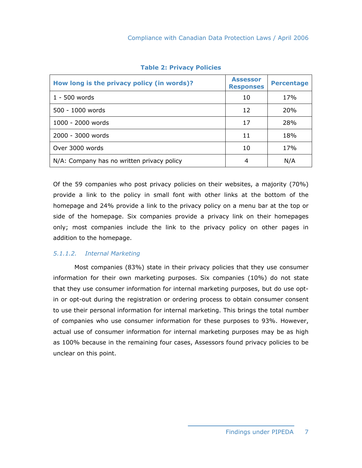| How long is the privacy policy (in words)? | <b>Assessor</b><br><b>Responses</b> | <b>Percentage</b> |
|--------------------------------------------|-------------------------------------|-------------------|
| $1 - 500$ words                            | 10                                  | 17%               |
| 500 - 1000 words                           | 12                                  | 20%               |
| 1000 - 2000 words                          | 17                                  | 28%               |
| 2000 - 3000 words                          | 11                                  | 18%               |
| Over 3000 words                            | 10                                  | 17%               |
| N/A: Company has no written privacy policy | 4                                   | N/A               |

**Table 2: Privacy Policies** 

Of the 59 companies who post privacy policies on their websites, a majority (70%) provide a link to the policy in small font with other links at the bottom of the homepage and 24% provide a link to the privacy policy on a menu bar at the top or side of the homepage. Six companies provide a privacy link on their homepages only; most companies include the link to the privacy policy on other pages in addition to the homepage.

#### *5.1.1.2. Internal Marketing*

 Most companies (83%) state in their privacy policies that they use consumer information for their own marketing purposes. Six companies (10%) do not state that they use consumer information for internal marketing purposes, but do use optin or opt-out during the registration or ordering process to obtain consumer consent to use their personal information for internal marketing. This brings the total number of companies who use consumer information for these purposes to 93%. However, actual use of consumer information for internal marketing purposes may be as high as 100% because in the remaining four cases, Assessors found privacy policies to be unclear on this point.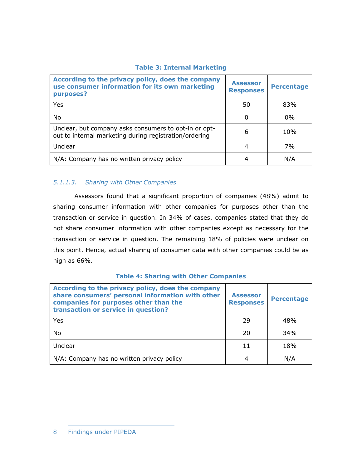#### **Table 3: Internal Marketing**

| According to the privacy policy, does the company<br>use consumer information for its own marketing<br>purposes? | <b>Assessor</b><br><b>Responses</b> | <b>Percentage</b> |
|------------------------------------------------------------------------------------------------------------------|-------------------------------------|-------------------|
| Yes                                                                                                              | 50                                  | 83%               |
| No                                                                                                               | 0                                   | $0\%$             |
| Unclear, but company asks consumers to opt-in or opt-<br>out to internal marketing during registration/ordering  | 6                                   | 10%               |
| Unclear                                                                                                          | 4                                   | 7%                |
| N/A: Company has no written privacy policy                                                                       |                                     | N/A               |

## *5.1.1.3. Sharing with Other Companies*

 Assessors found that a significant proportion of companies (48%) admit to sharing consumer information with other companies for purposes other than the transaction or service in question. In 34% of cases, companies stated that they do not share consumer information with other companies except as necessary for the transaction or service in question. The remaining 18% of policies were unclear on this point. Hence, actual sharing of consumer data with other companies could be as high as 66%.

#### **Table 4: Sharing with Other Companies**

| According to the privacy policy, does the company<br>share consumers' personal information with other<br>companies for purposes other than the<br>transaction or service in question? | <b>Assessor</b><br><b>Responses</b> | <b>Percentage</b> |
|---------------------------------------------------------------------------------------------------------------------------------------------------------------------------------------|-------------------------------------|-------------------|
| Yes                                                                                                                                                                                   | 29                                  | 48%               |
| No                                                                                                                                                                                    | 20                                  | 34%               |
| Unclear                                                                                                                                                                               | 11                                  | 18%               |
| N/A: Company has no written privacy policy                                                                                                                                            | 4                                   | N/A               |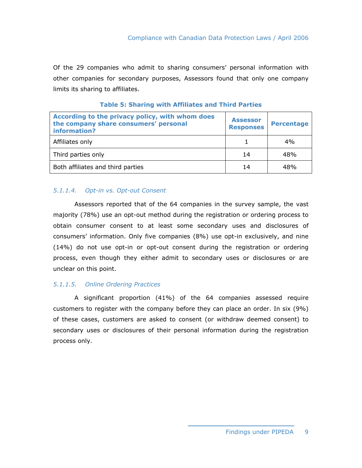Of the 29 companies who admit to sharing consumers' personal information with other companies for secondary purposes, Assessors found that only one company limits its sharing to affiliates.

| According to the privacy policy, with whom does<br>the company share consumers' personal<br>information? | <b>Assessor</b><br><b>Responses</b> | <b>Percentage</b> |
|----------------------------------------------------------------------------------------------------------|-------------------------------------|-------------------|
| Affiliates only                                                                                          |                                     | 4%                |
| Third parties only                                                                                       | 14                                  | 48%               |
| Both affiliates and third parties                                                                        | 14                                  | 48%               |

|  |  |  | <b>Table 5: Sharing with Affiliates and Third Parties</b> |  |  |  |
|--|--|--|-----------------------------------------------------------|--|--|--|
|--|--|--|-----------------------------------------------------------|--|--|--|

#### *5.1.1.4. Opt-in vs. Opt-out Consent*

 Assessors reported that of the 64 companies in the survey sample, the vast majority (78%) use an opt-out method during the registration or ordering process to obtain consumer consent to at least some secondary uses and disclosures of consumers' information. Only five companies (8%) use opt-in exclusively, and nine (14%) do not use opt-in or opt-out consent during the registration or ordering process, even though they either admit to secondary uses or disclosures or are unclear on this point.

#### *5.1.1.5. Online Ordering Practices*

 A significant proportion (41%) of the 64 companies assessed require customers to register with the company before they can place an order. In six (9%) of these cases, customers are asked to consent (or withdraw deemed consent) to secondary uses or disclosures of their personal information during the registration process only.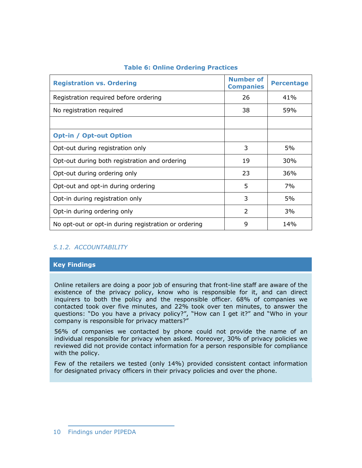| <b>Registration vs. Ordering</b>                     | <b>Number of</b><br><b>Companies</b> | <b>Percentage</b> |
|------------------------------------------------------|--------------------------------------|-------------------|
| Registration required before ordering                | 26                                   | 41%               |
| No registration required                             | 38                                   | 59%               |
|                                                      |                                      |                   |
| <b>Opt-in / Opt-out Option</b>                       |                                      |                   |
| Opt-out during registration only                     | 3                                    | 5%                |
| Opt-out during both registration and ordering        | 19                                   | 30%               |
| Opt-out during ordering only                         | 23                                   | 36%               |
| Opt-out and opt-in during ordering                   | 5                                    | 7%                |
| Opt-in during registration only                      | 3                                    | 5%                |
| Opt-in during ordering only                          | 2                                    | 3%                |
| No opt-out or opt-in during registration or ordering | 9                                    | 14%               |

#### **Table 6: Online Ordering Practices**

#### *5.1.2. ACCOUNTABILITY*

#### **Key Findings**

Online retailers are doing a poor job of ensuring that front-line staff are aware of the existence of the privacy policy, know who is responsible for it, and can direct inquirers to both the policy and the responsible officer. 68% of companies we contacted took over five minutes, and 22% took over ten minutes, to answer the questions: "Do you have a privacy policy?", "How can I get it?" and "Who in your company is responsible for privacy matters?"

56% of companies we contacted by phone could not provide the name of an individual responsible for privacy when asked. Moreover, 30% of privacy policies we reviewed did not provide contact information for a person responsible for compliance with the policy.

Few of the retailers we tested (only 14%) provided consistent contact information for designated privacy officers in their privacy policies and over the phone.

<sup>10</sup> Findings under PIPEDA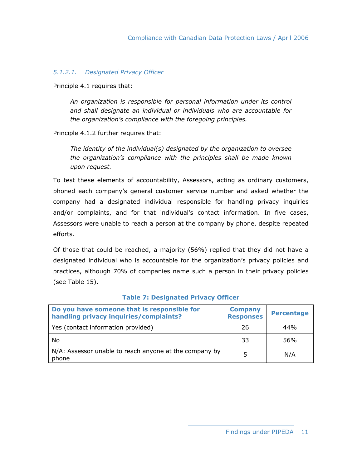#### *5.1.2.1. Designated Privacy Officer*

Principle 4.1 requires that:

*An organization is responsible for personal information under its control and shall designate an individual or individuals who are accountable for the organization's compliance with the foregoing principles.* 

Principle 4.1.2 further requires that:

*The identity of the individual(s) designated by the organization to oversee the organization's compliance with the principles shall be made known upon request.* 

To test these elements of accountability, Assessors, acting as ordinary customers, phoned each company's general customer service number and asked whether the company had a designated individual responsible for handling privacy inquiries and/or complaints, and for that individual's contact information. In five cases, Assessors were unable to reach a person at the company by phone, despite repeated efforts.

Of those that could be reached, a majority (56%) replied that they did not have a designated individual who is accountable for the organization's privacy policies and practices, although 70% of companies name such a person in their privacy policies (see Table 15).

| Do you have someone that is responsible for<br>handling privacy inquiries/complaints? | <b>Company</b><br><b>Responses</b> | <b>Percentage</b> |
|---------------------------------------------------------------------------------------|------------------------------------|-------------------|
| Yes (contact information provided)                                                    | 26                                 | 44%               |
| No                                                                                    | 33                                 | 56%               |
| N/A: Assessor unable to reach anyone at the company by<br>phone                       | 5                                  | N/A               |

#### **Table 7: Designated Privacy Officer**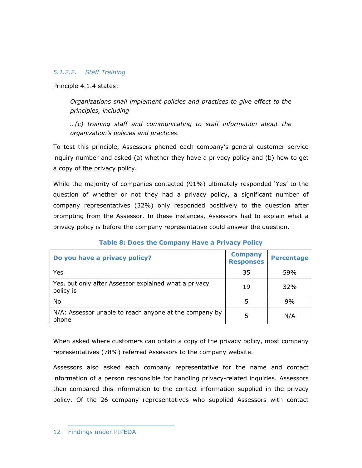#### *5.1.2.2. Staff Training*

Principle 4.1.4 states:

*Organizations shall implement policies and practices to give effect to the principles, including* 

*…(c) training staff and communicating to staff information about the organization's policies and practices.* 

To test this principle, Assessors phoned each company's general customer service inquiry number and asked (a) whether they have a privacy policy and (b) how to get a copy of the privacy policy.

While the majority of companies contacted (91%) ultimately responded 'Yes' to the question of whether or not they had a privacy policy, a significant number of company representatives (32%) only responded positively to the question after prompting from the Assessor. In these instances, Assessors had to explain what a privacy policy is before the company representative could answer the question.

| Do you have a privacy policy?                                      | <b>Company</b><br><b>Responses</b> | <b>Percentage</b> |
|--------------------------------------------------------------------|------------------------------------|-------------------|
| Yes                                                                | 35                                 | 59%               |
| Yes, but only after Assessor explained what a privacy<br>policy is | 19                                 | 32%               |
| No                                                                 | 5                                  | 9%                |
| N/A: Assessor unable to reach anyone at the company by<br>phone    | 5                                  | N/A               |

#### **Table 8: Does the Company Have a Privacy Policy**

When asked where customers can obtain a copy of the privacy policy, most company representatives (78%) referred Assessors to the company website.

Assessors also asked each company representative for the name and contact information of a person responsible for handling privacy-related inquiries. Assessors then compared this information to the contact information supplied in the privacy policy. Of the 26 company representatives who supplied Assessors with contact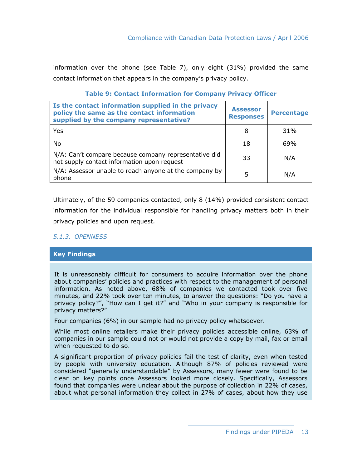information over the phone (see Table 7), only eight (31%) provided the same contact information that appears in the company's privacy policy.

| Is the contact information supplied in the privacy<br>policy the same as the contact information<br>supplied by the company representative? | <b>Assessor</b><br><b>Responses</b> | <b>Percentage</b> |
|---------------------------------------------------------------------------------------------------------------------------------------------|-------------------------------------|-------------------|
| Yes                                                                                                                                         | 8                                   | 31%               |
| No.                                                                                                                                         | 18                                  | 69%               |
| N/A: Can't compare because company representative did<br>not supply contact information upon request                                        | 33                                  | N/A               |
| N/A: Assessor unable to reach anyone at the company by<br>phone                                                                             | 5                                   | N/A               |

#### **Table 9: Contact Information for Company Privacy Officer**

Ultimately, of the 59 companies contacted, only 8 (14%) provided consistent contact information for the individual responsible for handling privacy matters both in their privacy policies and upon request.

#### *5.1.3. OPENNESS*

#### **Key Findings**

It is unreasonably difficult for consumers to acquire information over the phone about companies' policies and practices with respect to the management of personal information. As noted above, 68% of companies we contacted took over five minutes, and 22% took over ten minutes, to answer the questions: "Do you have a privacy policy?", "How can I get it?" and "Who in your company is responsible for privacy matters?"

Four companies (6%) in our sample had no privacy policy whatsoever.

While most online retailers make their privacy policies accessible online, 63% of companies in our sample could not or would not provide a copy by mail, fax or email when requested to do so.

A significant proportion of privacy policies fail the test of clarity, even when tested by people with university education. Although 87% of policies reviewed were considered "generally understandable" by Assessors, many fewer were found to be clear on key points once Assessors looked more closely. Specifically, Assessors found that companies were unclear about the purpose of collection in 22% of cases, about what personal information they collect in 27% of cases, about how they use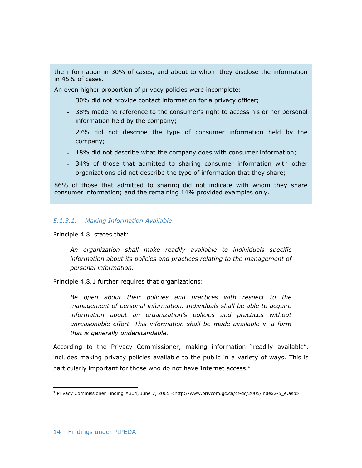the information in 30% of cases, and about to whom they disclose the information in 45% of cases.

An even higher proportion of privacy policies were incomplete:

- 30% did not provide contact information for a privacy officer;
- 38% made no reference to the consumer's right to access his or her personal information held by the company;
- 27% did not describe the type of consumer information held by the company;
- 18% did not describe what the company does with consumer information;
- 34% of those that admitted to sharing consumer information with other organizations did not describe the type of information that they share;

86% of those that admitted to sharing did not indicate with whom they share consumer information; and the remaining 14% provided examples only.

#### *5.1.3.1. Making Information Available*

Principle 4.8. states that:

*An organization shall make readily available to individuals specific information about its policies and practices relating to the management of personal information.* 

Principle 4.8.1 further requires that organizations:

*Be open about their policies and practices with respect to the management of personal information. Individuals shall be able to acquire information about an organization's policies and practices without unreasonable effort. This information shall be made available in a form that is generally understandable.* 

According to the Privacy Commissioner, making information "readily available", includes making privacy policies available to the public in a variety of ways. This is particularly important for those who do not have Internet access.4

 $\overline{a}$ 

<sup>4</sup> Privacy Commissioner Finding #304, June 7, 2005 <http://www.privcom.gc.ca/cf-dc/2005/index2-5\_e.asp>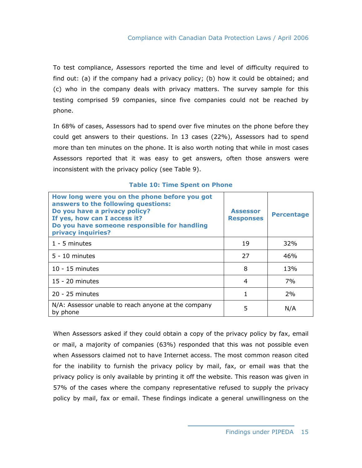To test compliance, Assessors reported the time and level of difficulty required to find out: (a) if the company had a privacy policy; (b) how it could be obtained; and (c) who in the company deals with privacy matters. The survey sample for this testing comprised 59 companies, since five companies could not be reached by phone.

In 68% of cases, Assessors had to spend over five minutes on the phone before they could get answers to their questions. In 13 cases (22%), Assessors had to spend more than ten minutes on the phone. It is also worth noting that while in most cases Assessors reported that it was easy to get answers, often those answers were inconsistent with the privacy policy (see Table 9).

| How long were you on the phone before you got<br>answers to the following questions:<br>Do you have a privacy policy?<br>If yes, how can I access it?<br>Do you have someone responsible for handling<br>privacy inquiries? | <b>Assessor</b><br><b>Responses</b> | <b>Percentage</b> |
|-----------------------------------------------------------------------------------------------------------------------------------------------------------------------------------------------------------------------------|-------------------------------------|-------------------|
| $1 - 5$ minutes                                                                                                                                                                                                             | 19                                  | 32%               |
| $5 - 10$ minutes                                                                                                                                                                                                            | 27                                  | 46%               |
| $10 - 15$ minutes                                                                                                                                                                                                           | 8                                   | 13%               |
| $15 - 20$ minutes                                                                                                                                                                                                           | 4                                   | 7%                |
| $20 - 25$ minutes                                                                                                                                                                                                           |                                     | 2%                |
| N/A: Assessor unable to reach anyone at the company<br>by phone                                                                                                                                                             | 5                                   | N/A               |

#### **Table 10: Time Spent on Phone**

When Assessors asked if they could obtain a copy of the privacy policy by fax, email or mail, a majority of companies (63%) responded that this was not possible even when Assessors claimed not to have Internet access. The most common reason cited for the inability to furnish the privacy policy by mail, fax, or email was that the privacy policy is only available by printing it off the website. This reason was given in 57% of the cases where the company representative refused to supply the privacy policy by mail, fax or email. These findings indicate a general unwillingness on the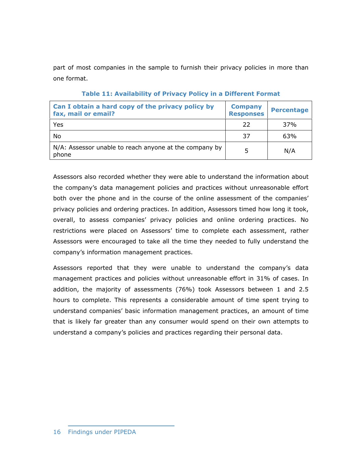part of most companies in the sample to furnish their privacy policies in more than one format.

| Can I obtain a hard copy of the privacy policy by<br>fax, mail or email? | <b>Company</b><br><b>Responses</b> | <b>Percentage</b> |
|--------------------------------------------------------------------------|------------------------------------|-------------------|
| Yes                                                                      | 22                                 | 37%               |
| No                                                                       | 37                                 | 63%               |
| N/A: Assessor unable to reach anyone at the company by<br>phone          | 5                                  | N/A               |

#### **Table 11: Availability of Privacy Policy in a Different Format**

Assessors also recorded whether they were able to understand the information about the company's data management policies and practices without unreasonable effort both over the phone and in the course of the online assessment of the companies' privacy policies and ordering practices. In addition, Assessors timed how long it took, overall, to assess companies' privacy policies and online ordering practices. No restrictions were placed on Assessors' time to complete each assessment, rather Assessors were encouraged to take all the time they needed to fully understand the company's information management practices.

Assessors reported that they were unable to understand the company's data management practices and policies without unreasonable effort in 31% of cases. In addition, the majority of assessments (76%) took Assessors between 1 and 2.5 hours to complete. This represents a considerable amount of time spent trying to understand companies' basic information management practices, an amount of time that is likely far greater than any consumer would spend on their own attempts to understand a company's policies and practices regarding their personal data.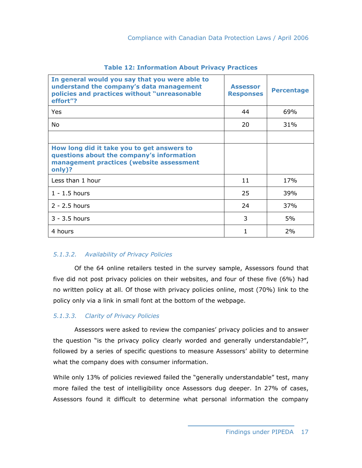| In general would you say that you were able to<br>understand the company's data management<br>policies and practices without "unreasonable<br>effort"? | <b>Assessor</b><br><b>Responses</b> | <b>Percentage</b> |
|--------------------------------------------------------------------------------------------------------------------------------------------------------|-------------------------------------|-------------------|
| <b>Yes</b>                                                                                                                                             | 44                                  | 69%               |
| No.                                                                                                                                                    | 20                                  | 31%               |
|                                                                                                                                                        |                                     |                   |
| How long did it take you to get answers to<br>questions about the company's information<br>management practices (website assessment<br>only)?          |                                     |                   |
| Less than 1 hour                                                                                                                                       | 11                                  | 17%               |
| $1 - 1.5$ hours                                                                                                                                        | 25                                  | 39%               |
| $2 - 2.5$ hours                                                                                                                                        | 24                                  | 37%               |
| $3 - 3.5$ hours                                                                                                                                        | 3                                   | 5%                |
| 4 hours                                                                                                                                                | 1                                   | 2%                |

#### **Table 12: Information About Privacy Practices**

#### *5.1.3.2. Availability of Privacy Policies*

 Of the 64 online retailers tested in the survey sample, Assessors found that five did not post privacy policies on their websites, and four of these five (6%) had no written policy at all. Of those with privacy policies online, most (70%) link to the policy only via a link in small font at the bottom of the webpage.

#### *5.1.3.3. Clarity of Privacy Policies*

 Assessors were asked to review the companies' privacy policies and to answer the question "is the privacy policy clearly worded and generally understandable?", followed by a series of specific questions to measure Assessors' ability to determine what the company does with consumer information.

While only 13% of policies reviewed failed the "generally understandable" test, many more failed the test of intelligibility once Assessors dug deeper. In 27% of cases, Assessors found it difficult to determine what personal information the company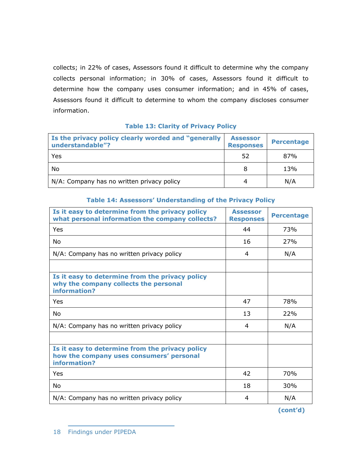collects; in 22% of cases, Assessors found it difficult to determine why the company collects personal information; in 30% of cases, Assessors found it difficult to determine how the company uses consumer information; and in 45% of cases, Assessors found it difficult to determine to whom the company discloses consumer information.

| Is the privacy policy clearly worded and "generally"<br>understandable"? | <b>Assessor</b><br><b>Responses</b> | <b>Percentage</b> |
|--------------------------------------------------------------------------|-------------------------------------|-------------------|
| Yes                                                                      | 52                                  | 87%               |
| No                                                                       | 8                                   | 13%               |
| N/A: Company has no written privacy policy                               | 4                                   | N/A               |

#### **Table 13: Clarity of Privacy Policy**

| Is it easy to determine from the privacy policy<br>what personal information the company collects?          | <b>Assessor</b><br><b>Responses</b> | <b>Percentage</b> |
|-------------------------------------------------------------------------------------------------------------|-------------------------------------|-------------------|
| Yes                                                                                                         | 44                                  | 73%               |
| No                                                                                                          | 16                                  | 27%               |
| N/A: Company has no written privacy policy                                                                  | 4                                   | N/A               |
| Is it easy to determine from the privacy policy<br>why the company collects the personal<br>information?    |                                     |                   |
| Yes                                                                                                         | 47                                  | 78%               |
| No                                                                                                          | 13                                  | 22%               |
| N/A: Company has no written privacy policy                                                                  | 4                                   | N/A               |
| Is it easy to determine from the privacy policy<br>how the company uses consumers' personal<br>information? |                                     |                   |
| Yes                                                                                                         | 42                                  | 70%               |
| No                                                                                                          | 18                                  | 30%               |
| N/A: Company has no written privacy policy                                                                  | 4                                   | N/A               |

#### **Table 14: Assessors' Understanding of the Privacy Policy**

**(cont'd)** 

<sup>18</sup> Findings under PIPEDA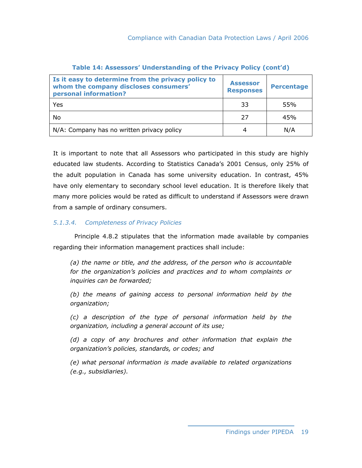| Is it easy to determine from the privacy policy to<br>whom the company discloses consumers'<br>personal information? | <b>Assessor</b><br><b>Responses</b> | <b>Percentage</b> |
|----------------------------------------------------------------------------------------------------------------------|-------------------------------------|-------------------|
| Yes                                                                                                                  | 33                                  | 55%               |
| No                                                                                                                   | 27                                  | 45%               |
| N/A: Company has no written privacy policy                                                                           | 4                                   | N/A               |

#### **Table 14: Assessors' Understanding of the Privacy Policy (cont'd)**

It is important to note that all Assessors who participated in this study are highly educated law students. According to Statistics Canada's 2001 Census, only 25% of the adult population in Canada has some university education. In contrast, 45% have only elementary to secondary school level education. It is therefore likely that many more policies would be rated as difficult to understand if Assessors were drawn from a sample of ordinary consumers.

#### *5.1.3.4. Completeness of Privacy Policies*

 Principle 4.8.2 stipulates that the information made available by companies regarding their information management practices shall include:

*(a) the name or title, and the address, of the person who is accountable for the organization's policies and practices and to whom complaints or inquiries can be forwarded;* 

*(b) the means of gaining access to personal information held by the organization;* 

*(c) a description of the type of personal information held by the organization, including a general account of its use;* 

*(d) a copy of any brochures and other information that explain the organization's policies, standards, or codes; and* 

*(e) what personal information is made available to related organizations (e.g., subsidiaries).*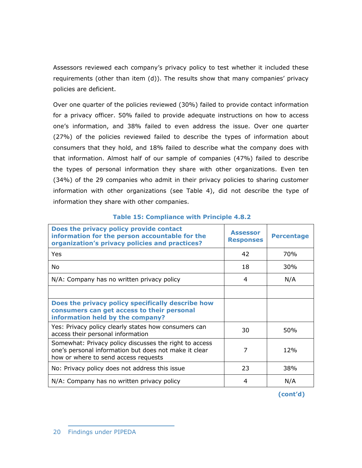Assessors reviewed each company's privacy policy to test whether it included these requirements (other than item (d)). The results show that many companies' privacy policies are deficient.

Over one quarter of the policies reviewed (30%) failed to provide contact information for a privacy officer. 50% failed to provide adequate instructions on how to access one's information, and 38% failed to even address the issue. Over one quarter (27%) of the policies reviewed failed to describe the types of information about consumers that they hold, and 18% failed to describe what the company does with that information. Almost half of our sample of companies (47%) failed to describe the types of personal information they share with other organizations. Even ten (34%) of the 29 companies who admit in their privacy policies to sharing customer information with other organizations (see Table 4), did not describe the type of information they share with other companies.

| Does the privacy policy provide contact<br>information for the person accountable for the<br>organization's privacy policies and practices?             | <b>Assessor</b><br><b>Responses</b> | <b>Percentage</b> |
|---------------------------------------------------------------------------------------------------------------------------------------------------------|-------------------------------------|-------------------|
| Yes                                                                                                                                                     | 42                                  | 70%               |
| No.                                                                                                                                                     | 18                                  | 30%               |
| N/A: Company has no written privacy policy                                                                                                              | 4                                   | N/A               |
|                                                                                                                                                         |                                     |                   |
| Does the privacy policy specifically describe how<br>consumers can get access to their personal<br>information held by the company?                     |                                     |                   |
| Yes: Privacy policy clearly states how consumers can<br>access their personal information                                                               | 30                                  | 50%               |
| Somewhat: Privacy policy discusses the right to access<br>one's personal information but does not make it clear<br>how or where to send access requests | 7                                   | 12%               |
| No: Privacy policy does not address this issue                                                                                                          | 23                                  | 38%               |
| N/A: Company has no written privacy policy                                                                                                              | 4                                   | N/A               |

#### **Table 15: Compliance with Principle 4.8.2**

**(cont'd)**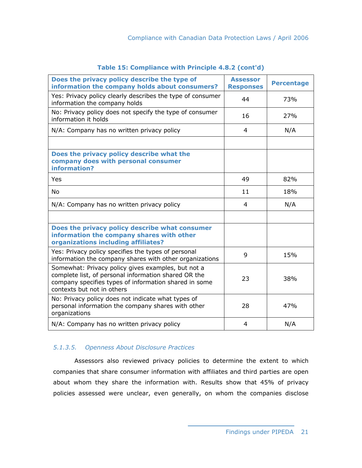| Does the privacy policy describe the type of<br>information the company holds about consumers?                                                                                                    | <b>Assessor</b><br><b>Responses</b> | <b>Percentage</b> |
|---------------------------------------------------------------------------------------------------------------------------------------------------------------------------------------------------|-------------------------------------|-------------------|
| Yes: Privacy policy clearly describes the type of consumer<br>information the company holds                                                                                                       | 44                                  | 73%               |
| No: Privacy policy does not specify the type of consumer<br>information it holds                                                                                                                  | 16                                  | 27%               |
| N/A: Company has no written privacy policy                                                                                                                                                        | 4                                   | N/A               |
|                                                                                                                                                                                                   |                                     |                   |
| Does the privacy policy describe what the<br>company does with personal consumer<br>information?                                                                                                  |                                     |                   |
| Yes                                                                                                                                                                                               | 49                                  | 82%               |
| <b>No</b>                                                                                                                                                                                         | 11                                  | 18%               |
| N/A: Company has no written privacy policy                                                                                                                                                        | 4                                   | N/A               |
|                                                                                                                                                                                                   |                                     |                   |
| Does the privacy policy describe what consumer<br>information the company shares with other<br>organizations including affiliates?                                                                |                                     |                   |
| Yes: Privacy policy specifies the types of personal<br>information the company shares with other organizations                                                                                    | 9                                   | 15%               |
| Somewhat: Privacy policy gives examples, but not a<br>complete list, of personal information shared OR the<br>company specifies types of information shared in some<br>contexts but not in others | 23                                  | 38%               |
| No: Privacy policy does not indicate what types of<br>personal information the company shares with other<br>organizations                                                                         | 28                                  | 47%               |
| N/A: Company has no written privacy policy                                                                                                                                                        | 4                                   | N/A               |

#### **Table 15: Compliance with Principle 4.8.2 (cont'd)**

#### *5.1.3.5. Openness About Disclosure Practices*

 Assessors also reviewed privacy policies to determine the extent to which companies that share consumer information with affiliates and third parties are open about whom they share the information with. Results show that 45% of privacy policies assessed were unclear, even generally, on whom the companies disclose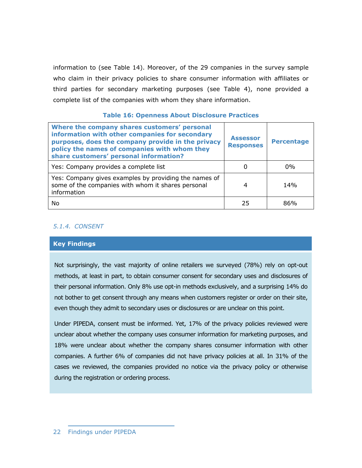information to (see Table 14). Moreover, of the 29 companies in the survey sample who claim in their privacy policies to share consumer information with affiliates or third parties for secondary marketing purposes (see Table 4), none provided a complete list of the companies with whom they share information.

#### **Table 16: Openness About Disclosure Practices**

| Where the company shares customers' personal<br>information with other companies for secondary<br>purposes, does the company provide in the privacy<br>policy the names of companies with whom they<br>share customers' personal information? | <b>Assessor</b><br><b>Responses</b> | <b>Percentage</b> |
|-----------------------------------------------------------------------------------------------------------------------------------------------------------------------------------------------------------------------------------------------|-------------------------------------|-------------------|
| Yes: Company provides a complete list                                                                                                                                                                                                         |                                     | $0\%$             |
| Yes: Company gives examples by providing the names of<br>some of the companies with whom it shares personal<br>information                                                                                                                    | 4                                   | 14%               |
| No                                                                                                                                                                                                                                            | 25                                  | 86%               |

#### *5.1.4. CONSENT*

#### **Key Findings**

Not surprisingly, the vast majority of online retailers we surveyed (78%) rely on opt-out methods, at least in part, to obtain consumer consent for secondary uses and disclosures of their personal information. Only 8% use opt-in methods exclusively, and a surprising 14% do not bother to get consent through any means when customers register or order on their site, even though they admit to secondary uses or disclosures or are unclear on this point.

Under PIPEDA, consent must be informed. Yet, 17% of the privacy policies reviewed were unclear about whether the company uses consumer information for marketing purposes, and 18% were unclear about whether the company shares consumer information with other companies. A further 6% of companies did not have privacy policies at all. In 31% of the cases we reviewed, the companies provided no notice via the privacy policy or otherwise during the registration or ordering process.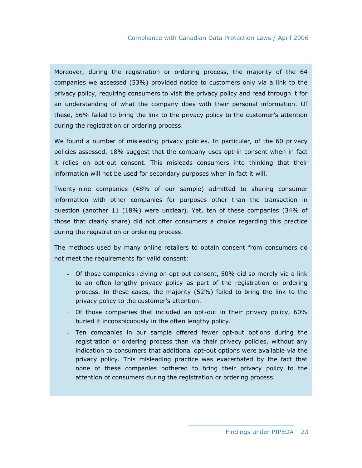Moreover, during the registration or ordering process, the majority of the 64 companies we assessed (53%) provided notice to customers only via a link to the privacy policy, requiring consumers to visit the privacy policy and read through it for an understanding of what the company does with their personal information. Of these, 56% failed to bring the link to the privacy policy to the customer's attention during the registration or ordering process.

We found a number of misleading privacy policies. In particular, of the 60 privacy policies assessed, 18% suggest that the company uses opt-in consent when in fact it relies on opt-out consent. This misleads consumers into thinking that their information will not be used for secondary purposes when in fact it will.

Twenty-nine companies (48% of our sample) admitted to sharing consumer information with other companies for purposes other than the transaction in question (another 11 (18%) were unclear). Yet, ten of these companies (34% of those that clearly share) did not offer consumers a choice regarding this practice during the registration or ordering process.

The methods used by many online retailers to obtain consent from consumers do not meet the requirements for valid consent:

- Of those companies relying on opt-out consent, 50% did so merely via a link to an often lengthy privacy policy as part of the registration or ordering process. In these cases, the majority (52%) failed to bring the link to the privacy policy to the customer's attention.
- Of those companies that included an opt-out in their privacy policy, 60% buried it inconspicuously in the often lengthy policy.
- Ten companies in our sample offered fewer opt-out options during the registration or ordering process than via their privacy policies, without any indication to consumers that additional opt-out options were available via the privacy policy. This misleading practice was exacerbated by the fact that none of these companies bothered to bring their privacy policy to the attention of consumers during the registration or ordering process.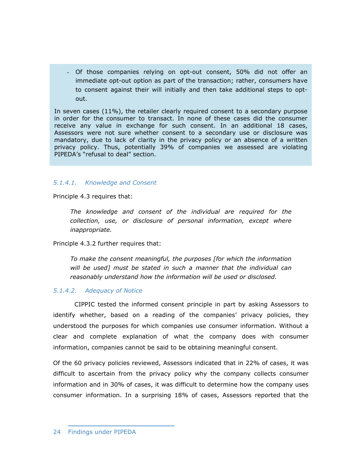Of those companies relying on opt-out consent, 50% did not offer an immediate opt-out option as part of the transaction; rather, consumers have to consent against their will initially and then take additional steps to optout.

In seven cases (11%), the retailer clearly required consent to a secondary purpose in order for the consumer to transact. In none of these cases did the consumer receive any value in exchange for such consent. In an additional 18 cases, Assessors were not sure whether consent to a secondary use or disclosure was mandatory, due to lack of clarity in the privacy policy or an absence of a written privacy policy. Thus, potentially 39% of companies we assessed are violating PIPEDA's "refusal to deal" section.

#### *5.1.4.1. Knowledge and Consent*

Principle 4.3 requires that:

*The knowledge and consent of the individual are required for the collection, use, or disclosure of personal information, except where inappropriate.* 

Principle 4.3.2 further requires that:

*To make the consent meaningful, the purposes [for which the information will be used] must be stated in such a manner that the individual can reasonably understand how the information will be used or disclosed.* 

#### *5.1.4.2. Adequacy of Notice*

 CIPPIC tested the informed consent principle in part by asking Assessors to identify whether, based on a reading of the companies' privacy policies, they understood the purposes for which companies use consumer information. Without a clear and complete explanation of what the company does with consumer information, companies cannot be said to be obtaining meaningful consent.

Of the 60 privacy policies reviewed, Assessors indicated that in 22% of cases, it was difficult to ascertain from the privacy policy why the company collects consumer information and in 30% of cases, it was difficult to determine how the company uses consumer information. In a surprising 18% of cases, Assessors reported that the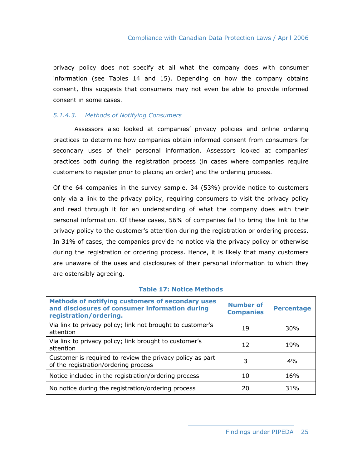privacy policy does not specify at all what the company does with consumer information (see Tables 14 and 15). Depending on how the company obtains consent, this suggests that consumers may not even be able to provide informed consent in some cases.

#### *5.1.4.3. Methods of Notifying Consumers*

 Assessors also looked at companies' privacy policies and online ordering practices to determine how companies obtain informed consent from consumers for secondary uses of their personal information. Assessors looked at companies' practices both during the registration process (in cases where companies require customers to register prior to placing an order) and the ordering process.

Of the 64 companies in the survey sample, 34 (53%) provide notice to customers only via a link to the privacy policy, requiring consumers to visit the privacy policy and read through it for an understanding of what the company does with their personal information. Of these cases, 56% of companies fail to bring the link to the privacy policy to the customer's attention during the registration or ordering process. In 31% of cases, the companies provide no notice via the privacy policy or otherwise during the registration or ordering process. Hence, it is likely that many customers are unaware of the uses and disclosures of their personal information to which they are ostensibly agreeing.

| Methods of notifying customers of secondary uses<br>and disclosures of consumer information during<br>registration/ordering. | <b>Number of</b><br><b>Companies</b> | <b>Percentage</b> |
|------------------------------------------------------------------------------------------------------------------------------|--------------------------------------|-------------------|
| Via link to privacy policy; link not brought to customer's<br>attention                                                      | 19                                   | 30%               |
| Via link to privacy policy; link brought to customer's<br>attention                                                          | 12                                   | 19%               |
| Customer is required to review the privacy policy as part<br>of the registration/ordering process                            | 3                                    | 4%                |
| Notice included in the registration/ordering process                                                                         | 10                                   | 16%               |
| No notice during the registration/ordering process                                                                           | 20                                   | 31%               |

#### **Table 17: Notice Methods**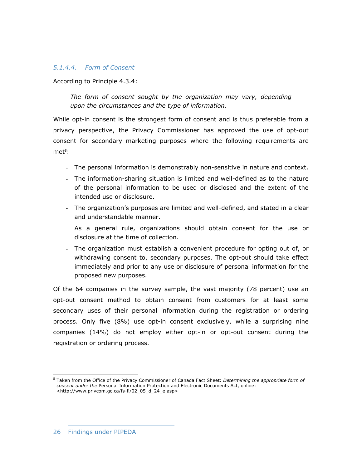## *5.1.4.4. Form of Consent*

According to Principle 4.3.4:

*The form of consent sought by the organization may vary, depending upon the circumstances and the type of information.* 

While opt-in consent is the strongest form of consent and is thus preferable from a privacy perspective, the Privacy Commissioner has approved the use of opt-out consent for secondary marketing purposes where the following requirements are met<sup>5</sup>:

- The personal information is demonstrably non-sensitive in nature and context.
- The information-sharing situation is limited and well-defined as to the nature of the personal information to be used or disclosed and the extent of the intended use or disclosure.
- The organization's purposes are limited and well-defined, and stated in a clear and understandable manner.
- As a general rule, organizations should obtain consent for the use or disclosure at the time of collection.
- The organization must establish a convenient procedure for opting out of, or withdrawing consent to, secondary purposes. The opt-out should take effect immediately and prior to any use or disclosure of personal information for the proposed new purposes.

Of the 64 companies in the survey sample, the vast majority (78 percent) use an opt-out consent method to obtain consent from customers for at least some secondary uses of their personal information during the registration or ordering process. Only five (8%) use opt-in consent exclusively, while a surprising nine companies (14%) do not employ either opt-in or opt-out consent during the registration or ordering process.

 $\overline{a}$ 5 Taken from the Office of the Privacy Commissioner of Canada Fact Sheet: *Determining the appropriate form of consent under the* Personal Information Protection and Electronic Documents Act, online: <http://www.privcom.gc.ca/fs-fi/02\_05\_d\_24\_e.asp>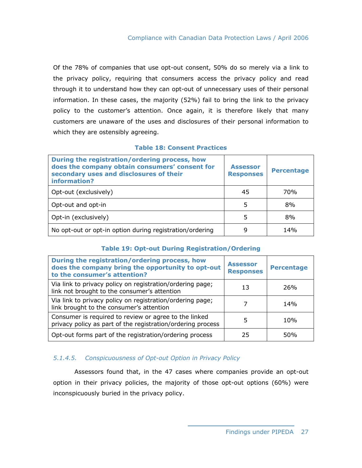Of the 78% of companies that use opt-out consent, 50% do so merely via a link to the privacy policy, requiring that consumers access the privacy policy and read through it to understand how they can opt-out of unnecessary uses of their personal information. In these cases, the majority (52%) fail to bring the link to the privacy policy to the customer's attention. Once again, it is therefore likely that many customers are unaware of the uses and disclosures of their personal information to which they are ostensibly agreeing.

## **Table 18: Consent Practices**

| During the registration/ordering process, how<br>does the company obtain consumers' consent for<br>secondary uses and disclosures of their<br>information? | <b>Assessor</b><br><b>Responses</b> | <b>Percentage</b> |
|------------------------------------------------------------------------------------------------------------------------------------------------------------|-------------------------------------|-------------------|
| Opt-out (exclusively)                                                                                                                                      | 45                                  | 70 <sub>%</sub>   |
| Opt-out and opt-in                                                                                                                                         | 5                                   | 8%                |
| Opt-in (exclusively)                                                                                                                                       | 5                                   | 8%                |
| No opt-out or opt-in option during registration/ordering                                                                                                   | q                                   | 14%               |

## **Table 19: Opt-out During Registration/Ordering**

| During the registration/ordering process, how<br>does the company bring the opportunity to opt-out<br>to the consumer's attention? | <b>Assessor</b><br><b>Responses</b> | <b>Percentage</b> |
|------------------------------------------------------------------------------------------------------------------------------------|-------------------------------------|-------------------|
| Via link to privacy policy on registration/ordering page;<br>link not brought to the consumer's attention                          | 13                                  | 26%               |
| Via link to privacy policy on registration/ordering page;<br>link brought to the consumer's attention                              |                                     | 14%               |
| Consumer is required to review or agree to the linked<br>privacy policy as part of the registration/ordering process               | 5                                   | 10%               |
| Opt-out forms part of the registration/ordering process                                                                            | 25                                  | 50%               |

## *5.1.4.5. Conspicuousness of Opt-out Option in Privacy Policy*

 Assessors found that, in the 47 cases where companies provide an opt-out option in their privacy policies, the majority of those opt-out options (60%) were inconspicuously buried in the privacy policy.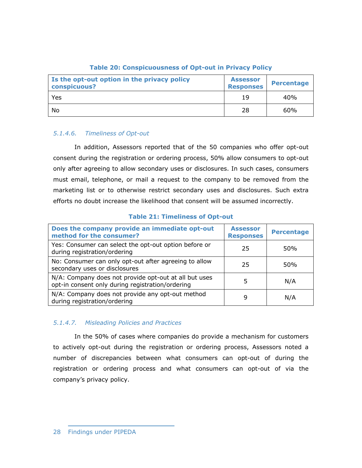| Is the opt-out option in the privacy policy<br>conspicuous? | <b>Assessor</b><br><b>Responses</b> | <b>Percentage</b> |
|-------------------------------------------------------------|-------------------------------------|-------------------|
| Yes                                                         | 19                                  | 40%               |
| No                                                          | 28                                  | 60%               |

## **Table 20: Conspicuousness of Opt-out in Privacy Policy**

# *5.1.4.6. Timeliness of Opt-out*

 In addition, Assessors reported that of the 50 companies who offer opt-out consent during the registration or ordering process, 50% allow consumers to opt-out only after agreeing to allow secondary uses or disclosures. In such cases, consumers must email, telephone, or mail a request to the company to be removed from the marketing list or to otherwise restrict secondary uses and disclosures. Such extra efforts no doubt increase the likelihood that consent will be assumed incorrectly.

| Does the company provide an immediate opt-out<br>method for the consumer?                                 | <b>Assessor</b><br><b>Responses</b> | <b>Percentage</b> |
|-----------------------------------------------------------------------------------------------------------|-------------------------------------|-------------------|
| Yes: Consumer can select the opt-out option before or<br>during registration/ordering                     | 25                                  | 50%               |
| No: Consumer can only opt-out after agreeing to allow<br>secondary uses or disclosures                    | 25                                  | 50%               |
| N/A: Company does not provide opt-out at all but uses<br>opt-in consent only during registration/ordering | 5                                   | N/A               |
| N/A: Company does not provide any opt-out method<br>during registration/ordering                          | 9                                   | N/A               |

**Table 21: Timeliness of Opt-out** 

## *5.1.4.7. Misleading Policies and Practices*

 In the 50% of cases where companies do provide a mechanism for customers to actively opt-out during the registration or ordering process, Assessors noted a number of discrepancies between what consumers can opt-out of during the registration or ordering process and what consumers can opt-out of via the company's privacy policy.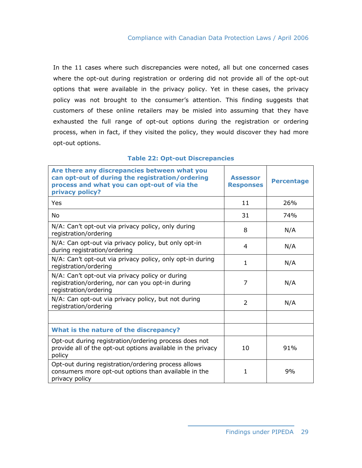In the 11 cases where such discrepancies were noted, all but one concerned cases where the opt-out during registration or ordering did not provide all of the opt-out options that were available in the privacy policy. Yet in these cases, the privacy policy was not brought to the consumer's attention. This finding suggests that customers of these online retailers may be misled into assuming that they have exhausted the full range of opt-out options during the registration or ordering process, when in fact, if they visited the policy, they would discover they had more opt-out options.

| Are there any discrepancies between what you<br>can opt-out of during the registration/ordering<br>process and what you can opt-out of via the<br>privacy policy? | <b>Assessor</b><br><b>Responses</b> | <b>Percentage</b> |
|-------------------------------------------------------------------------------------------------------------------------------------------------------------------|-------------------------------------|-------------------|
| Yes                                                                                                                                                               | 11                                  | 26%               |
| No                                                                                                                                                                | 31                                  | 74%               |
| N/A: Can't opt-out via privacy policy, only during<br>registration/ordering                                                                                       | 8                                   | N/A               |
| N/A: Can opt-out via privacy policy, but only opt-in<br>during registration/ordering                                                                              | 4                                   | N/A               |
| N/A: Can't opt-out via privacy policy, only opt-in during<br>registration/ordering                                                                                | 1                                   | N/A               |
| N/A: Can't opt-out via privacy policy or during<br>registration/ordering, nor can you opt-in during<br>registration/ordering                                      | 7                                   | N/A               |
| N/A: Can opt-out via privacy policy, but not during<br>registration/ordering                                                                                      | $\overline{2}$                      | N/A               |
|                                                                                                                                                                   |                                     |                   |
| What is the nature of the discrepancy?                                                                                                                            |                                     |                   |
| Opt-out during registration/ordering process does not<br>provide all of the opt-out options available in the privacy<br>policy                                    | 10                                  | 91%               |
| Opt-out during registration/ordering process allows<br>consumers more opt-out options than available in the<br>privacy policy                                     | $\mathbf{1}$                        | 9%                |

## **Table 22: Opt-out Discrepancies**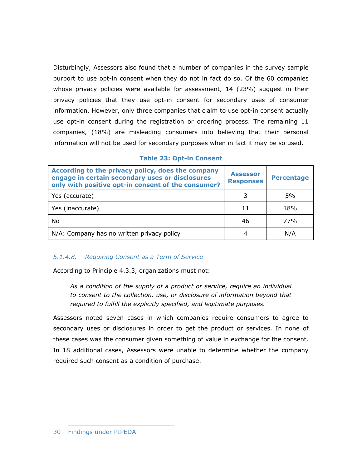Disturbingly, Assessors also found that a number of companies in the survey sample purport to use opt-in consent when they do not in fact do so. Of the 60 companies whose privacy policies were available for assessment, 14 (23%) suggest in their privacy policies that they use opt-in consent for secondary uses of consumer information. However, only three companies that claim to use opt-in consent actually use opt-in consent during the registration or ordering process. The remaining 11 companies, (18%) are misleading consumers into believing that their personal information will not be used for secondary purposes when in fact it may be so used.

#### **Table 23: Opt-in Consent**

| According to the privacy policy, does the company<br>engage in certain secondary uses or disclosures<br>only with positive opt-in consent of the consumer? | <b>Assessor</b><br><b>Responses</b> | <b>Percentage</b> |
|------------------------------------------------------------------------------------------------------------------------------------------------------------|-------------------------------------|-------------------|
| Yes (accurate)                                                                                                                                             |                                     | 5%                |
| Yes (inaccurate)                                                                                                                                           | 11                                  | 18%               |
| No                                                                                                                                                         | 46                                  | 77%               |
| N/A: Company has no written privacy policy                                                                                                                 | 4                                   | N/A               |

## *5.1.4.8. Requiring Consent as a Term of Service*

According to Principle 4.3.3, organizations must not:

*As a condition of the supply of a product or service, require an individual to consent to the collection, use, or disclosure of information beyond that required to fulfill the explicitly specified, and legitimate purposes.* 

Assessors noted seven cases in which companies require consumers to agree to secondary uses or disclosures in order to get the product or services. In none of these cases was the consumer given something of value in exchange for the consent. In 18 additional cases, Assessors were unable to determine whether the company required such consent as a condition of purchase.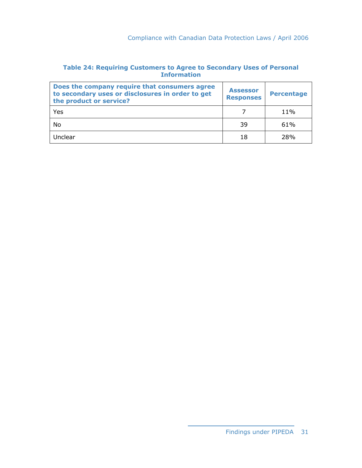# **Table 24: Requiring Customers to Agree to Secondary Uses of Personal Information**

| Does the company require that consumers agree<br>to secondary uses or disclosures in order to get<br>the product or service? | <b>Assessor</b><br><b>Responses</b> | <b>Percentage</b> |
|------------------------------------------------------------------------------------------------------------------------------|-------------------------------------|-------------------|
| Yes                                                                                                                          |                                     | 11%               |
| No                                                                                                                           | 39                                  | 61%               |
| Unclear                                                                                                                      | 18                                  | 28%               |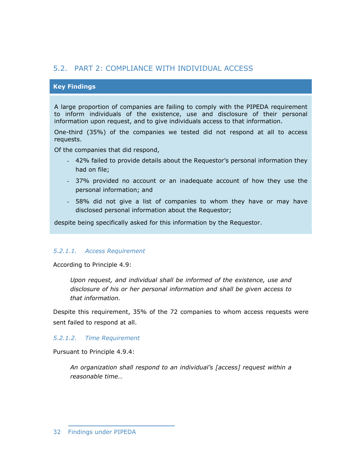# 5.2. PART 2: COMPLIANCE WITH INDIVIDUAL ACCESS

## **Key Findings**

A large proportion of companies are failing to comply with the PIPEDA requirement to inform individuals of the existence, use and disclosure of their personal information upon request, and to give individuals access to that information.

One-third (35%) of the companies we tested did not respond at all to access requests.

Of the companies that did respond,

- 42% failed to provide details about the Requestor's personal information they had on file;
- 37% provided no account or an inadequate account of how they use the personal information; and
- 58% did not give a list of companies to whom they have or may have disclosed personal information about the Requestor;

despite being specifically asked for this information by the Requestor.

#### *5.2.1.1. Access Requirement*

According to Principle 4.9:

*Upon request, and individual shall be informed of the existence, use and disclosure of his or her personal information and shall be given access to that information.* 

Despite this requirement, 35% of the 72 companies to whom access requests were sent failed to respond at all.

## *5.2.1.2. Time Requirement*

Pursuant to Principle 4.9.4:

*An organization shall respond to an individual's [access] request within a reasonable time…*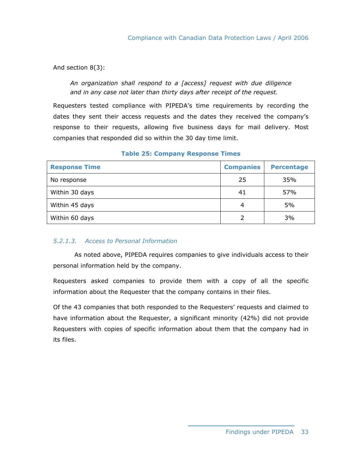## And section 8(3):

*An organization shall respond to a [access] request with due diligence and in any case not later than thirty days after receipt of the request.* 

Requesters tested compliance with PIPEDA's time requirements by recording the dates they sent their access requests and the dates they received the company's response to their requests, allowing five business days for mail delivery. Most companies that responded did so within the 30 day time limit.

| <b>Response Time</b> | <b>Companies</b> | <b>Percentage</b> |
|----------------------|------------------|-------------------|
| No response          | 25               | 35%               |
| Within 30 days       | 41               | 57%               |
| Within 45 days       | 4                | 5%                |
| Within 60 days       | 2                | 3%                |

## **Table 25: Company Response Times**

## *5.2.1.3. Access to Personal Information*

 As noted above, PIPEDA requires companies to give individuals access to their personal information held by the company.

Requesters asked companies to provide them with a copy of all the specific information about the Requester that the company contains in their files.

Of the 43 companies that both responded to the Requesters' requests and claimed to have information about the Requester, a significant minority (42%) did not provide Requesters with copies of specific information about them that the company had in its files.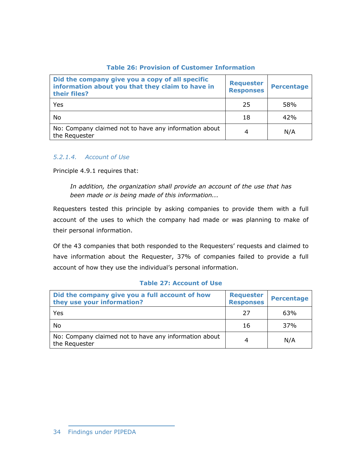## **Table 26: Provision of Customer Information**

| Did the company give you a copy of all specific<br>information about you that they claim to have in<br>their files? | <b>Requester</b><br><b>Responses</b> | <b>Percentage</b> |
|---------------------------------------------------------------------------------------------------------------------|--------------------------------------|-------------------|
| Yes                                                                                                                 | 25                                   | 58%               |
| No                                                                                                                  | 18                                   | 42%               |
| No: Company claimed not to have any information about<br>the Requester                                              | 4                                    | N/A               |

## *5.2.1.4. Account of Use*

Principle 4.9.1 requires that:

*In addition, the organization shall provide an account of the use that has been made or is being made of this information...* 

Requesters tested this principle by asking companies to provide them with a full account of the uses to which the company had made or was planning to make of their personal information.

Of the 43 companies that both responded to the Requesters' requests and claimed to have information about the Requester, 37% of companies failed to provide a full account of how they use the individual's personal information.

| Did the company give you a full account of how<br>they use your information? | <b>Requester</b><br><b>Responses</b> | <b>Percentage</b> |
|------------------------------------------------------------------------------|--------------------------------------|-------------------|
| Yes                                                                          | 27                                   | 63%               |
| No                                                                           | 16                                   | 37%               |
| No: Company claimed not to have any information about<br>the Requester       | 4                                    | N/A               |

## **Table 27: Account of Use**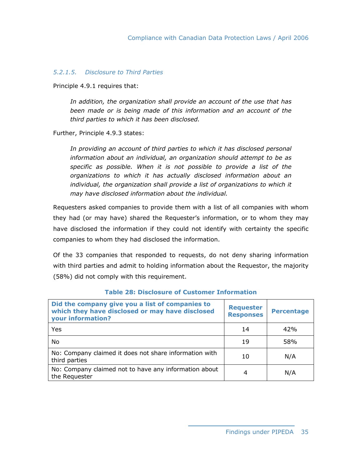## *5.2.1.5. Disclosure to Third Parties*

Principle 4.9.1 requires that:

*In addition, the organization shall provide an account of the use that has been made or is being made of this information and an account of the third parties to which it has been disclosed.* 

Further, Principle 4.9.3 states:

In providing an account of third parties to which it has disclosed personal *information about an individual, an organization should attempt to be as specific as possible. When it is not possible to provide a list of the organizations to which it has actually disclosed information about an individual, the organization shall provide a list of organizations to which it may have disclosed information about the individual.* 

Requesters asked companies to provide them with a list of all companies with whom they had (or may have) shared the Requester's information, or to whom they may have disclosed the information if they could not identify with certainty the specific companies to whom they had disclosed the information.

Of the 33 companies that responded to requests, do not deny sharing information with third parties and admit to holding information about the Requestor, the majority (58%) did not comply with this requirement.

| Did the company give you a list of companies to<br>which they have disclosed or may have disclosed<br>your information? | <b>Requester</b><br><b>Responses</b> | <b>Percentage</b> |
|-------------------------------------------------------------------------------------------------------------------------|--------------------------------------|-------------------|
| Yes                                                                                                                     | 14                                   | 42%               |
| No.                                                                                                                     | 19                                   | 58%               |
| No: Company claimed it does not share information with<br>third parties                                                 | 10                                   | N/A               |
| No: Company claimed not to have any information about<br>the Requester                                                  | 4                                    | N/A               |

#### **Table 28: Disclosure of Customer Information**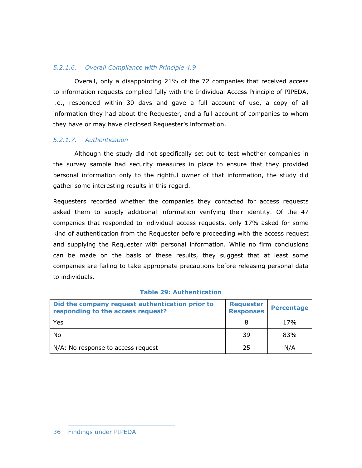## *5.2.1.6. Overall Compliance with Principle 4.9*

 Overall, only a disappointing 21% of the 72 companies that received access to information requests complied fully with the Individual Access Principle of PIPEDA, i.e., responded within 30 days and gave a full account of use, a copy of all information they had about the Requester, and a full account of companies to whom they have or may have disclosed Requester's information.

## *5.2.1.7. Authentication*

 Although the study did not specifically set out to test whether companies in the survey sample had security measures in place to ensure that they provided personal information only to the rightful owner of that information, the study did gather some interesting results in this regard.

Requesters recorded whether the companies they contacted for access requests asked them to supply additional information verifying their identity. Of the 47 companies that responded to individual access requests, only 17% asked for some kind of authentication from the Requester before proceeding with the access request and supplying the Requester with personal information. While no firm conclusions can be made on the basis of these results, they suggest that at least some companies are failing to take appropriate precautions before releasing personal data to individuals.

| Did the company request authentication prior to<br>responding to the access request? | <b>Requester</b><br><b>Responses</b> | <b>Percentage</b> |
|--------------------------------------------------------------------------------------|--------------------------------------|-------------------|
| Yes                                                                                  |                                      | 17%               |
| No                                                                                   | 39                                   | 83%               |
| N/A: No response to access request                                                   | 25                                   | N/A               |

#### **Table 29: Authentication**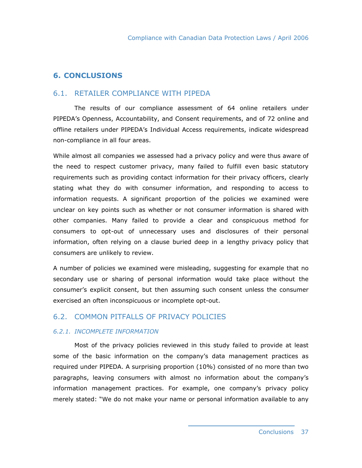# **6. CONCLUSIONS**

## 6.1. RETAILER COMPLIANCE WITH PIPEDA

 The results of our compliance assessment of 64 online retailers under PIPEDA's Openness, Accountability, and Consent requirements, and of 72 online and offline retailers under PIPEDA's Individual Access requirements, indicate widespread non-compliance in all four areas.

While almost all companies we assessed had a privacy policy and were thus aware of the need to respect customer privacy, many failed to fulfill even basic statutory requirements such as providing contact information for their privacy officers, clearly stating what they do with consumer information, and responding to access to information requests. A significant proportion of the policies we examined were unclear on key points such as whether or not consumer information is shared with other companies. Many failed to provide a clear and conspicuous method for consumers to opt-out of unnecessary uses and disclosures of their personal information, often relying on a clause buried deep in a lengthy privacy policy that consumers are unlikely to review.

A number of policies we examined were misleading, suggesting for example that no secondary use or sharing of personal information would take place without the consumer's explicit consent, but then assuming such consent unless the consumer exercised an often inconspicuous or incomplete opt-out.

# 6.2. COMMON PITFALLS OF PRIVACY POLICIES

## *6.2.1. INCOMPLETE INFORMATION*

 Most of the privacy policies reviewed in this study failed to provide at least some of the basic information on the company's data management practices as required under PIPEDA. A surprising proportion (10%) consisted of no more than two paragraphs, leaving consumers with almost no information about the company's information management practices. For example, one company's privacy policy merely stated: "We do not make your name or personal information available to any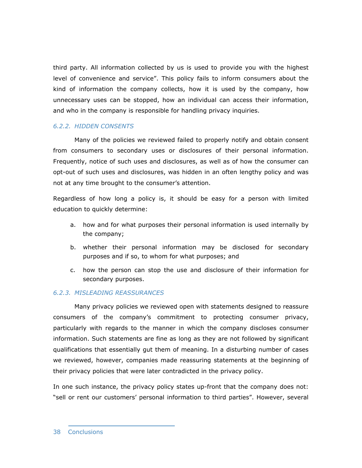third party. All information collected by us is used to provide you with the highest level of convenience and service". This policy fails to inform consumers about the kind of information the company collects, how it is used by the company, how unnecessary uses can be stopped, how an individual can access their information, and who in the company is responsible for handling privacy inquiries.

## *6.2.2. HIDDEN CONSENTS*

 Many of the policies we reviewed failed to properly notify and obtain consent from consumers to secondary uses or disclosures of their personal information. Frequently, notice of such uses and disclosures, as well as of how the consumer can opt-out of such uses and disclosures, was hidden in an often lengthy policy and was not at any time brought to the consumer's attention.

Regardless of how long a policy is, it should be easy for a person with limited education to quickly determine:

- a. how and for what purposes their personal information is used internally by the company;
- b. whether their personal information may be disclosed for secondary purposes and if so, to whom for what purposes; and
- c. how the person can stop the use and disclosure of their information for secondary purposes.

### *6.2.3. MISLEADING REASSURANCES*

 Many privacy policies we reviewed open with statements designed to reassure consumers of the company's commitment to protecting consumer privacy, particularly with regards to the manner in which the company discloses consumer information. Such statements are fine as long as they are not followed by significant qualifications that essentially gut them of meaning. In a disturbing number of cases we reviewed, however, companies made reassuring statements at the beginning of their privacy policies that were later contradicted in the privacy policy.

In one such instance, the privacy policy states up-front that the company does not: "sell or rent our customers' personal information to third parties". However, several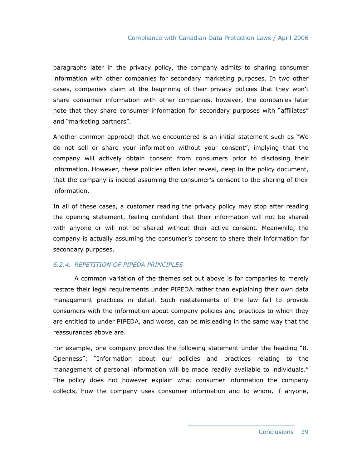paragraphs later in the privacy policy, the company admits to sharing consumer information with other companies for secondary marketing purposes. In two other cases, companies claim at the beginning of their privacy policies that they won't share consumer information with other companies, however, the companies later note that they share consumer information for secondary purposes with "affiliates" and "marketing partners".

Another common approach that we encountered is an initial statement such as "We do not sell or share your information without your consent", implying that the company will actively obtain consent from consumers prior to disclosing their information. However, these policies often later reveal, deep in the policy document, that the company is indeed assuming the consumer's consent to the sharing of their information.

In all of these cases, a customer reading the privacy policy may stop after reading the opening statement, feeling confident that their information will not be shared with anyone or will not be shared without their active consent. Meanwhile, the company is actually assuming the consumer's consent to share their information for secondary purposes.

#### *6.2.4. REPETITION OF PIPEDA PRINCIPLES*

 A common variation of the themes set out above is for companies to merely restate their legal requirements under PIPEDA rather than explaining their own data management practices in detail. Such restatements of the law fail to provide consumers with the information about company policies and practices to which they are entitled to under PIPEDA, and worse, can be misleading in the same way that the reassurances above are.

For example, one company provides the following statement under the heading "8. Openness": "Information about our policies and practices relating to the management of personal information will be made readily available to individuals." The policy does not however explain what consumer information the company collects, how the company uses consumer information and to whom, if anyone,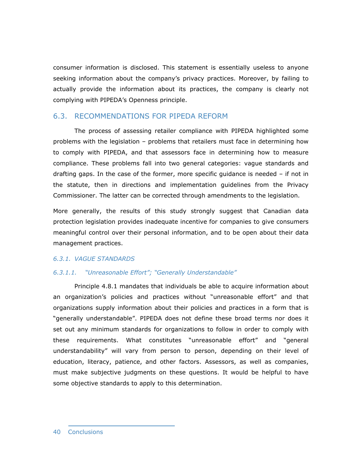consumer information is disclosed. This statement is essentially useless to anyone seeking information about the company's privacy practices. Moreover, by failing to actually provide the information about its practices, the company is clearly not complying with PIPEDA's Openness principle.

## 6.3. RECOMMENDATIONS FOR PIPEDA REFORM

 The process of assessing retailer compliance with PIPEDA highlighted some problems with the legislation – problems that retailers must face in determining how to comply with PIPEDA, and that assessors face in determining how to measure compliance. These problems fall into two general categories: vague standards and drafting gaps. In the case of the former, more specific guidance is needed – if not in the statute, then in directions and implementation guidelines from the Privacy Commissioner. The latter can be corrected through amendments to the legislation.

More generally, the results of this study strongly suggest that Canadian data protection legislation provides inadequate incentive for companies to give consumers meaningful control over their personal information, and to be open about their data management practices.

#### *6.3.1. VAGUE STANDARDS*

#### *6.3.1.1. "Unreasonable Effort"; "Generally Understandable"*

 Principle 4.8.1 mandates that individuals be able to acquire information about an organization's policies and practices without "unreasonable effort" and that organizations supply information about their policies and practices in a form that is "generally understandable". PIPEDA does not define these broad terms nor does it set out any minimum standards for organizations to follow in order to comply with these requirements. What constitutes "unreasonable effort" and "general understandability" will vary from person to person, depending on their level of education, literacy, patience, and other factors. Assessors, as well as companies, must make subjective judgments on these questions. It would be helpful to have some objective standards to apply to this determination.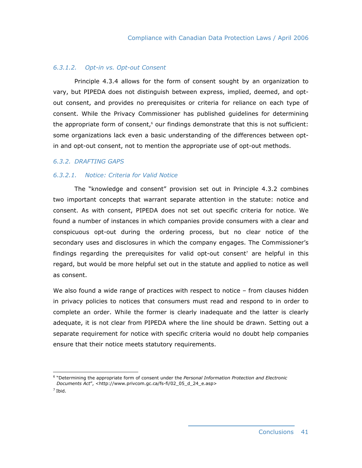#### *6.3.1.2. Opt-in vs. Opt-out Consent*

 Principle 4.3.4 allows for the form of consent sought by an organization to vary, but PIPEDA does not distinguish between express, implied, deemed, and optout consent, and provides no prerequisites or criteria for reliance on each type of consent. While the Privacy Commissioner has published guidelines for determining the appropriate form of consent,<sup>6</sup> our findings demonstrate that this is not sufficient: some organizations lack even a basic understanding of the differences between optin and opt-out consent, not to mention the appropriate use of opt-out methods.

#### *6.3.2. DRAFTING GAPS*

### *6.3.2.1. Notice: Criteria for Valid Notice*

 The "knowledge and consent" provision set out in Principle 4.3.2 combines two important concepts that warrant separate attention in the statute: notice and consent. As with consent, PIPEDA does not set out specific criteria for notice. We found a number of instances in which companies provide consumers with a clear and conspicuous opt-out during the ordering process, but no clear notice of the secondary uses and disclosures in which the company engages. The Commissioner's findings regarding the prerequisites for valid opt-out consent<sup>7</sup> are helpful in this regard, but would be more helpful set out in the statute and applied to notice as well as consent.

We also found a wide range of practices with respect to notice - from clauses hidden in privacy policies to notices that consumers must read and respond to in order to complete an order. While the former is clearly inadequate and the latter is clearly adequate, it is not clear from PIPEDA where the line should be drawn. Setting out a separate requirement for notice with specific criteria would no doubt help companies ensure that their notice meets statutory requirements.

 $\overline{a}$ 

<sup>6</sup> "Determining the appropriate form of consent under the *Personal Information Protection and Electronic Documents Act*", <http://www.privcom.gc.ca/fs-fi/02\_05\_d\_24\_e.asp>

 $<sup>7</sup>$  Ibid.</sup>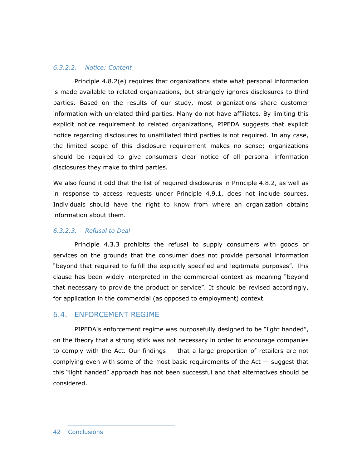#### *6.3.2.2. Notice: Content*

 Principle 4.8.2(e) requires that organizations state what personal information is made available to related organizations, but strangely ignores disclosures to third parties. Based on the results of our study, most organizations share customer information with unrelated third parties. Many do not have affiliates. By limiting this explicit notice requirement to related organizations, PIPEDA suggests that explicit notice regarding disclosures to unaffiliated third parties is not required. In any case, the limited scope of this disclosure requirement makes no sense; organizations should be required to give consumers clear notice of all personal information disclosures they make to third parties.

We also found it odd that the list of required disclosures in Principle 4.8.2, as well as in response to access requests under Principle 4.9.1, does not include sources. Individuals should have the right to know from where an organization obtains information about them.

## *6.3.2.3. Refusal to Deal*

 Principle 4.3.3 prohibits the refusal to supply consumers with goods or services on the grounds that the consumer does not provide personal information "beyond that required to fulfill the explicitly specified and legitimate purposes". This clause has been widely interpreted in the commercial context as meaning "beyond that necessary to provide the product or service". It should be revised accordingly, for application in the commercial (as opposed to employment) context.

## 6.4. ENFORCEMENT REGIME

 PIPEDA's enforcement regime was purposefully designed to be "light handed", on the theory that a strong stick was not necessary in order to encourage companies to comply with the Act. Our findings — that a large proportion of retailers are not complying even with some of the most basic requirements of the Act  $-$  suggest that this "light handed" approach has not been successful and that alternatives should be considered.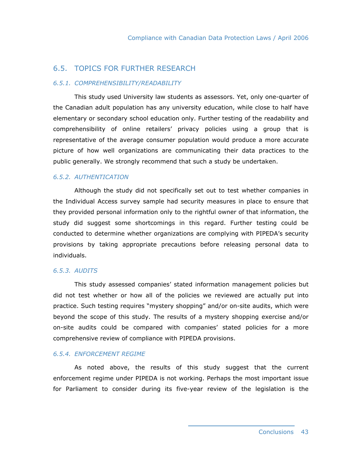# 6.5. TOPICS FOR FURTHER RESEARCH

#### *6.5.1. COMPREHENSIBILITY/READABILITY*

 This study used University law students as assessors. Yet, only one-quarter of the Canadian adult population has any university education, while close to half have elementary or secondary school education only. Further testing of the readability and comprehensibility of online retailers' privacy policies using a group that is representative of the average consumer population would produce a more accurate picture of how well organizations are communicating their data practices to the public generally. We strongly recommend that such a study be undertaken.

## *6.5.2. AUTHENTICATION*

 Although the study did not specifically set out to test whether companies in the Individual Access survey sample had security measures in place to ensure that they provided personal information only to the rightful owner of that information, the study did suggest some shortcomings in this regard. Further testing could be conducted to determine whether organizations are complying with PIPEDA's security provisions by taking appropriate precautions before releasing personal data to individuals.

#### *6.5.3. AUDITS*

 This study assessed companies' stated information management policies but did not test whether or how all of the policies we reviewed are actually put into practice. Such testing requires "mystery shopping" and/or on-site audits, which were beyond the scope of this study. The results of a mystery shopping exercise and/or on-site audits could be compared with companies' stated policies for a more comprehensive review of compliance with PIPEDA provisions.

#### *6.5.4. ENFORCEMENT REGIME*

 As noted above, the results of this study suggest that the current enforcement regime under PIPEDA is not working. Perhaps the most important issue for Parliament to consider during its five-year review of the legislation is the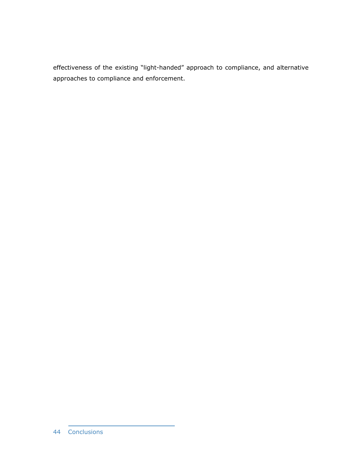effectiveness of the existing "light-handed" approach to compliance, and alternative approaches to compliance and enforcement.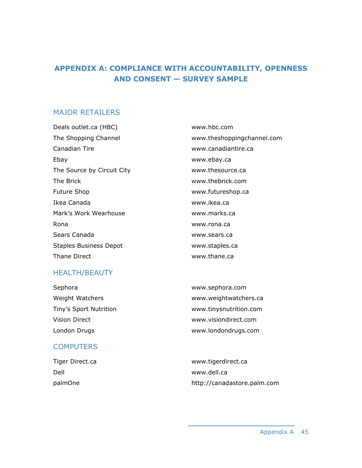# **APPENDIX A: COMPLIANCE WITH ACCOUNTABILITY, OPENNESS AND CONSENT — SURVEY SAMPLE**

# MAJOR RETAILERS

Deals outlet.ca (HBC) www.hbc.com Canadian Tire www.canadiantire.ca Ebay www.ebay.ca The Source by Circuit City **WALD SOURCE WATER** www.thesource.ca The Brick www.thebrick.com Future Shop **WALLACK CONTROLLER WWW.futureshop.ca** Ikea Canada www.ikea.ca Mark's Work Wearhouse www.marks.ca Rona www.rona.ca Sears Canada www.sears.ca Staples Business Depot www.staples.ca Thane Direct www.thane.ca

The Shopping Channel www.theshoppingchannel.com

# HEALTH/BEAUTY

| Sephora                | www.sephora.com        |
|------------------------|------------------------|
| Weight Watchers        | www.weightwatchers.ca  |
| Tiny's Sport Nutrition | www.tinysnutrition.com |
| Vision Direct          | www.visiondirect.com   |
| London Drugs           | www.londondrugs.com    |

# **COMPUTERS**

| Tiger Direct.ca | www.tigerdirect.ca          |
|-----------------|-----------------------------|
| Dell            | www.dell.ca                 |
| palmOne         | http://canadastore.palm.com |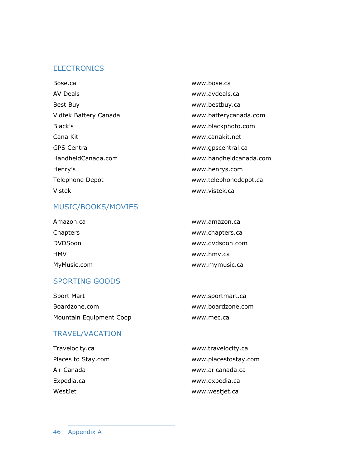# **ELECTRONICS**

Bose.ca www.bose.ca AV Deals www.avdeals.ca Best Buy **Best Buy and COVID-EXECUTE BEST BUY** www.bestbuy.ca Vidtek Battery Canada www.batterycanada.com Black's **Black's** www.blackphoto.com Cana Kit www.canakit.net GPS Central WWW.gpscentral.ca HandheldCanada.com www.handheldcanada.com Henry's www.henrys.com Telephone Depot and the www.telephonedepot.ca Vistek www.vistek.ca

# MUSIC/BOOKS/MOVIES

| <b>HMV</b><br>MyMusic.com | www.hmv.ca<br>www.mymusic.ca |
|---------------------------|------------------------------|
| <b>DVDSoon</b>            | www.dvdsoon.com              |
| Chapters                  | www.chapters.ca              |
| Amazon.ca                 | www.amazon.ca                |

# SPORTING GOODS

| Sport Mart              | www.sportmart.ca  |
|-------------------------|-------------------|
| Boardzone.com           | www.boardzone.com |
| Mountain Equipment Coop | www.mec.ca        |

# TRAVEL/VACATION

Travelocity.ca www.travelocity.ca Places to Stay.com **WALLOCAL CONTENTS** www.placestostay.com Air Canada www.aricanada.ca Expedia.ca www.expedia.ca WestJet www.westjet.ca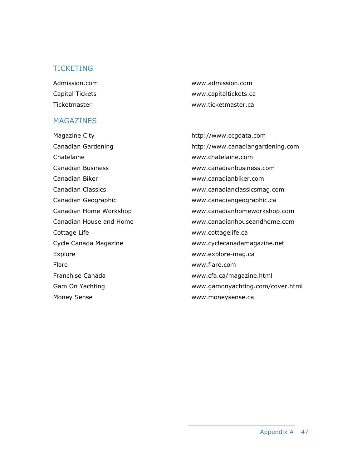# **TICKETING**

# MAGAZINES

Magazine City **Magazine City http://www.ccgdata.com** Chatelaine www.chatelaine.com Canadian Business www.canadianbusiness.com Canadian Biker www.canadianbiker.com Canadian Geographic www.canadiangeographic.ca Cottage Life www.cottagelife.ca Explore **Explore** www.explore-mag.ca Flare www.flare.com Franchise Canada www.cfa.ca/magazine.html Money Sense **WALLOCK CONTENTS** WWW.moneysense.ca

Admission.com www.admission.com Capital Tickets www.capitaltickets.ca Ticketmaster www.ticketmaster.ca

Canadian Gardening http://www.canadiangardening.com Canadian Classics www.canadianclassicsmag.com Canadian Home Workshop www.canadianhomeworkshop.com Canadian House and Home www.canadianhouseandhome.com Cycle Canada Magazine www.cyclecanadamagazine.net Gam On Yachting www.gamonyachting.com/cover.html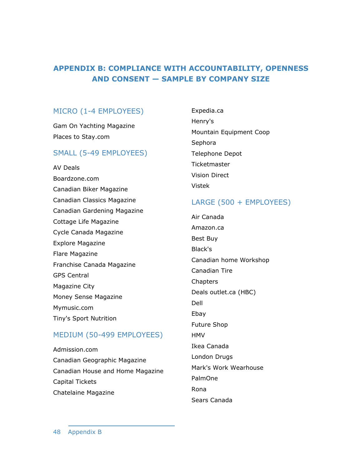# **APPENDIX B: COMPLIANCE WITH ACCOUNTABILITY, OPENNESS AND CONSENT — SAMPLE BY COMPANY SIZE**

# MICRO (1-4 EMPLOYEES)

Gam On Yachting Magazine Places to Stay.com

# SMALL (5-49 EMPLOYEES)

AV Deals Boardzone.com Canadian Biker Magazine Canadian Classics Magazine Canadian Gardening Magazine Cottage Life Magazine Cycle Canada Magazine Explore Magazine Flare Magazine Franchise Canada Magazine GPS Central Magazine City Money Sense Magazine Mymusic.com Tiny's Sport Nutrition

# MEDIUM (50-499 EMPLOYEES)

Admission.com Canadian Geographic Magazine Canadian House and Home Magazine Capital Tickets Chatelaine Magazine

Expedia.ca Henry's Mountain Equipment Coop Sephora Telephone Depot **Ticketmaster** Vision Direct Vistek

# LARGE (500 + EMPLOYEES)

Air Canada Amazon.ca Best Buy Black's Canadian home Workshop Canadian Tire Chapters Deals outlet.ca (HBC) Dell Ebay Future Shop **HMV** Ikea Canada London Drugs Mark's Work Wearhouse PalmOne Rona Sears Canada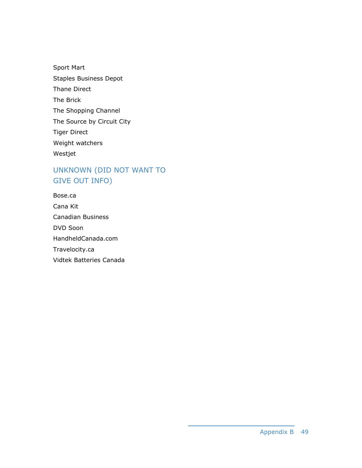Sport Mart Staples Business Depot Thane Direct The Brick The Shopping Channel The Source by Circuit City Tiger Direct Weight watchers Westjet

# UNKNOWN (DID NOT WANT TO GIVE OUT INFO)

| Bose.ca                 |
|-------------------------|
| Cana Kit                |
| Canadian Business       |
| <b>DVD Soon</b>         |
| HandheldCanada.com      |
| Travelocity.ca          |
| Vidtek Batteries Canada |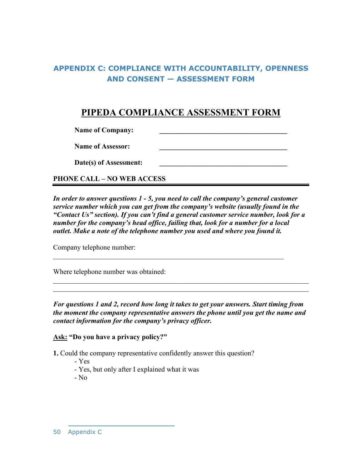# **APPENDIX C: COMPLIANCE WITH ACCOUNTABILITY, OPENNESS AND CONSENT — ASSESSMENT FORM**

# **PIPEDA COMPLIANCE ASSESSMENT FORM**

Name of Company:

Name of Assessor:

Date(s) of Assessment:

**PHONE CALL – NO WEB ACCESS** 

*In order to answer questions 1 - 5, you need to call the company's general customer service number which you can get from the company's website (usually found in the "Contact Us" section). If you can't find a general customer service number, look for a number for the company's head office, failing that, look for a number for a local outlet. Make a note of the telephone number you used and where you found it.* 

 $\mathcal{L}_\text{max}$  , and the contribution of the contribution of the contribution of the contribution of the contribution of the contribution of the contribution of the contribution of the contribution of the contribution of t

Company telephone number:

Where telephone number was obtained:

*For questions 1 and 2, record how long it takes to get your answers. Start timing from the moment the company representative answers the phone until you get the name and contact information for the company's privacy officer.* 

 $\mathcal{L}_\text{max} = \mathcal{L}_\text{max} = \mathcal{L}_\text{max} = \mathcal{L}_\text{max} = \mathcal{L}_\text{max} = \mathcal{L}_\text{max} = \mathcal{L}_\text{max} = \mathcal{L}_\text{max} = \mathcal{L}_\text{max} = \mathcal{L}_\text{max} = \mathcal{L}_\text{max} = \mathcal{L}_\text{max} = \mathcal{L}_\text{max} = \mathcal{L}_\text{max} = \mathcal{L}_\text{max} = \mathcal{L}_\text{max} = \mathcal{L}_\text{max} = \mathcal{L}_\text{max} = \mathcal{$  $\mathcal{L}_\text{max}$  , and the contribution of the contribution of the contribution of the contribution of the contribution of the contribution of the contribution of the contribution of the contribution of the contribution of t

**Ask: "Do you have a privacy policy?"** 

**1.** Could the company representative confidently answer this question?

- Yes

- Yes, but only after I explained what it was

- No

50 Appendix C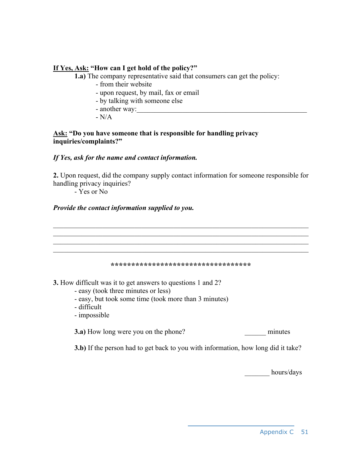# **If Yes, Ask: "How can I get hold of the policy?"**

**1.a)** The company representative said that consumers can get the policy:

- from their website
- upon request, by mail, fax or email
- by talking with someone else
- another way:
- $-N/A$

# **Ask: "Do you have someone that is responsible for handling privacy inquiries/complaints?"**

# *If Yes, ask for the name and contact information.*

**2.** Upon request, did the company supply contact information for someone responsible for handling privacy inquiries?

- Yes or No

# *Provide the contact information supplied to you.*

 $\mathcal{L}_\text{max}$  , and the contribution of the contribution of the contribution of the contribution of the contribution of the contribution of the contribution of the contribution of the contribution of the contribution of t  $\mathcal{L}_\text{max}$  , and the contribution of the contribution of the contribution of the contribution of the contribution of the contribution of the contribution of the contribution of the contribution of the contribution of t  $\mathcal{L}_\text{max}$  , and the contribution of the contribution of the contribution of the contribution of the contribution of the contribution of the contribution of the contribution of the contribution of the contribution of t **\*\*\*\*\*\*\*\*\*\*\*\*\*\*\*\*\*\*\*\*\*\*\*\*\*\*\*\*\*\*\*\*\*\* 3.** How difficult was it to get answers to questions 1 and 2?

- easy (took three minutes or less)
- easy, but took some time (took more than 3 minutes)
- difficult
- impossible

**3.a)** How long were you on the phone? minutes

**3.b)** If the person had to get back to you with information, how long did it take?

hours/days

## Appendix C 51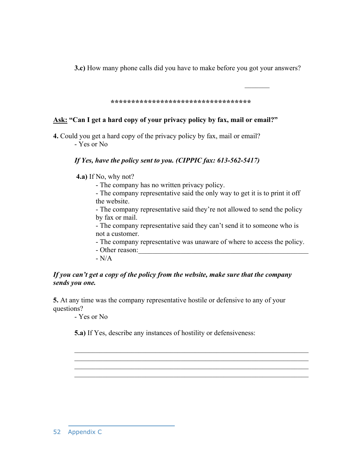**3.c)** How many phone calls did you have to make before you got your answers?

**\*\*\*\*\*\*\*\*\*\*\*\*\*\*\*\*\*\*\*\*\*\*\*\*\*\*\*\*\*\*\*\*\*\*** 

 $\mathcal{L}_\text{max}$  and  $\mathcal{L}_\text{max}$  are the set of the set of the set of the set of the set of the set of the set of the set of the set of the set of the set of the set of the set of the set of the set of the set of the set o

# **Ask: "Can I get a hard copy of your privacy policy by fax, mail or email?"**

**4.** Could you get a hard copy of the privacy policy by fax, mail or email? - Yes or No

# *If Yes, have the policy sent to you. (CIPPIC fax: 613-562-5417)*

 **4.a)** If No, why not?

- The company has no written privacy policy.

- The company representative said the only way to get it is to print it off the website.

- The company representative said they're not allowed to send the policy by fax or mail.

- The company representative said they can't send it to someone who is not a customer.

- The company representative was unaware of where to access the policy.

- Other reason:

 $-N/A$ 

# *If you can't get a copy of the policy from the website, make sure that the company sends you one.*

**5.** At any time was the company representative hostile or defensive to any of your questions?

- Yes or No

**5.a)** If Yes, describe any instances of hostility or defensiveness:

 $\mathcal{L}_\mathcal{L} = \mathcal{L}_\mathcal{L} = \mathcal{L}_\mathcal{L} = \mathcal{L}_\mathcal{L} = \mathcal{L}_\mathcal{L} = \mathcal{L}_\mathcal{L} = \mathcal{L}_\mathcal{L} = \mathcal{L}_\mathcal{L} = \mathcal{L}_\mathcal{L} = \mathcal{L}_\mathcal{L} = \mathcal{L}_\mathcal{L} = \mathcal{L}_\mathcal{L} = \mathcal{L}_\mathcal{L} = \mathcal{L}_\mathcal{L} = \mathcal{L}_\mathcal{L} = \mathcal{L}_\mathcal{L} = \mathcal{L}_\mathcal{L}$  $\mathcal{L}_\mathcal{L} = \mathcal{L}_\mathcal{L} = \mathcal{L}_\mathcal{L} = \mathcal{L}_\mathcal{L} = \mathcal{L}_\mathcal{L} = \mathcal{L}_\mathcal{L} = \mathcal{L}_\mathcal{L} = \mathcal{L}_\mathcal{L} = \mathcal{L}_\mathcal{L} = \mathcal{L}_\mathcal{L} = \mathcal{L}_\mathcal{L} = \mathcal{L}_\mathcal{L} = \mathcal{L}_\mathcal{L} = \mathcal{L}_\mathcal{L} = \mathcal{L}_\mathcal{L} = \mathcal{L}_\mathcal{L} = \mathcal{L}_\mathcal{L}$  $\mathcal{L}_\mathcal{L} = \mathcal{L}_\mathcal{L} = \mathcal{L}_\mathcal{L} = \mathcal{L}_\mathcal{L} = \mathcal{L}_\mathcal{L} = \mathcal{L}_\mathcal{L} = \mathcal{L}_\mathcal{L} = \mathcal{L}_\mathcal{L} = \mathcal{L}_\mathcal{L} = \mathcal{L}_\mathcal{L} = \mathcal{L}_\mathcal{L} = \mathcal{L}_\mathcal{L} = \mathcal{L}_\mathcal{L} = \mathcal{L}_\mathcal{L} = \mathcal{L}_\mathcal{L} = \mathcal{L}_\mathcal{L} = \mathcal{L}_\mathcal{L}$  $\mathcal{L}_\text{max} = \mathcal{L}_\text{max} = \mathcal{L}_\text{max} = \mathcal{L}_\text{max} = \mathcal{L}_\text{max} = \mathcal{L}_\text{max} = \mathcal{L}_\text{max} = \mathcal{L}_\text{max} = \mathcal{L}_\text{max} = \mathcal{L}_\text{max} = \mathcal{L}_\text{max} = \mathcal{L}_\text{max} = \mathcal{L}_\text{max} = \mathcal{L}_\text{max} = \mathcal{L}_\text{max} = \mathcal{L}_\text{max} = \mathcal{L}_\text{max} = \mathcal{L}_\text{max} = \mathcal{$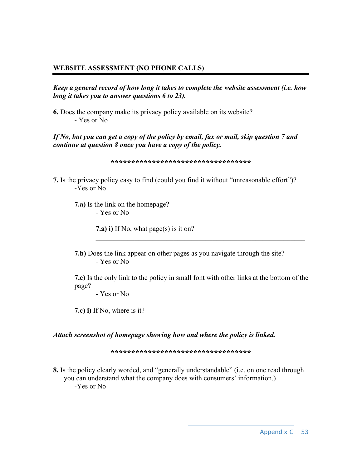# **WEBSITE ASSESSMENT (NO PHONE CALLS)**

*Keep a general record of how long it takes to complete the website assessment (i.e. how long it takes you to answer questions 6 to 23).* 

**6.** Does the company make its privacy policy available on its website? - Yes or No

*If No, but you can get a copy of the policy by email, fax or mail, skip question 7 and continue at question 8 once you have a copy of the policy.* 

**\*\*\*\*\*\*\*\*\*\*\*\*\*\*\*\*\*\*\*\*\*\*\*\*\*\*\*\*\*\*\*\*\*\***

**7.** Is the privacy policy easy to find (could you find it without "unreasonable effort")? -Yes or No

**7.a)** Is the link on the homepage? - Yes or No

**7.a) i)** If No, what page(s) is it on?

**7.b)** Does the link appear on other pages as you navigate through the site? - Yes or No

**7.c)** Is the only link to the policy in small font with other links at the bottom of the page?

 $\mathcal{L}_\mathcal{L}$  , and the contribution of the contribution of the contribution of the contribution of the contribution of the contribution of the contribution of the contribution of the contribution of the contribution of

 $\mathcal{L}_\text{max}$  , and the contribution of the contribution of the contribution of the contribution of the contribution of the contribution of the contribution of the contribution of the contribution of the contribution of t

- Yes or No

**7.c) i)** If No, where is it?

*Attach screenshot of homepage showing how and where the policy is linked.* 

**\*\*\*\*\*\*\*\*\*\*\*\*\*\*\*\*\*\*\*\*\*\*\*\*\*\*\*\*\*\*\*\*\*\*** 

**8.** Is the policy clearly worded, and "generally understandable" (i.e. on one read through you can understand what the company does with consumers' information.) -Yes or No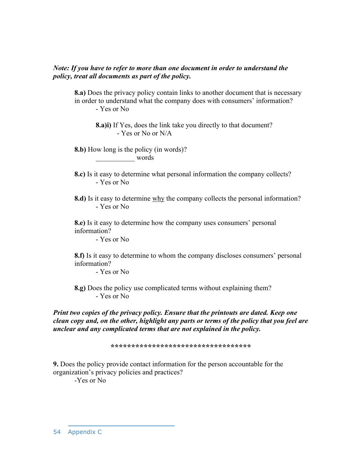## *Note: If you have to refer to more than one document in order to understand the policy, treat all documents as part of the policy.*

**8.a)** Does the privacy policy contain links to another document that is necessary in order to understand what the company does with consumers' information? - Yes or No

**8.a)i)** If Yes, does the link take you directly to that document? - Yes or No or N/A

**8.b)** How long is the policy (in words)? \_\_\_\_\_\_\_\_\_\_\_ words

**8.c)** Is it easy to determine what personal information the company collects? - Yes or No

**8.d)** Is it easy to determine why the company collects the personal information? - Yes or No

**8.e)** Is it easy to determine how the company uses consumers' personal information?

- Yes or No

**8.f)** Is it easy to determine to whom the company discloses consumers' personal information?

- Yes or No

**8.g)** Does the policy use complicated terms without explaining them? - Yes or No

*Print two copies of the privacy policy. Ensure that the printouts are dated. Keep one clean copy and, on the other, highlight any parts or terms of the policy that you feel are unclear and any complicated terms that are not explained in the policy.* 

**\*\*\*\*\*\*\*\*\*\*\*\*\*\*\*\*\*\*\*\*\*\*\*\*\*\*\*\*\*\*\*\*\*\*** 

**9.** Does the policy provide contact information for the person accountable for the organization's privacy policies and practices?

-Yes or No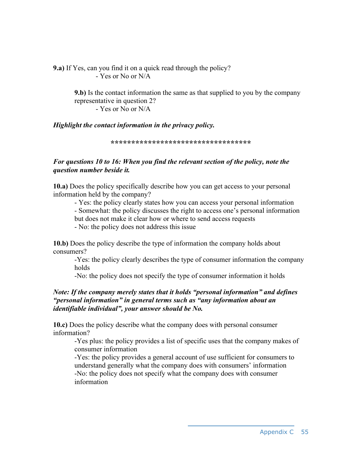**9.a)** If Yes, can you find it on a quick read through the policy? - Yes or No or N/A

> **9.b)** Is the contact information the same as that supplied to you by the company representative in question 2? - Yes or No or N/A

*Highlight the contact information in the privacy policy.* 

**\*\*\*\*\*\*\*\*\*\*\*\*\*\*\*\*\*\*\*\*\*\*\*\*\*\*\*\*\*\*\*\*\*\*** 

# *For questions 10 to 16: When you find the relevant section of the policy, note the question number beside it.*

**10.a)** Does the policy specifically describe how you can get access to your personal information held by the company?

- Yes: the policy clearly states how you can access your personal information - Somewhat: the policy discusses the right to access one's personal information but does not make it clear how or where to send access requests - No: the policy does not address this issue

**10.b)** Does the policy describe the type of information the company holds about consumers?

-Yes: the policy clearly describes the type of consumer information the company holds

-No: the policy does not specify the type of consumer information it holds

# *Note: If the company merely states that it holds "personal information" and defines "personal information" in general terms such as "any information about an identifiable individual", your answer should be No.*

**10.c)** Does the policy describe what the company does with personal consumer information?

-Yes plus: the policy provides a list of specific uses that the company makes of consumer information

-Yes: the policy provides a general account of use sufficient for consumers to understand generally what the company does with consumers' information -No: the policy does not specify what the company does with consumer information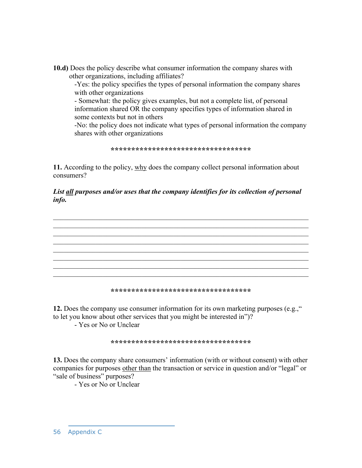**10.d)** Does the policy describe what consumer information the company shares with other organizations, including affiliates?

-Yes: the policy specifies the types of personal information the company shares with other organizations

- Somewhat: the policy gives examples, but not a complete list, of personal information shared OR the company specifies types of information shared in some contexts but not in others

-No: the policy does not indicate what types of personal information the company shares with other organizations

**\*\*\*\*\*\*\*\*\*\*\*\*\*\*\*\*\*\*\*\*\*\*\*\*\*\*\*\*\*\*\*\*\*\*** 

**11.** According to the policy, why does the company collect personal information about consumers?

# *List all purposes and/or uses that the company identifies for its collection of personal info.*



#### **\*\*\*\*\*\*\*\*\*\*\*\*\*\*\*\*\*\*\*\*\*\*\*\*\*\*\*\*\*\*\*\*\*\***

**12.** Does the company use consumer information for its own marketing purposes (e.g.," to let you know about other services that you might be interested in")?

- Yes or No or Unclear

#### **\*\*\*\*\*\*\*\*\*\*\*\*\*\*\*\*\*\*\*\*\*\*\*\*\*\*\*\*\*\*\*\*\*\***

**13.** Does the company share consumers' information (with or without consent) with other companies for purposes other than the transaction or service in question and/or "legal" or "sale of business" purposes?

- Yes or No or Unclear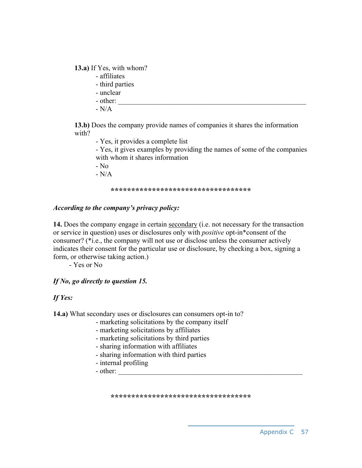**13.a)** If Yes, with whom?

- affiliates
- third parties
- unclear
- $-$  other:
- $-N/A$

**13.b)** Does the company provide names of companies it shares the information with?

- Yes, it provides a complete list

- Yes, it gives examples by providing the names of some of the companies with whom it shares information

 $-$  No.

 $-N/A$ 

#### **\*\*\*\*\*\*\*\*\*\*\*\*\*\*\*\*\*\*\*\*\*\*\*\*\*\*\*\*\*\*\*\*\*\***

## *According to the company's privacy policy:*

**14.** Does the company engage in certain secondary (i.e. not necessary for the transaction or service in question) uses or disclosures only with *positive* opt-in\*consent of the consumer? (\*i.e., the company will not use or disclose unless the consumer actively indicates their consent for the particular use or disclosure, by checking a box, signing a form, or otherwise taking action.)

- Yes or No

# *If No, go directly to question 15.*

# *If Yes:*

**14.a)** What secondary uses or disclosures can consumers opt-in to?

- marketing solicitations by the company itself
- marketing solicitations by affiliates
- marketing solicitations by third parties
- sharing information with affiliates
- sharing information with third parties
- internal profiling

- other:

**\*\*\*\*\*\*\*\*\*\*\*\*\*\*\*\*\*\*\*\*\*\*\*\*\*\*\*\*\*\*\*\*\*\***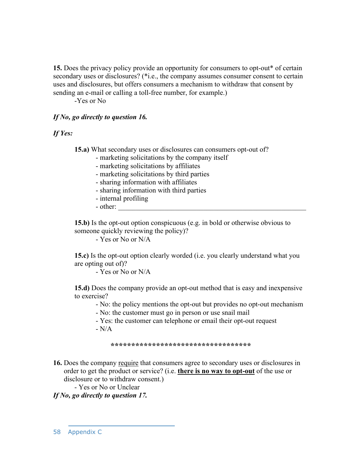**15.** Does the privacy policy provide an opportunity for consumers to opt-out\* of certain secondary uses or disclosures? (\*i.e., the company assumes consumer consent to certain uses and disclosures, but offers consumers a mechanism to withdraw that consent by sending an e-mail or calling a toll-free number, for example.)

-Yes or No

## *If No, go directly to question 16.*

## *If Yes:*

**15.a)** What secondary uses or disclosures can consumers opt-out of?

- marketing solicitations by the company itself
- marketing solicitations by affiliates
- marketing solicitations by third parties
- sharing information with affiliates
- sharing information with third parties
- internal profiling
- other:

**15.b)** Is the opt-out option conspicuous (e.g. in bold or otherwise obvious to someone quickly reviewing the policy)?

- Yes or No or N/A

**15.c)** Is the opt-out option clearly worded (i.e. you clearly understand what you are opting out of)?

- Yes or No or N/A

**15.d)** Does the company provide an opt-out method that is easy and inexpensive to exercise?

- No: the policy mentions the opt-out but provides no opt-out mechanism

- No: the customer must go in person or use snail mail
- Yes: the customer can telephone or email their opt-out request  $-N/A$

#### **\*\*\*\*\*\*\*\*\*\*\*\*\*\*\*\*\*\*\*\*\*\*\*\*\*\*\*\*\*\*\*\*\*\***

**16.** Does the company require that consumers agree to secondary uses or disclosures in order to get the product or service? (i.e. **there is no way to opt-out** of the use or disclosure or to withdraw consent.)

- Yes or No or Unclear

*If No, go directly to question 17.*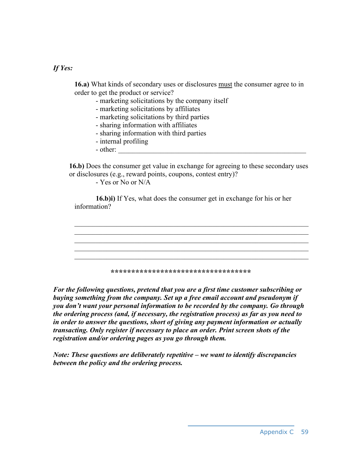# *If Yes:*

**16.a)** What kinds of secondary uses or disclosures must the consumer agree to in order to get the product or service?

- marketing solicitations by the company itself
- marketing solicitations by affiliates
- marketing solicitations by third parties
- sharing information with affiliates
- sharing information with third parties
- internal profiling
- $-$  other:

**16.b)** Does the consumer get value in exchange for agreeing to these secondary uses or disclosures (e.g., reward points, coupons, contest entry)?

- Yes or No or N/A

**16.b)i)** If Yes, what does the consumer get in exchange for his or her information?



**\*\*\*\*\*\*\*\*\*\*\*\*\*\*\*\*\*\*\*\*\*\*\*\*\*\*\*\*\*\*\*\*\*\*** 

*For the following questions, pretend that you are a first time customer subscribing or buying something from the company. Set up a free email account and pseudonym if you don't want your personal information to be recorded by the company. Go through the ordering process (and, if necessary, the registration process) as far as you need to in order to answer the questions, short of giving any payment information or actually transacting. Only register if necessary to place an order. Print screen shots of the registration and/or ordering pages as you go through them.* 

*Note: These questions are deliberately repetitive – we want to identify discrepancies between the policy and the ordering process.*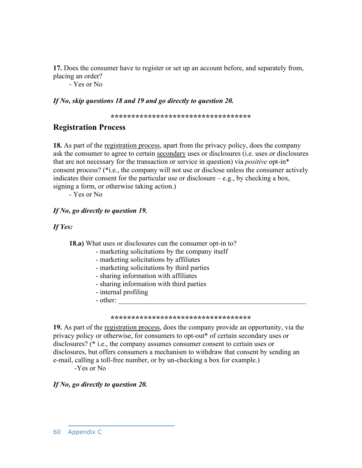**17.** Does the consumer have to register or set up an account before, and separately from, placing an order?

- Yes or No

### *If No, skip questions 18 and 19 and go directly to question 20.*

**\*\*\*\*\*\*\*\*\*\*\*\*\*\*\*\*\*\*\*\*\*\*\*\*\*\*\*\*\*\*\*\*\*\*** 

## **Registration Process**

**18.** As part of the registration process, apart from the privacy policy, does the company ask the consumer to agree to certain secondary uses or disclosures (i.e. uses or disclosures that are not necessary for the transaction or service in question) via *positive* opt-in\* consent process? (\*i.e., the company will not use or disclose unless the consumer actively indicates their consent for the particular use or disclosure  $-e.g.,$  by checking a box, signing a form, or otherwise taking action.)

- Yes or No

## *If No, go directly to question 19.*

## *If Yes:*

**18.a)** What uses or disclosures can the consumer opt-in to?

- marketing solicitations by the company itself
- marketing solicitations by affiliates
- marketing solicitations by third parties
- sharing information with affiliates
- sharing information with third parties
- internal profiling
- other:

#### **\*\*\*\*\*\*\*\*\*\*\*\*\*\*\*\*\*\*\*\*\*\*\*\*\*\*\*\*\*\*\*\*\*\***

**19.** As part of the registration process, does the company provide an opportunity, via the privacy policy or otherwise, for consumers to opt-out\* of certain secondary uses or disclosures? (\* i.e., the company assumes consumer consent to certain uses or disclosures, but offers consumers a mechanism to withdraw that consent by sending an e-mail, calling a toll-free number, or by un-checking a box for example.)

-Yes or No

## *If No, go directly to question 20.*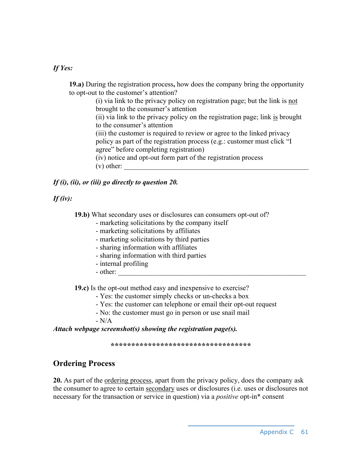## *If Yes:*

**19.a)** During the registration process**,** how does the company bring the opportunity to opt-out to the customer's attention?

> (i) via link to the privacy policy on registration page; but the link is not brought to the consumer's attention

(ii) via link to the privacy policy on the registration page; link is brought to the consumer's attention

(iii) the customer is required to review or agree to the linked privacy policy as part of the registration process (e.g.: customer must click "I agree" before completing registration)

(iv) notice and opt-out form part of the registration process

 $(v)$  other:

## *If (i), (ii), or (iii) go directly to question 20.*

## *If (iv):*

**19.b)** What secondary uses or disclosures can consumers opt-out of?

- marketing solicitations by the company itself
- marketing solicitations by affiliates
- marketing solicitations by third parties
- sharing information with affiliates
- sharing information with third parties
- internal profiling
- other:

**19.c)** Is the opt-out method easy and inexpensive to exercise?

- Yes: the customer simply checks or un-checks a box
- Yes: the customer can telephone or email their opt-out request
- No: the customer must go in person or use snail mail

- N/A

*Attach webpage screenshot(s) showing the registration page(s).* 

#### **\*\*\*\*\*\*\*\*\*\*\*\*\*\*\*\*\*\*\*\*\*\*\*\*\*\*\*\*\*\*\*\*\*\***

# **Ordering Process**

**20.** As part of the ordering process, apart from the privacy policy, does the company ask the consumer to agree to certain secondary uses or disclosures (i.e. uses or disclosures not necessary for the transaction or service in question) via a *positive* opt-in\* consent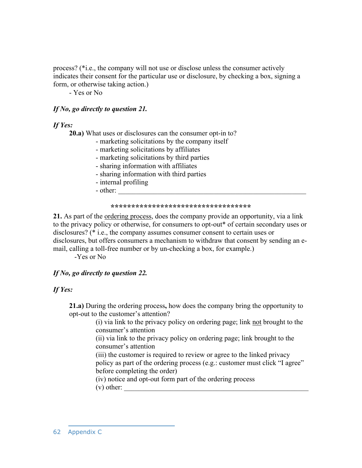process? (\*i.e., the company will not use or disclose unless the consumer actively indicates their consent for the particular use or disclosure, by checking a box, signing a form, or otherwise taking action.)

- Yes or No

## *If No, go directly to question 21.*

## *If Yes:*

**20.a)** What uses or disclosures can the consumer opt-in to?

- marketing solicitations by the company itself
- marketing solicitations by affiliates
- marketing solicitations by third parties
- sharing information with affiliates
- sharing information with third parties
- internal profiling
- other:

#### **\*\*\*\*\*\*\*\*\*\*\*\*\*\*\*\*\*\*\*\*\*\*\*\*\*\*\*\*\*\*\*\*\*\***

**21.** As part of the ordering process, does the company provide an opportunity, via a link to the privacy policy or otherwise, for consumers to opt-out\* of certain secondary uses or disclosures? (\* i.e., the company assumes consumer consent to certain uses or disclosures, but offers consumers a mechanism to withdraw that consent by sending an email, calling a toll-free number or by un-checking a box, for example.)

-Yes or No

## *If No, go directly to question 22.*

## *If Yes:*

**21.a)** During the ordering process**,** how does the company bring the opportunity to opt-out to the customer's attention?

> (i) via link to the privacy policy on ordering page; link not brought to the consumer's attention

(ii) via link to the privacy policy on ordering page; link brought to the consumer's attention

(iii) the customer is required to review or agree to the linked privacy policy as part of the ordering process (e.g.: customer must click "I agree" before completing the order)

(iv) notice and opt-out form part of the ordering process

 $(v)$  other: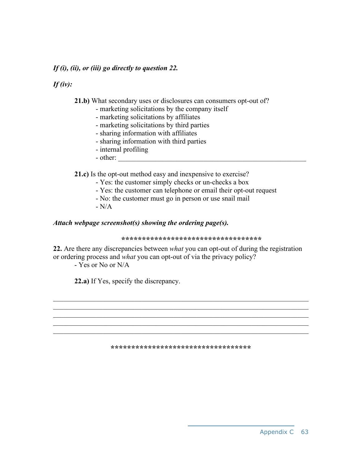### *If (i), (ii), or (iii) go directly to question 22.*

## *If (iv):*

**21.b)** What secondary uses or disclosures can consumers opt-out of?

- marketing solicitations by the company itself
- marketing solicitations by affiliates
- marketing solicitations by third parties
- sharing information with affiliates
- sharing information with third parties
- internal profiling
- other:

**21.c)** Is the opt-out method easy and inexpensive to exercise?

- Yes: the customer simply checks or un-checks a box
- Yes: the customer can telephone or email their opt-out request
- No: the customer must go in person or use snail mail
- $N/A$

### *Attach webpage screenshot(s) showing the ordering page(s).*

#### **\*\*\*\*\*\*\*\*\*\*\*\*\*\*\*\*\*\*\*\*\*\*\*\*\*\*\*\*\*\*\*\*\*\***

**22.** Are there any discrepancies between *what* you can opt-out of during the registration or ordering process and *what* you can opt-out of via the privacy policy?

- Yes or No or N/A

**22.a)** If Yes, specify the discrepancy.

#### **\*\*\*\*\*\*\*\*\*\*\*\*\*\*\*\*\*\*\*\*\*\*\*\*\*\*\*\*\*\*\*\*\*\***

 $\mathcal{L}_\text{max}$  , and the contribution of the contribution of the contribution of the contribution of the contribution of the contribution of the contribution of the contribution of the contribution of the contribution of t  $\mathcal{L}_\text{max}$  , and the contribution of the contribution of the contribution of the contribution of the contribution of the contribution of the contribution of the contribution of the contribution of the contribution of t

 $\mathcal{L}_\text{max} = \mathcal{L}_\text{max} = \mathcal{L}_\text{max} = \mathcal{L}_\text{max} = \mathcal{L}_\text{max} = \mathcal{L}_\text{max} = \mathcal{L}_\text{max} = \mathcal{L}_\text{max} = \mathcal{L}_\text{max} = \mathcal{L}_\text{max} = \mathcal{L}_\text{max} = \mathcal{L}_\text{max} = \mathcal{L}_\text{max} = \mathcal{L}_\text{max} = \mathcal{L}_\text{max} = \mathcal{L}_\text{max} = \mathcal{L}_\text{max} = \mathcal{L}_\text{max} = \mathcal{$  $\mathcal{L}_\text{max}$  , and the contribution of the contribution of the contribution of the contribution of the contribution of the contribution of the contribution of the contribution of the contribution of the contribution of t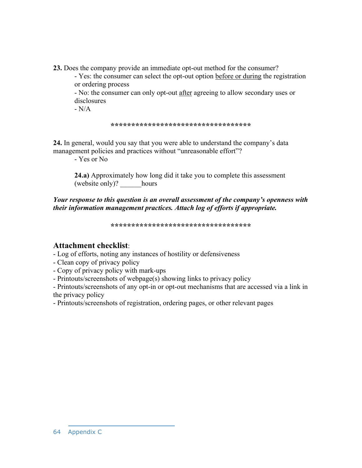**23.** Does the company provide an immediate opt-out method for the consumer?

- Yes: the consumer can select the opt-out option before or during the registration or ordering process

- No: the consumer can only opt-out after agreeing to allow secondary uses or disclosures

 $-N/A$ 

**\*\*\*\*\*\*\*\*\*\*\*\*\*\*\*\*\*\*\*\*\*\*\*\*\*\*\*\*\*\*\*\*\*\***

**24.** In general, would you say that you were able to understand the company's data management policies and practices without "unreasonable effort"?

- Yes or No

**24.a)** Approximately how long did it take you to complete this assessment (website only)? \_\_\_\_\_\_hours

*Your response to this question is an overall assessment of the company's openness with their information management practices. Attach log of efforts if appropriate.* 

**\*\*\*\*\*\*\*\*\*\*\*\*\*\*\*\*\*\*\*\*\*\*\*\*\*\*\*\*\*\*\*\*\*\*** 

## **Attachment checklist**:

- Log of efforts, noting any instances of hostility or defensiveness

- Clean copy of privacy policy

- Copy of privacy policy with mark-ups

- Printouts/screenshots of webpage(s) showing links to privacy policy

- Printouts/screenshots of any opt-in or opt-out mechanisms that are accessed via a link in the privacy policy

- Printouts/screenshots of registration, ordering pages, or other relevant pages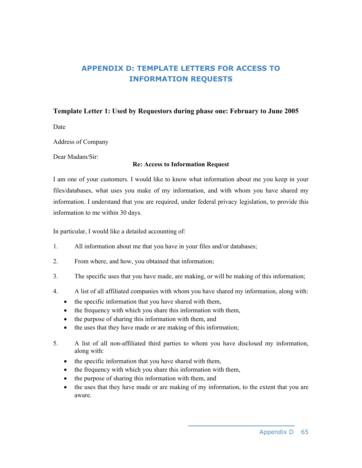# **APPENDIX D: TEMPLATE LETTERS FOR ACCESS TO INFORMATION REQUESTS**

### **Template Letter 1: Used by Requestors during phase one: February to June 2005**

Date

Address of Company

Dear Madam/Sir:

#### **Re: Access to Information Request**

I am one of your customers. I would like to know what information about me you keep in your files/databases, what uses you make of my information, and with whom you have shared my information. I understand that you are required, under federal privacy legislation, to provide this information to me within 30 days.

In particular, I would like a detailed accounting of:

- 1. All information about me that you have in your files and/or databases;
- 2. From where, and how, you obtained that information;
- 3. The specific uses that you have made, are making, or will be making of this information;
- 4. A list of all affiliated companies with whom you have shared my information, along with:
	- the specific information that you have shared with them,
	- the frequency with which you share this information with them,
	- the purpose of sharing this information with them, and
	- the uses that they have made or are making of this information;
- 5. A list of all non-affiliated third parties to whom you have disclosed my information, along with:
	- the specific information that you have shared with them,
	- the frequency with which you share this information with them,
	- the purpose of sharing this information with them, and
	- the uses that they have made or are making of my information, to the extent that you are aware.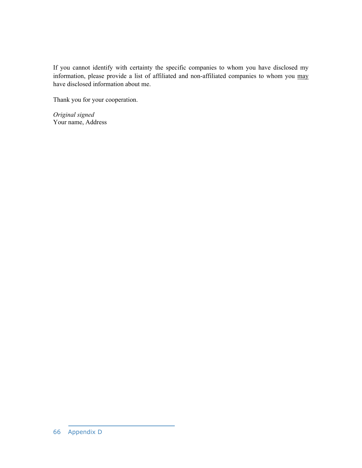If you cannot identify with certainty the specific companies to whom you have disclosed my information, please provide a list of affiliated and non-affiliated companies to whom you may have disclosed information about me.

Thank you for your cooperation.

*Original signed*  Your name, Address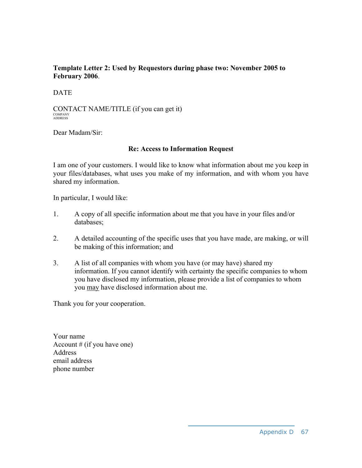## **Template Letter 2: Used by Requestors during phase two: November 2005 to February 2006**.

## **DATE**

CONTACT NAME/TITLE (if you can get it) COMPANY ADDRESS

Dear Madam/Sir:

## **Re: Access to Information Request**

I am one of your customers. I would like to know what information about me you keep in your files/databases, what uses you make of my information, and with whom you have shared my information.

In particular, I would like:

- 1. A copy of all specific information about me that you have in your files and/or databases;
- 2. A detailed accounting of the specific uses that you have made, are making, or will be making of this information; and
- 3. A list of all companies with whom you have (or may have) shared my information. If you cannot identify with certainty the specific companies to whom you have disclosed my information, please provide a list of companies to whom you may have disclosed information about me.

Thank you for your cooperation.

Your name Account  $#$  (if you have one) Address email address phone number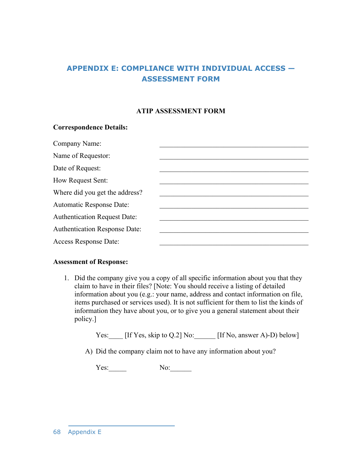# **APPENDIX E: COMPLIANCE WITH INDIVIDUAL ACCESS — ASSESSMENT FORM**

### **ATIP ASSESSMENT FORM**

### **Correspondence Details:**

| Company Name:                        |  |
|--------------------------------------|--|
| Name of Requestor:                   |  |
| Date of Request:                     |  |
| How Request Sent:                    |  |
| Where did you get the address?       |  |
| <b>Automatic Response Date:</b>      |  |
| <b>Authentication Request Date:</b>  |  |
| <b>Authentication Response Date:</b> |  |
| Access Response Date:                |  |

#### **Assessment of Response:**

1. Did the company give you a copy of all specific information about you that they claim to have in their files? [Note: You should receive a listing of detailed information about you (e.g.: your name, address and contact information on file, items purchased or services used). It is not sufficient for them to list the kinds of information they have about you, or to give you a general statement about their policy.]

Yes: [If Yes, skip to Q.2] No: [If No, answer A)-D) below]

A) Did the company claim not to have any information about you?

Yes:\_\_\_\_\_\_\_ No:\_\_\_\_\_\_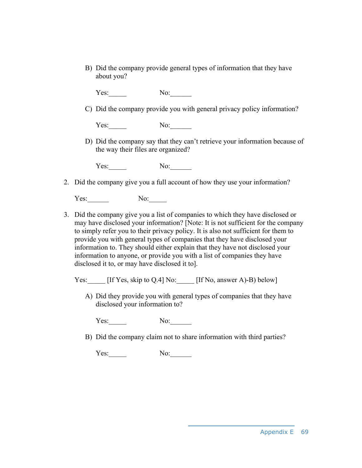B) Did the company provide general types of information that they have about you?

Yes: No:

C) Did the company provide you with general privacy policy information?

Yes:\_\_\_\_\_\_\_ No:\_\_\_\_\_\_

D) Did the company say that they can't retrieve your information because of the way their files are organized?

Yes: No:

2. Did the company give you a full account of how they use your information?

Yes: No:

- 3. Did the company give you a list of companies to which they have disclosed or may have disclosed your information? [Note: It is not sufficient for the company to simply refer you to their privacy policy. It is also not sufficient for them to provide you with general types of companies that they have disclosed your information to. They should either explain that they have not disclosed your information to anyone, or provide you with a list of companies they have disclosed it to, or may have disclosed it to].
	- Yes: [If Yes, skip to Q.4] No: [If No, answer A)-B) below]
		- A) Did they provide you with general types of companies that they have disclosed your information to?

Yes:\_\_\_\_\_\_\_ No:\_\_\_\_\_\_

B) Did the company claim not to share information with third parties?

Yes: No: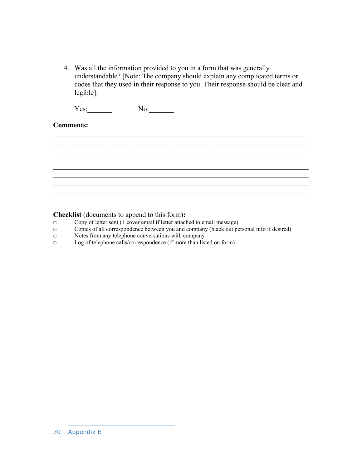4. Was all the information provided to you in a form that was generally understandable? [Note: The company should explain any complicated terms or codes that they used in their response to you. Their response should be clear and legible].

 $\mathcal{L}_\text{max}$  , and the contribution of the contribution of the contribution of the contribution of the contribution of the contribution of the contribution of the contribution of the contribution of the contribution of t  $\mathcal{L}_\text{max} = \mathcal{L}_\text{max} = \mathcal{L}_\text{max} = \mathcal{L}_\text{max} = \mathcal{L}_\text{max} = \mathcal{L}_\text{max} = \mathcal{L}_\text{max} = \mathcal{L}_\text{max} = \mathcal{L}_\text{max} = \mathcal{L}_\text{max} = \mathcal{L}_\text{max} = \mathcal{L}_\text{max} = \mathcal{L}_\text{max} = \mathcal{L}_\text{max} = \mathcal{L}_\text{max} = \mathcal{L}_\text{max} = \mathcal{L}_\text{max} = \mathcal{L}_\text{max} = \mathcal{$  $\mathcal{L}_\text{max}$  , and the contribution of the contribution of the contribution of the contribution of the contribution of the contribution of the contribution of the contribution of the contribution of the contribution of t

 $\mathcal{L}_\text{max}$  , and the contribution of the contribution of the contribution of the contribution of the contribution of the contribution of the contribution of the contribution of the contribution of the contribution of t

 $\mathcal{L}_\text{max}$  , and the contribution of the contribution of the contribution of the contribution of the contribution of the contribution of the contribution of the contribution of the contribution of the contribution of t  $\mathcal{L}_\text{max}$  , and the contribution of the contribution of the contribution of the contribution of the contribution of the contribution of the contribution of the contribution of the contribution of the contribution of t

 $\mathcal{L}_\text{max} = \mathcal{L}_\text{max} = \mathcal{L}_\text{max} = \mathcal{L}_\text{max} = \mathcal{L}_\text{max} = \mathcal{L}_\text{max} = \mathcal{L}_\text{max} = \mathcal{L}_\text{max} = \mathcal{L}_\text{max} = \mathcal{L}_\text{max} = \mathcal{L}_\text{max} = \mathcal{L}_\text{max} = \mathcal{L}_\text{max} = \mathcal{L}_\text{max} = \mathcal{L}_\text{max} = \mathcal{L}_\text{max} = \mathcal{L}_\text{max} = \mathcal{L}_\text{max} = \mathcal{$ 

Yes: No:

## **Comments:**



- □ Copy of letter sent (+ cover email if letter attached to email message)
- $\Box$  Copies of all correspondence between you and company (black out personal info if desired)
- □ Notes from any telephone conversations with company
- □ Log of telephone calls/correspondence (if more than listed on form)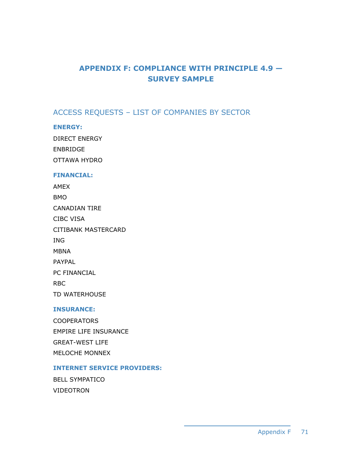# **APPENDIX F: COMPLIANCE WITH PRINCIPLE 4.9 — SURVEY SAMPLE**

# ACCESS REQUESTS – LIST OF COMPANIES BY SECTOR

### **ENERGY:**

DIRECT ENERGY ENBRIDGE OTTAWA HYDRO

#### **FINANCIAL:**

| <b>AMEX</b>         |
|---------------------|
| BMO                 |
| CANADIAN TIRE       |
| CIBC VISA           |
| CITIBANK MASTERCARD |
| ING                 |
| MBNA                |
| <b>PAYPAL</b>       |
| <b>PC FINANCIAL</b> |
| <b>RBC</b>          |
| TD WATERHOUSE       |

### **INSURANCE:**

COOPERATORS EMPIRE LIFE INSURANCE GREAT-WEST LIFE MELOCHE MONNEX

## **INTERNET SERVICE PROVIDERS:**

BELL SYMPATICO VIDEOTRON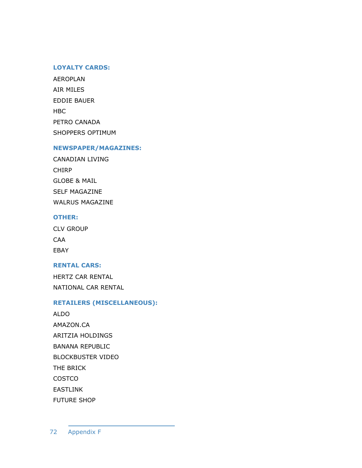#### **LOYALTY CARDS:**

AEROPLAN AIR MILES EDDIE BAUER HBC PETRO CANADA SHOPPERS OPTIMUM

#### **NEWSPAPER/MAGAZINES:**

CANADIAN LIVING CHIRP GLOBE & MAIL SELF MAGAZINE WALRUS MAGAZINE

### **OTHER:**

CLV GROUP CAA EBAY

#### **RENTAL CARS:**

HERTZ CAR RENTAL NATIONAL CAR RENTAL

### **RETAILERS (MISCELLANEOUS):**

ALDO AMAZON.CA ARITZIA HOLDINGS BANANA REPUBLIC BLOCKBUSTER VIDEO THE BRICK **COSTCO** EASTLINK FUTURE SHOP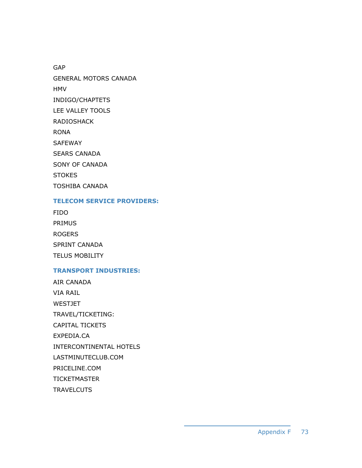GAP GENERAL MOTORS CANADA HMV INDIGO/CHAPTETS LEE VALLEY TOOLS RADIOSHACK RONA SAFEWAY SEARS CANADA SONY OF CANADA **STOKES** TOSHIBA CANADA

#### **TELECOM SERVICE PROVIDERS:**

FIDO PRIMUS ROGERS SPRINT CANADA TELUS MOBILITY

### **TRANSPORT INDUSTRIES:**

AIR CANADA VIA RAIL WESTJET TRAVEL/TICKETING: CAPITAL TICKETS EXPEDIA.CA INTERCONTINENTAL HOTELS LASTMINUTECLUB.COM PRICELINE.COM **TICKETMASTER TRAVELCUTS**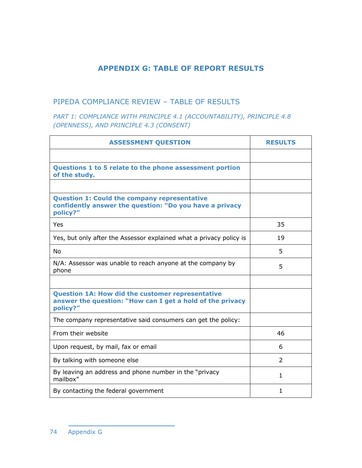## **APPENDIX G: TABLE OF REPORT RESULTS**

## PIPEDA COMPLIANCE REVIEW – TABLE OF RESULTS

## *PART 1: COMPLIANCE WITH PRINCIPLE 4.1 (ACCOUNTABILITY), PRINCIPLE 4.8 (OPENNESS), AND PRINCIPLE 4.3 (CONSENT)*

| <b>ASSESSMENT QUESTION</b>                                                                                                       | <b>RESULTS</b> |
|----------------------------------------------------------------------------------------------------------------------------------|----------------|
|                                                                                                                                  |                |
| Questions 1 to 5 relate to the phone assessment portion<br>of the study.                                                         |                |
|                                                                                                                                  |                |
| <b>Question 1: Could the company representative</b><br>confidently answer the question: "Do you have a privacy<br>policy?"       |                |
| <b>Yes</b>                                                                                                                       | 35             |
| Yes, but only after the Assessor explained what a privacy policy is                                                              | 19             |
| <b>No</b>                                                                                                                        | 5              |
| N/A: Assessor was unable to reach anyone at the company by<br>phone                                                              | 5              |
|                                                                                                                                  |                |
| <b>Question 1A: How did the customer representative</b><br>answer the question: "How can I get a hold of the privacy<br>policy?" |                |
| The company representative said consumers can get the policy:                                                                    |                |
| From their website                                                                                                               | 46             |
| Upon request, by mail, fax or email                                                                                              | 6              |
| By talking with someone else                                                                                                     | $\mathcal{P}$  |
| By leaving an address and phone number in the "privacy"<br>mailbox"                                                              | 1              |
| By contacting the federal government                                                                                             | 1              |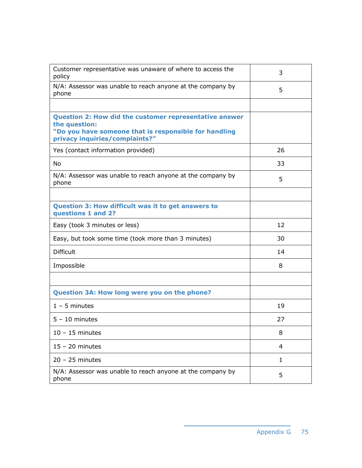| Customer representative was unaware of where to access the<br>policy                                                                                                      | 3  |
|---------------------------------------------------------------------------------------------------------------------------------------------------------------------------|----|
| N/A: Assessor was unable to reach anyone at the company by<br>phone                                                                                                       | 5  |
|                                                                                                                                                                           |    |
| <b>Question 2: How did the customer representative answer</b><br>the question:<br>"Do you have someone that is responsible for handling<br>privacy inquiries/complaints?" |    |
| Yes (contact information provided)                                                                                                                                        | 26 |
| No                                                                                                                                                                        | 33 |
| N/A: Assessor was unable to reach anyone at the company by<br>phone                                                                                                       | 5  |
|                                                                                                                                                                           |    |
| Question 3: How difficult was it to get answers to<br>questions 1 and 2?                                                                                                  |    |
| Easy (took 3 minutes or less)                                                                                                                                             | 12 |
| Easy, but took some time (took more than 3 minutes)                                                                                                                       | 30 |
| <b>Difficult</b>                                                                                                                                                          | 14 |
| Impossible                                                                                                                                                                | 8  |
|                                                                                                                                                                           |    |
| Question 3A: How long were you on the phone?                                                                                                                              |    |
| $1 - 5$ minutes                                                                                                                                                           | 19 |
| $5 - 10$ minutes                                                                                                                                                          | 27 |
| $10 - 15$ minutes                                                                                                                                                         | 8  |
| $15 - 20$ minutes                                                                                                                                                         | 4  |
| $20 - 25$ minutes                                                                                                                                                         | 1  |
| N/A: Assessor was unable to reach anyone at the company by<br>phone                                                                                                       | 5  |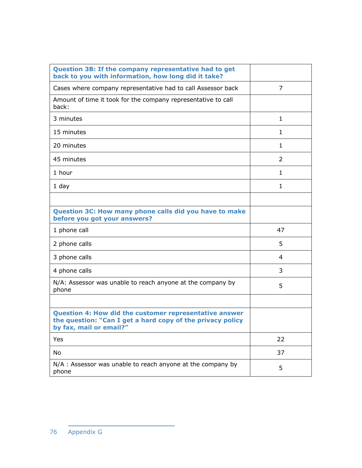| Question 3B: If the company representative had to get<br>back to you with information, how long did it take?                                           |               |
|--------------------------------------------------------------------------------------------------------------------------------------------------------|---------------|
| Cases where company representative had to call Assessor back                                                                                           | 7             |
| Amount of time it took for the company representative to call<br>back:                                                                                 |               |
| 3 minutes                                                                                                                                              | 1             |
| 15 minutes                                                                                                                                             | 1             |
| 20 minutes                                                                                                                                             | 1             |
| 45 minutes                                                                                                                                             | $\mathcal{P}$ |
| 1 hour                                                                                                                                                 | $\mathbf{1}$  |
| 1 day                                                                                                                                                  | 1             |
|                                                                                                                                                        |               |
| Question 3C: How many phone calls did you have to make<br>before you got your answers?                                                                 |               |
| 1 phone call                                                                                                                                           | 47            |
| 2 phone calls                                                                                                                                          | 5             |
| 3 phone calls                                                                                                                                          | 4             |
| 4 phone calls                                                                                                                                          | 3             |
| N/A: Assessor was unable to reach anyone at the company by<br>phone                                                                                    | 5             |
|                                                                                                                                                        |               |
| <b>Question 4: How did the customer representative answer</b><br>the question: "Can I get a hard copy of the privacy policy<br>by fax, mail or email?" |               |
| Yes                                                                                                                                                    | 22            |
| No                                                                                                                                                     | 37            |
| N/A : Assessor was unable to reach anyone at the company by<br>phone                                                                                   | 5             |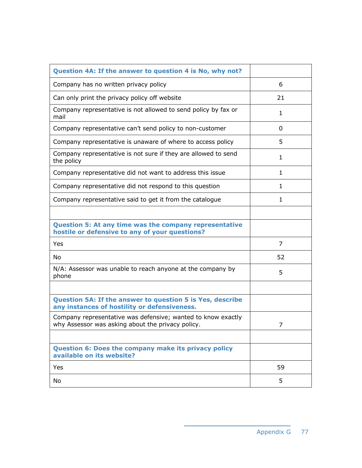| Question 4A: If the answer to question 4 is No, why not?                                                          |              |
|-------------------------------------------------------------------------------------------------------------------|--------------|
| Company has no written privacy policy                                                                             | 6            |
| Can only print the privacy policy off website                                                                     | 21           |
| Company representative is not allowed to send policy by fax or<br>mail                                            | 1            |
| Company representative can't send policy to non-customer                                                          | 0            |
| Company representative is unaware of where to access policy                                                       | 5            |
| Company representative is not sure if they are allowed to send<br>the policy                                      | 1            |
| Company representative did not want to address this issue                                                         | $\mathbf{1}$ |
| Company representative did not respond to this question                                                           | $\mathbf{1}$ |
| Company representative said to get it from the catalogue                                                          | 1            |
|                                                                                                                   |              |
| Question 5: At any time was the company representative<br>hostile or defensive to any of your questions?          |              |
| Yes                                                                                                               | 7            |
| No                                                                                                                | 52           |
| N/A: Assessor was unable to reach anyone at the company by<br>phone                                               | 5            |
|                                                                                                                   |              |
| Question 5A: If the answer to question 5 is Yes, describe<br>any instances of hostility or defensiveness.         |              |
| Company representative was defensive; wanted to know exactly<br>why Assessor was asking about the privacy policy. | 7            |
|                                                                                                                   |              |
| <b>Question 6: Does the company make its privacy policy</b><br>available on its website?                          |              |
| Yes                                                                                                               | 59           |
| No                                                                                                                | 5            |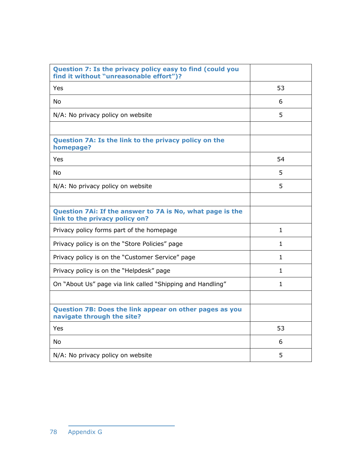| Question 7: Is the privacy policy easy to find (could you<br>find it without "unreasonable effort")? |              |
|------------------------------------------------------------------------------------------------------|--------------|
| Yes                                                                                                  | 53           |
| <b>No</b>                                                                                            | 6            |
| N/A: No privacy policy on website                                                                    | 5            |
|                                                                                                      |              |
| Question 7A: Is the link to the privacy policy on the<br>homepage?                                   |              |
| Yes                                                                                                  | 54           |
| <b>No</b>                                                                                            | 5            |
| N/A: No privacy policy on website                                                                    | 5            |
|                                                                                                      |              |
| Question 7Ai: If the answer to 7A is No, what page is the<br>link to the privacy policy on?          |              |
| Privacy policy forms part of the homepage                                                            | $\mathbf{1}$ |
| Privacy policy is on the "Store Policies" page                                                       | $\mathbf{1}$ |
| Privacy policy is on the "Customer Service" page                                                     | $\mathbf{1}$ |
| Privacy policy is on the "Helpdesk" page                                                             | $\mathbf{1}$ |
| On "About Us" page via link called "Shipping and Handling"                                           | 1            |
|                                                                                                      |              |
| Question 7B: Does the link appear on other pages as you<br>navigate through the site?                |              |
| Yes                                                                                                  | 53           |
| <b>No</b>                                                                                            | 6            |
| N/A: No privacy policy on website                                                                    | 5            |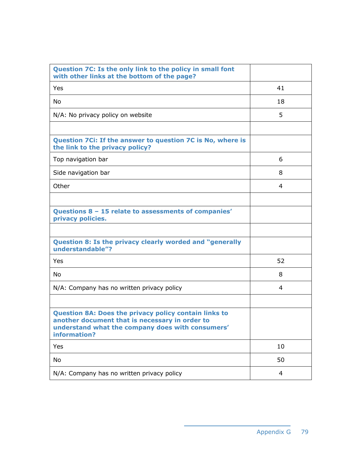| Question 7C: Is the only link to the policy in small font<br>with other links at the bottom of the page?                                                                           |    |
|------------------------------------------------------------------------------------------------------------------------------------------------------------------------------------|----|
| Yes                                                                                                                                                                                | 41 |
| <b>No</b>                                                                                                                                                                          | 18 |
| N/A: No privacy policy on website                                                                                                                                                  | 5  |
|                                                                                                                                                                                    |    |
| Question 7Ci: If the answer to question 7C is No, where is<br>the link to the privacy policy?                                                                                      |    |
| Top navigation bar                                                                                                                                                                 | 6  |
| Side navigation bar                                                                                                                                                                | 8  |
| Other                                                                                                                                                                              | 4  |
|                                                                                                                                                                                    |    |
| Questions 8 - 15 relate to assessments of companies'<br>privacy policies.                                                                                                          |    |
|                                                                                                                                                                                    |    |
| Question 8: Is the privacy clearly worded and "generally<br>understandable"?                                                                                                       |    |
| Yes                                                                                                                                                                                | 52 |
| No                                                                                                                                                                                 | 8  |
| N/A: Company has no written privacy policy                                                                                                                                         | 4  |
|                                                                                                                                                                                    |    |
| <b>Question 8A: Does the privacy policy contain links to</b><br>another document that is necessary in order to<br>understand what the company does with consumers'<br>information? |    |
| Yes                                                                                                                                                                                | 10 |
| No                                                                                                                                                                                 | 50 |
| N/A: Company has no written privacy policy                                                                                                                                         | 4  |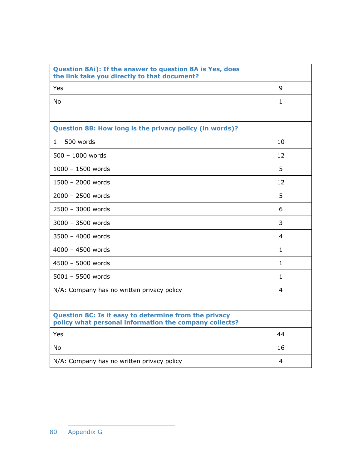| Question 8Ai): If the answer to question 8A is Yes, does<br>the link take you directly to that document?        |              |
|-----------------------------------------------------------------------------------------------------------------|--------------|
| Yes                                                                                                             | 9            |
| <b>No</b>                                                                                                       | 1            |
|                                                                                                                 |              |
| Question 8B: How long is the privacy policy (in words)?                                                         |              |
| $1 - 500$ words                                                                                                 | 10           |
| $500 - 1000$ words                                                                                              | 12           |
| $1000 - 1500$ words                                                                                             | 5            |
| 1500 - 2000 words                                                                                               | 12           |
| $2000 - 2500$ words                                                                                             | 5            |
| 2500 - 3000 words                                                                                               | 6            |
| $3000 - 3500$ words                                                                                             | 3            |
| $3500 - 4000$ words                                                                                             | 4            |
| $4000 - 4500$ words                                                                                             | $\mathbf{1}$ |
| 4500 - 5000 words                                                                                               | $\mathbf{1}$ |
| $5001 - 5500$ words                                                                                             | $\mathbf{1}$ |
| N/A: Company has no written privacy policy                                                                      | 4            |
|                                                                                                                 |              |
| Question 8C: Is it easy to determine from the privacy<br>policy what personal information the company collects? |              |
| Yes                                                                                                             | 44           |
| <b>No</b>                                                                                                       | 16           |
| N/A: Company has no written privacy policy                                                                      | 4            |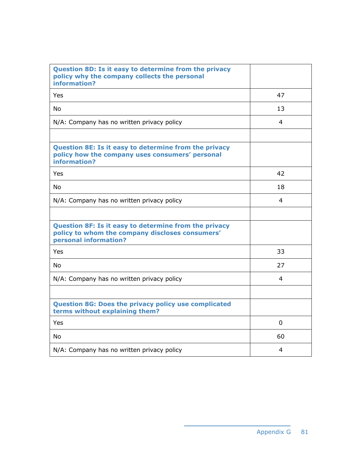| Question 8D: Is it easy to determine from the privacy<br>policy why the company collects the personal<br>information?             |                |
|-----------------------------------------------------------------------------------------------------------------------------------|----------------|
| Yes                                                                                                                               | 47             |
| <b>No</b>                                                                                                                         | 13             |
| N/A: Company has no written privacy policy                                                                                        | 4              |
|                                                                                                                                   |                |
| Question 8E: Is it easy to determine from the privacy<br>policy how the company uses consumers' personal<br>information?          |                |
| Yes                                                                                                                               | 42             |
| <b>No</b>                                                                                                                         | 18             |
| N/A: Company has no written privacy policy                                                                                        | 4              |
|                                                                                                                                   |                |
| Question 8F: Is it easy to determine from the privacy<br>policy to whom the company discloses consumers'<br>personal information? |                |
| Yes                                                                                                                               | 33             |
| <b>No</b>                                                                                                                         | 27             |
| N/A: Company has no written privacy policy                                                                                        | 4              |
|                                                                                                                                   |                |
| <b>Question 8G: Does the privacy policy use complicated</b><br>terms without explaining them?                                     |                |
| Yes                                                                                                                               | $\overline{0}$ |
| <b>No</b>                                                                                                                         | 60             |
| N/A: Company has no written privacy policy                                                                                        | 4              |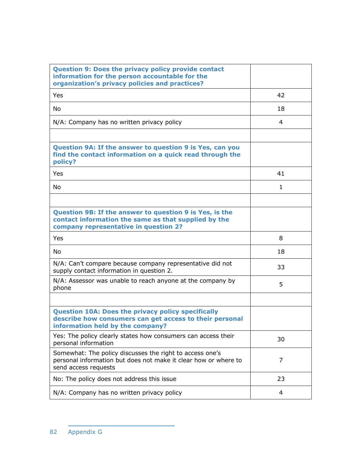| <b>Question 9: Does the privacy policy provide contact</b><br>information for the person accountable for the<br>organization's privacy policies and practices? |    |
|----------------------------------------------------------------------------------------------------------------------------------------------------------------|----|
| Yes                                                                                                                                                            | 42 |
| <b>No</b>                                                                                                                                                      | 18 |
| N/A: Company has no written privacy policy                                                                                                                     | 4  |
|                                                                                                                                                                |    |
| Question 9A: If the answer to question 9 is Yes, can you<br>find the contact information on a quick read through the<br>policy?                                |    |
| Yes                                                                                                                                                            | 41 |
| N <sub>0</sub>                                                                                                                                                 | 1  |
|                                                                                                                                                                |    |
| Question 9B: If the answer to question 9 is Yes, is the<br>contact information the same as that supplied by the<br>company representative in question 2?       |    |
| Yes                                                                                                                                                            | 8  |
| No                                                                                                                                                             | 18 |
| N/A: Can't compare because company representative did not<br>supply contact information in question 2.                                                         | 33 |
| N/A: Assessor was unable to reach anyone at the company by<br>phone                                                                                            | 5  |
|                                                                                                                                                                |    |
| <b>Question 10A: Does the privacy policy specifically</b><br>describe how consumers can get access to their personal<br>information held by the company?       |    |
| Yes: The policy clearly states how consumers can access their<br>personal information                                                                          | 30 |
| Somewhat: The policy discusses the right to access one's<br>personal information but does not make it clear how or where to<br>send access requests            | 7  |
| No: The policy does not address this issue                                                                                                                     | 23 |
| N/A: Company has no written privacy policy                                                                                                                     | 4  |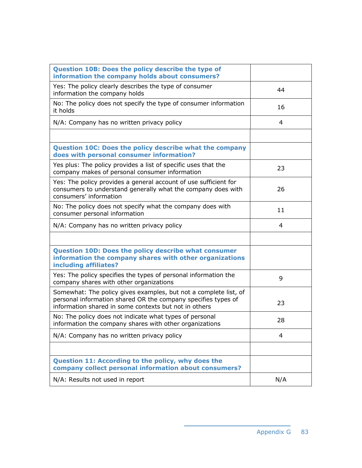| Question 10B: Does the policy describe the type of<br>information the company holds about consumers?                                                                                       |     |
|--------------------------------------------------------------------------------------------------------------------------------------------------------------------------------------------|-----|
| Yes: The policy clearly describes the type of consumer<br>information the company holds                                                                                                    | 44  |
| No: The policy does not specify the type of consumer information<br>it holds                                                                                                               | 16  |
| N/A: Company has no written privacy policy                                                                                                                                                 | 4   |
|                                                                                                                                                                                            |     |
| Question 10C: Does the policy describe what the company<br>does with personal consumer information?                                                                                        |     |
| Yes plus: The policy provides a list of specific uses that the<br>company makes of personal consumer information                                                                           | 23  |
| Yes: The policy provides a general account of use sufficient for<br>consumers to understand generally what the company does with<br>consumers' information                                 | 26  |
| No: The policy does not specify what the company does with<br>consumer personal information                                                                                                | 11  |
| N/A: Company has no written privacy policy                                                                                                                                                 | 4   |
|                                                                                                                                                                                            |     |
| <b>Question 10D: Does the policy describe what consumer</b><br>information the company shares with other organizations<br>including affiliates?                                            |     |
| Yes: The policy specifies the types of personal information the<br>company shares with other organizations                                                                                 | 9   |
| Somewhat: The policy gives examples, but not a complete list, of<br>personal information shared OR the company specifies types of<br>information shared in some contexts but not in others | 23  |
| No: The policy does not indicate what types of personal<br>information the company shares with other organizations                                                                         | 28  |
| N/A: Company has no written privacy policy                                                                                                                                                 | 4   |
|                                                                                                                                                                                            |     |
| Question 11: According to the policy, why does the<br>company collect personal information about consumers?                                                                                |     |
| N/A: Results not used in report                                                                                                                                                            | N/A |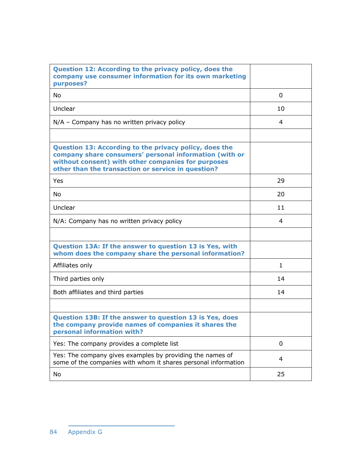| Question 12: According to the privacy policy, does the<br>company use consumer information for its own marketing<br>purposes?                                                                                                |             |
|------------------------------------------------------------------------------------------------------------------------------------------------------------------------------------------------------------------------------|-------------|
| <b>No</b>                                                                                                                                                                                                                    | 0           |
| Unclear                                                                                                                                                                                                                      | 10          |
| $N/A$ – Company has no written privacy policy                                                                                                                                                                                | 4           |
|                                                                                                                                                                                                                              |             |
| Question 13: According to the privacy policy, does the<br>company share consumers' personal information (with or<br>without consent) with other companies for purposes<br>other than the transaction or service in question? |             |
| Yes                                                                                                                                                                                                                          | 29          |
| <b>No</b>                                                                                                                                                                                                                    | 20          |
| Unclear                                                                                                                                                                                                                      | 11          |
| N/A: Company has no written privacy policy                                                                                                                                                                                   | 4           |
|                                                                                                                                                                                                                              |             |
| Question 13A: If the answer to question 13 is Yes, with<br>whom does the company share the personal information?                                                                                                             |             |
| Affiliates only                                                                                                                                                                                                              | 1           |
| Third parties only                                                                                                                                                                                                           | 14          |
| Both affiliates and third parties                                                                                                                                                                                            | 14          |
|                                                                                                                                                                                                                              |             |
| Question 13B: If the answer to question 13 is Yes, does<br>the company provide names of companies it shares the<br>personal information with?                                                                                |             |
| Yes: The company provides a complete list                                                                                                                                                                                    | $\mathbf 0$ |
| Yes: The company gives examples by providing the names of<br>some of the companies with whom it shares personal information                                                                                                  | 4           |
| No                                                                                                                                                                                                                           | 25          |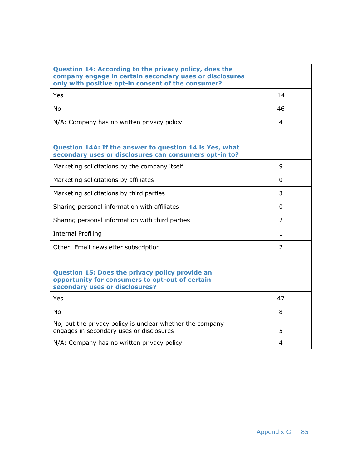| Question 14: According to the privacy policy, does the<br>company engage in certain secondary uses or disclosures<br>only with positive opt-in consent of the consumer? |               |
|-------------------------------------------------------------------------------------------------------------------------------------------------------------------------|---------------|
| Yes                                                                                                                                                                     | 14            |
| <b>No</b>                                                                                                                                                               | 46            |
| N/A: Company has no written privacy policy                                                                                                                              | 4             |
|                                                                                                                                                                         |               |
| Question 14A: If the answer to question 14 is Yes, what<br>secondary uses or disclosures can consumers opt-in to?                                                       |               |
| Marketing solicitations by the company itself                                                                                                                           | 9             |
| Marketing solicitations by affiliates                                                                                                                                   | 0             |
| Marketing solicitations by third parties                                                                                                                                | 3             |
| Sharing personal information with affiliates                                                                                                                            | 0             |
| Sharing personal information with third parties                                                                                                                         | $\mathcal{P}$ |
| <b>Internal Profiling</b>                                                                                                                                               | 1             |
| Other: Email newsletter subscription                                                                                                                                    | 2             |
|                                                                                                                                                                         |               |
| <b>Question 15: Does the privacy policy provide an</b><br>opportunity for consumers to opt-out of certain<br>secondary uses or disclosures?                             |               |
| Yes                                                                                                                                                                     | 47            |
| No                                                                                                                                                                      | 8             |
| No, but the privacy policy is unclear whether the company<br>engages in secondary uses or disclosures                                                                   | 5             |
| N/A: Company has no written privacy policy                                                                                                                              | 4             |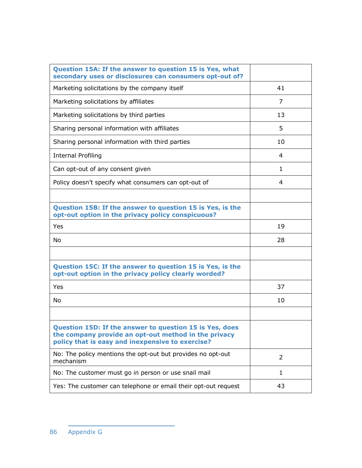| Question 15A: If the answer to question 15 is Yes, what<br>secondary uses or disclosures can consumers opt-out of?                                                  |              |
|---------------------------------------------------------------------------------------------------------------------------------------------------------------------|--------------|
| Marketing solicitations by the company itself                                                                                                                       | 41           |
| Marketing solicitations by affiliates                                                                                                                               | 7            |
| Marketing solicitations by third parties                                                                                                                            | 13           |
| Sharing personal information with affiliates                                                                                                                        | 5            |
| Sharing personal information with third parties                                                                                                                     | 10           |
| <b>Internal Profiling</b>                                                                                                                                           | 4            |
| Can opt-out of any consent given                                                                                                                                    | $\mathbf{1}$ |
| Policy doesn't specify what consumers can opt-out of                                                                                                                | 4            |
|                                                                                                                                                                     |              |
| Question 15B: If the answer to question 15 is Yes, is the<br>opt-out option in the privacy policy conspicuous?                                                      |              |
| Yes                                                                                                                                                                 | 19           |
| No                                                                                                                                                                  | 28           |
|                                                                                                                                                                     |              |
| Question 15C: If the answer to question 15 is Yes, is the<br>opt-out option in the privacy policy clearly worded?                                                   |              |
| Yes                                                                                                                                                                 | 37           |
| No                                                                                                                                                                  | 10           |
|                                                                                                                                                                     |              |
| Question 15D: If the answer to question 15 is Yes, does<br>the company provide an opt-out method in the privacy<br>policy that is easy and inexpensive to exercise? |              |
| No: The policy mentions the opt-out but provides no opt-out<br>mechanism                                                                                            | 2            |
| No: The customer must go in person or use snail mail                                                                                                                | 1            |
| Yes: The customer can telephone or email their opt-out request                                                                                                      | 43           |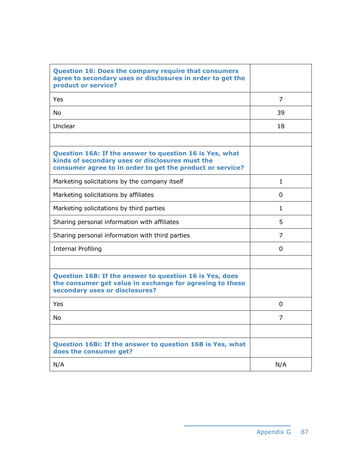| <b>Question 16: Does the company require that consumers</b><br>agree to secondary uses or disclosures in order to get the<br>product or service?                        |              |
|-------------------------------------------------------------------------------------------------------------------------------------------------------------------------|--------------|
| Yes                                                                                                                                                                     | 7            |
| <b>No</b>                                                                                                                                                               | 39           |
| Unclear                                                                                                                                                                 | 18           |
|                                                                                                                                                                         |              |
| Question 16A: If the answer to question 16 is Yes, what<br>kinds of secondary uses or disclosures must the<br>consumer agree to in order to get the product or service? |              |
| Marketing solicitations by the company itself                                                                                                                           | $\mathbf{1}$ |
| Marketing solicitations by affiliates                                                                                                                                   | 0            |
| Marketing solicitations by third parties                                                                                                                                | $\mathbf{1}$ |
| Sharing personal information with affiliates                                                                                                                            | 5.           |
| Sharing personal information with third parties                                                                                                                         | 7            |
| <b>Internal Profiling</b>                                                                                                                                               | 0            |
|                                                                                                                                                                         |              |
| Question 16B: If the answer to question 16 is Yes, does<br>the consumer get value in exchange for agreeing to these<br>secondary uses or disclosures?                   |              |
| Yes                                                                                                                                                                     | 0            |
| <b>No</b>                                                                                                                                                               | 7            |
|                                                                                                                                                                         |              |
| Question 16Bi: If the answer to question 16B is Yes, what<br>does the consumer get?                                                                                     |              |
| N/A                                                                                                                                                                     | N/A          |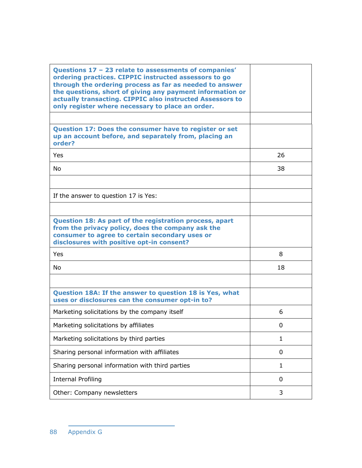| Questions 17 - 23 relate to assessments of companies'<br>ordering practices. CIPPIC instructed assessors to go<br>through the ordering process as far as needed to answer<br>the questions, short of giving any payment information or<br>actually transacting. CIPPIC also instructed Assessors to<br>only register where necessary to place an order. |              |
|---------------------------------------------------------------------------------------------------------------------------------------------------------------------------------------------------------------------------------------------------------------------------------------------------------------------------------------------------------|--------------|
|                                                                                                                                                                                                                                                                                                                                                         |              |
| Question 17: Does the consumer have to register or set<br>up an account before, and separately from, placing an<br>order?                                                                                                                                                                                                                               |              |
| <b>Yes</b>                                                                                                                                                                                                                                                                                                                                              | 26           |
| <b>No</b>                                                                                                                                                                                                                                                                                                                                               | 38           |
|                                                                                                                                                                                                                                                                                                                                                         |              |
| If the answer to question 17 is Yes:                                                                                                                                                                                                                                                                                                                    |              |
|                                                                                                                                                                                                                                                                                                                                                         |              |
| Question 18: As part of the registration process, apart<br>from the privacy policy, does the company ask the<br>consumer to agree to certain secondary uses or<br>disclosures with positive opt-in consent?                                                                                                                                             |              |
| Yes                                                                                                                                                                                                                                                                                                                                                     | 8            |
| <b>No</b>                                                                                                                                                                                                                                                                                                                                               | 18           |
|                                                                                                                                                                                                                                                                                                                                                         |              |
| Question 18A: If the answer to question 18 is Yes, what<br>uses or disclosures can the consumer opt-in to?                                                                                                                                                                                                                                              |              |
| Marketing solicitations by the company itself                                                                                                                                                                                                                                                                                                           | 6            |
| Marketing solicitations by affiliates                                                                                                                                                                                                                                                                                                                   | 0            |
| Marketing solicitations by third parties                                                                                                                                                                                                                                                                                                                | 1            |
| Sharing personal information with affiliates                                                                                                                                                                                                                                                                                                            | 0            |
| Sharing personal information with third parties                                                                                                                                                                                                                                                                                                         | $\mathbf{1}$ |
| <b>Internal Profiling</b>                                                                                                                                                                                                                                                                                                                               | 0            |
| Other: Company newsletters                                                                                                                                                                                                                                                                                                                              | 3            |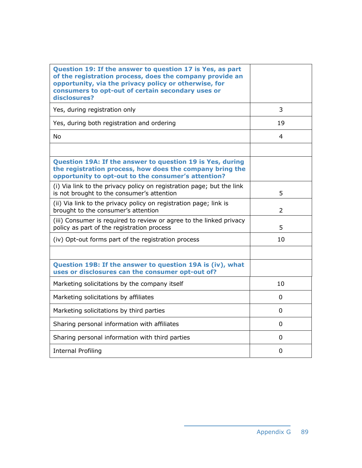| Question 19: If the answer to question 17 is Yes, as part<br>of the registration process, does the company provide an<br>opportunity, via the privacy policy or otherwise, for<br>consumers to opt-out of certain secondary uses or<br>disclosures? |                |
|-----------------------------------------------------------------------------------------------------------------------------------------------------------------------------------------------------------------------------------------------------|----------------|
| Yes, during registration only                                                                                                                                                                                                                       | 3              |
| Yes, during both registration and ordering                                                                                                                                                                                                          | 19             |
| <b>No</b>                                                                                                                                                                                                                                           | 4              |
|                                                                                                                                                                                                                                                     |                |
| Question 19A: If the answer to question 19 is Yes, during<br>the registration process, how does the company bring the<br>opportunity to opt-out to the consumer's attention?                                                                        |                |
| (i) Via link to the privacy policy on registration page; but the link<br>is not brought to the consumer's attention                                                                                                                                 | 5              |
| (ii) Via link to the privacy policy on registration page; link is<br>brought to the consumer's attention                                                                                                                                            | $\overline{2}$ |
| (iii) Consumer is required to review or agree to the linked privacy<br>policy as part of the registration process                                                                                                                                   | 5              |
| (iv) Opt-out forms part of the registration process                                                                                                                                                                                                 | 10             |
|                                                                                                                                                                                                                                                     |                |
| Question 19B: If the answer to question 19A is (iv), what<br>uses or disclosures can the consumer opt-out of?                                                                                                                                       |                |
| Marketing solicitations by the company itself                                                                                                                                                                                                       | 10             |
| Marketing solicitations by affiliates                                                                                                                                                                                                               | 0              |
| Marketing solicitations by third parties                                                                                                                                                                                                            | 0              |
| Sharing personal information with affiliates                                                                                                                                                                                                        | 0              |
| Sharing personal information with third parties                                                                                                                                                                                                     | 0              |
| <b>Internal Profiling</b>                                                                                                                                                                                                                           | 0              |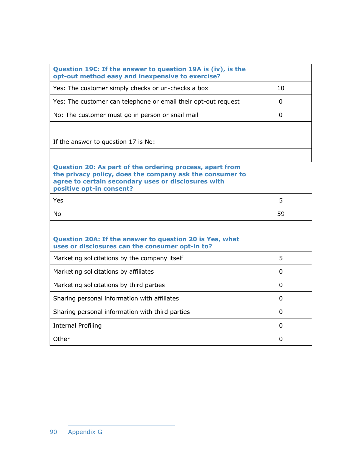| Question 19C: If the answer to question 19A is (iv), is the<br>opt-out method easy and inexpensive to exercise?                                                                                         |          |
|---------------------------------------------------------------------------------------------------------------------------------------------------------------------------------------------------------|----------|
| Yes: The customer simply checks or un-checks a box                                                                                                                                                      | 10       |
| Yes: The customer can telephone or email their opt-out request                                                                                                                                          | 0        |
| No: The customer must go in person or snail mail                                                                                                                                                        | 0        |
|                                                                                                                                                                                                         |          |
| If the answer to question 17 is No:                                                                                                                                                                     |          |
|                                                                                                                                                                                                         |          |
| Question 20: As part of the ordering process, apart from<br>the privacy policy, does the company ask the consumer to<br>agree to certain secondary uses or disclosures with<br>positive opt-in consent? |          |
| Yes                                                                                                                                                                                                     | 5        |
| <b>No</b>                                                                                                                                                                                               | 59       |
|                                                                                                                                                                                                         |          |
|                                                                                                                                                                                                         |          |
| Question 20A: If the answer to question 20 is Yes, what<br>uses or disclosures can the consumer opt-in to?                                                                                              |          |
| Marketing solicitations by the company itself                                                                                                                                                           | 5        |
| Marketing solicitations by affiliates                                                                                                                                                                   | 0        |
| Marketing solicitations by third parties                                                                                                                                                                | 0        |
| Sharing personal information with affiliates                                                                                                                                                            | 0        |
| Sharing personal information with third parties                                                                                                                                                         | 0        |
| <b>Internal Profiling</b>                                                                                                                                                                               | $\Omega$ |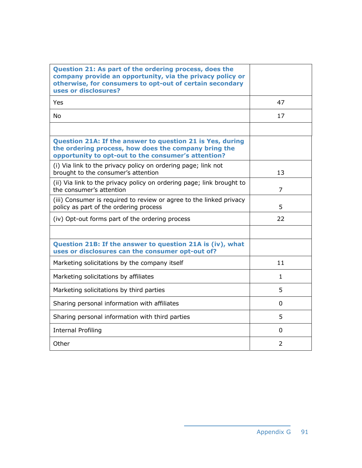| Question 21: As part of the ordering process, does the<br>company provide an opportunity, via the privacy policy or<br>otherwise, for consumers to opt-out of certain secondary<br>uses or disclosures? |              |
|---------------------------------------------------------------------------------------------------------------------------------------------------------------------------------------------------------|--------------|
| Yes                                                                                                                                                                                                     | 47           |
| <b>No</b>                                                                                                                                                                                               | 17           |
|                                                                                                                                                                                                         |              |
| Question 21A: If the answer to question 21 is Yes, during<br>the ordering process, how does the company bring the<br>opportunity to opt-out to the consumer's attention?                                |              |
| (i) Via link to the privacy policy on ordering page; link not<br>brought to the consumer's attention                                                                                                    | 13           |
| (ii) Via link to the privacy policy on ordering page; link brought to<br>the consumer's attention                                                                                                       | 7            |
| (iii) Consumer is required to review or agree to the linked privacy<br>policy as part of the ordering process                                                                                           | 5            |
| (iv) Opt-out forms part of the ordering process                                                                                                                                                         | 22           |
|                                                                                                                                                                                                         |              |
| Question 21B: If the answer to question 21A is (iv), what<br>uses or disclosures can the consumer opt-out of?                                                                                           |              |
| Marketing solicitations by the company itself                                                                                                                                                           | 11           |
| Marketing solicitations by affiliates                                                                                                                                                                   | $\mathbf{1}$ |
| Marketing solicitations by third parties                                                                                                                                                                | 5            |
| Sharing personal information with affiliates                                                                                                                                                            | 0            |
| Sharing personal information with third parties                                                                                                                                                         | 5            |
| <b>Internal Profiling</b>                                                                                                                                                                               | 0            |
| Other                                                                                                                                                                                                   | 2            |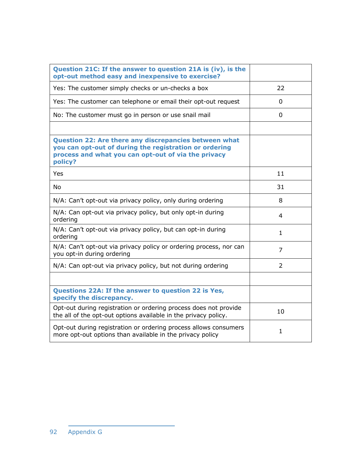| Question 21C: If the answer to question 21A is (iv), is the<br>opt-out method easy and inexpensive to exercise?                                                                          |              |
|------------------------------------------------------------------------------------------------------------------------------------------------------------------------------------------|--------------|
| Yes: The customer simply checks or un-checks a box                                                                                                                                       | 22           |
| Yes: The customer can telephone or email their opt-out request                                                                                                                           | 0            |
| No: The customer must go in person or use snail mail                                                                                                                                     | 0            |
|                                                                                                                                                                                          |              |
| <b>Question 22: Are there any discrepancies between what</b><br>you can opt-out of during the registration or ordering<br>process and what you can opt-out of via the privacy<br>policy? |              |
| Yes                                                                                                                                                                                      | 11           |
| <b>No</b>                                                                                                                                                                                | 31           |
| N/A: Can't opt-out via privacy policy, only during ordering                                                                                                                              | 8            |
| N/A: Can opt-out via privacy policy, but only opt-in during<br>ordering                                                                                                                  | 4            |
| N/A: Can't opt-out via privacy policy, but can opt-in during<br>ordering                                                                                                                 | 1            |
| N/A: Can't opt-out via privacy policy or ordering process, nor can<br>you opt-in during ordering                                                                                         | 7            |
| N/A: Can opt-out via privacy policy, but not during ordering                                                                                                                             | 2            |
|                                                                                                                                                                                          |              |
| Questions 22A: If the answer to question 22 is Yes,<br>specify the discrepancy.                                                                                                          |              |
| Opt-out during registration or ordering process does not provide<br>the all of the opt-out options available in the privacy policy.                                                      | 10           |
| Opt-out during registration or ordering process allows consumers<br>more opt-out options than available in the privacy policy                                                            | $\mathbf{1}$ |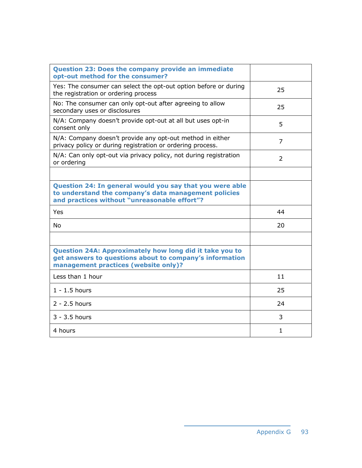| <b>Question 23: Does the company provide an immediate</b><br>opt-out method for the consumer?                                                                    |                |
|------------------------------------------------------------------------------------------------------------------------------------------------------------------|----------------|
| Yes: The consumer can select the opt-out option before or during<br>the registration or ordering process                                                         | 25             |
| No: The consumer can only opt-out after agreeing to allow<br>secondary uses or disclosures                                                                       | 25             |
| N/A: Company doesn't provide opt-out at all but uses opt-in<br>consent only                                                                                      | 5              |
| N/A: Company doesn't provide any opt-out method in either<br>privacy policy or during registration or ordering process.                                          | 7              |
| N/A: Can only opt-out via privacy policy, not during registration<br>or ordering                                                                                 | $\overline{2}$ |
|                                                                                                                                                                  |                |
| Question 24: In general would you say that you were able<br>to understand the company's data management policies<br>and practices without "unreasonable effort"? |                |
| Yes                                                                                                                                                              | 44             |
| No                                                                                                                                                               | 20             |
|                                                                                                                                                                  |                |
| Question 24A: Approximately how long did it take you to<br>get answers to questions about to company's information<br>management practices (website only)?       |                |
| Less than 1 hour                                                                                                                                                 | 11             |
| $1 - 1.5$ hours                                                                                                                                                  | 25             |
| $2 - 2.5$ hours                                                                                                                                                  | 24             |
| $3 - 3.5$ hours                                                                                                                                                  | 3              |
| 4 hours                                                                                                                                                          | 1              |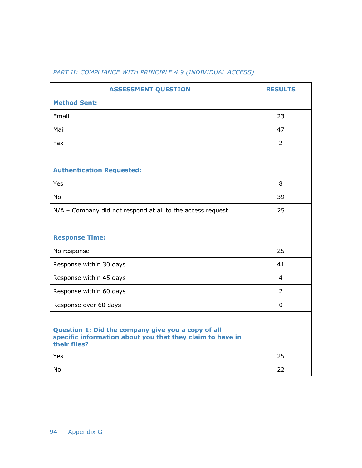## *PART II: COMPLIANCE WITH PRINCIPLE 4.9 (INDIVIDUAL ACCESS)*

| <b>ASSESSMENT QUESTION</b>                                                                                                      | <b>RESULTS</b> |
|---------------------------------------------------------------------------------------------------------------------------------|----------------|
| <b>Method Sent:</b>                                                                                                             |                |
| Email                                                                                                                           | 23             |
| Mail                                                                                                                            | 47             |
| Fax                                                                                                                             | $\overline{2}$ |
|                                                                                                                                 |                |
| <b>Authentication Requested:</b>                                                                                                |                |
| Yes                                                                                                                             | 8              |
| <b>No</b>                                                                                                                       | 39             |
| N/A - Company did not respond at all to the access request                                                                      | 25             |
|                                                                                                                                 |                |
| <b>Response Time:</b>                                                                                                           |                |
| No response                                                                                                                     | 25             |
| Response within 30 days                                                                                                         | 41             |
| Response within 45 days                                                                                                         | $\overline{4}$ |
| Response within 60 days                                                                                                         | $\overline{2}$ |
| Response over 60 days                                                                                                           | $\mathbf 0$    |
|                                                                                                                                 |                |
| Question 1: Did the company give you a copy of all<br>specific information about you that they claim to have in<br>their files? |                |
| Yes                                                                                                                             | 25             |
| <b>No</b>                                                                                                                       | 22             |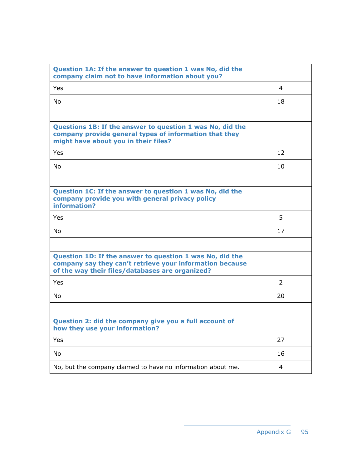| Question 1A: If the answer to question 1 was No, did the<br>company claim not to have information about you?                                                            |    |
|-------------------------------------------------------------------------------------------------------------------------------------------------------------------------|----|
| Yes                                                                                                                                                                     | 4  |
| <b>No</b>                                                                                                                                                               | 18 |
|                                                                                                                                                                         |    |
| Questions 1B: If the answer to question 1 was No, did the<br>company provide general types of information that they<br>might have about you in their files?             |    |
| Yes                                                                                                                                                                     | 12 |
| <b>No</b>                                                                                                                                                               | 10 |
|                                                                                                                                                                         |    |
| Question 1C: If the answer to question 1 was No, did the<br>company provide you with general privacy policy<br>information?                                             |    |
| Yes                                                                                                                                                                     | 5  |
| <b>No</b>                                                                                                                                                               | 17 |
|                                                                                                                                                                         |    |
| Question 1D: If the answer to question 1 was No, did the<br>company say they can't retrieve your information because<br>of the way their files/databases are organized? |    |
| Yes                                                                                                                                                                     | 2  |
| <b>No</b>                                                                                                                                                               | 20 |
|                                                                                                                                                                         |    |
| Question 2: did the company give you a full account of<br>how they use your information?                                                                                |    |
| Yes                                                                                                                                                                     | 27 |
| No                                                                                                                                                                      | 16 |
| No, but the company claimed to have no information about me.                                                                                                            | 4  |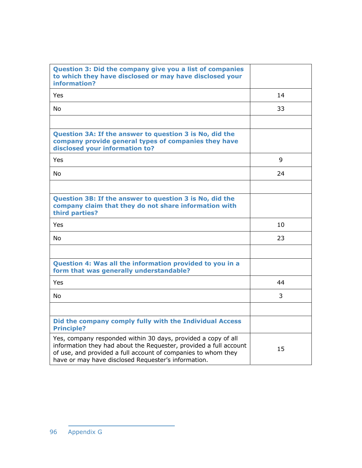| Question 3: Did the company give you a list of companies<br>to which they have disclosed or may have disclosed your<br>information?                                                                                                                        |    |
|------------------------------------------------------------------------------------------------------------------------------------------------------------------------------------------------------------------------------------------------------------|----|
| Yes.                                                                                                                                                                                                                                                       | 14 |
| No.                                                                                                                                                                                                                                                        | 33 |
| Question 3A: If the answer to question 3 is No, did the<br>company provide general types of companies they have<br>disclosed your information to?                                                                                                          |    |
| Yes                                                                                                                                                                                                                                                        | 9  |
| No.                                                                                                                                                                                                                                                        | 24 |
| Question 3B: If the answer to question 3 is No, did the<br>company claim that they do not share information with<br>third parties?                                                                                                                         |    |
| Yes.                                                                                                                                                                                                                                                       | 10 |
| No.                                                                                                                                                                                                                                                        | 23 |
| Question 4: Was all the information provided to you in a<br>form that was generally understandable?                                                                                                                                                        |    |
| <b>Yes</b>                                                                                                                                                                                                                                                 | 44 |
| No                                                                                                                                                                                                                                                         | 3  |
| Did the company comply fully with the Individual Access<br><b>Principle?</b>                                                                                                                                                                               |    |
| Yes, company responded within 30 days, provided a copy of all<br>information they had about the Requester, provided a full account<br>of use, and provided a full account of companies to whom they<br>have or may have disclosed Requester's information. | 15 |